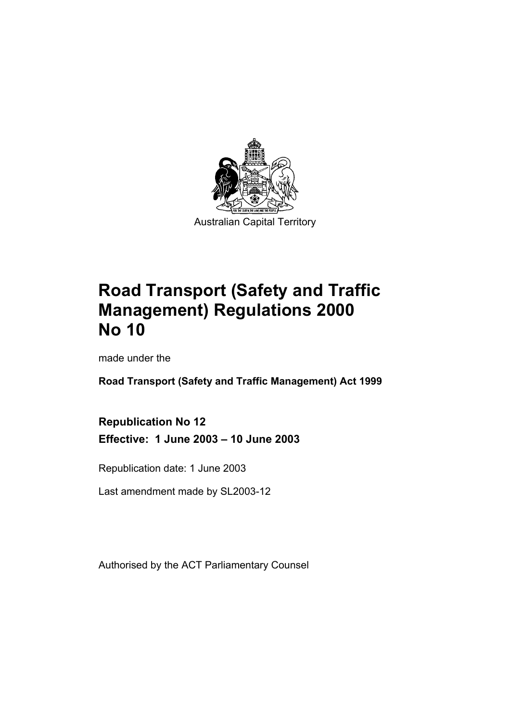

# **Road Transport (Safety and Traffic Management) Regulations 2000 No 10**

made under the

**Road Transport (Safety and Traffic Management) Act 1999** 

**Republication No 12 Effective: 1 June 2003 – 10 June 2003** 

Republication date: 1 June 2003

Last amendment made by SL2003-12

Authorised by the ACT Parliamentary Counsel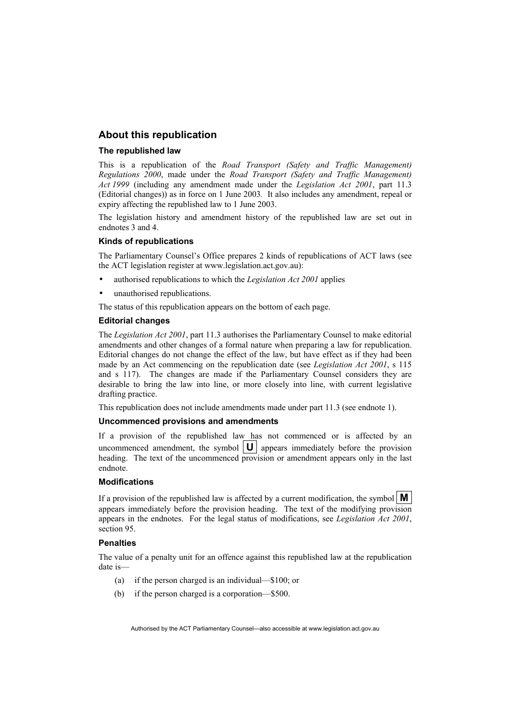#### **About this republication**

#### **The republished law**

This is a republication of the *Road Transport (Safety and Traffic Management) Regulations 2000*, made under the *Road Transport (Safety and Traffic Management) Act 1999* (including any amendment made under the *Legislation Act 2001*, part 11.3 (Editorial changes)) as in force on 1 June 2003*.* It also includes any amendment, repeal or expiry affecting the republished law to 1 June 2003.

The legislation history and amendment history of the republished law are set out in endnotes 3 and 4.

#### **Kinds of republications**

The Parliamentary Counsel's Office prepares 2 kinds of republications of ACT laws (see the ACT legislation register at www.legislation.act.gov.au):

- authorised republications to which the *Legislation Act 2001* applies
- unauthorised republications.

The status of this republication appears on the bottom of each page.

#### **Editorial changes**

The *Legislation Act 2001*, part 11.3 authorises the Parliamentary Counsel to make editorial amendments and other changes of a formal nature when preparing a law for republication. Editorial changes do not change the effect of the law, but have effect as if they had been made by an Act commencing on the republication date (see *Legislation Act 2001*, s 115 and s 117). The changes are made if the Parliamentary Counsel considers they are desirable to bring the law into line, or more closely into line, with current legislative drafting practice.

This republication does not include amendments made under part 11.3 (see endnote 1).

#### **Uncommenced provisions and amendments**

If a provision of the republished law has not commenced or is affected by an uncommenced amendment, the symbol  $\boxed{U}$  appears immediately before the provision heading. The text of the uncommenced provision or amendment appears only in the last endnote.

#### **Modifications**

If a provision of the republished law is affected by a current modification, the symbol  $\mathbf{M}$ appears immediately before the provision heading. The text of the modifying provision appears in the endnotes. For the legal status of modifications, see *Legislation Act 2001*, section 95.

#### **Penalties**

The value of a penalty unit for an offence against this republished law at the republication date is—

- (a) if the person charged is an individual—\$100; or
- (b) if the person charged is a corporation—\$500.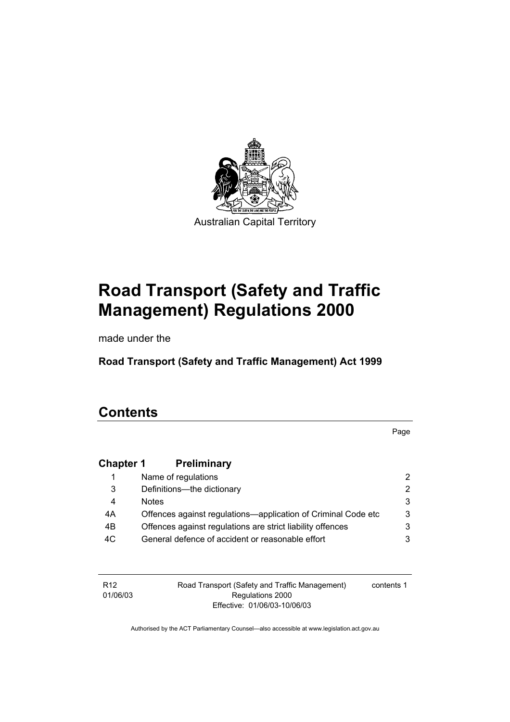

# **Road Transport (Safety and Traffic Management) Regulations 2000**

made under the

**Road Transport (Safety and Traffic Management) Act 1999** 

### **Contents**

Page

### **Chapter 1 Preliminary**

|    | Name of regulations                                           |   |
|----|---------------------------------------------------------------|---|
| 3  | Definitions—the dictionary                                    |   |
| 4  | <b>Notes</b>                                                  |   |
| 4A | Offences against regulations—application of Criminal Code etc | 3 |
| 4B | Offences against regulations are strict liability offences    |   |
| 4C | General defence of accident or reasonable effort              |   |

| R <sub>12</sub> |  |
|-----------------|--|
| 01/06/03        |  |

Road Transport (Safety and Traffic Management) Regulations 2000 Effective: 01/06/03-10/06/03

contents 1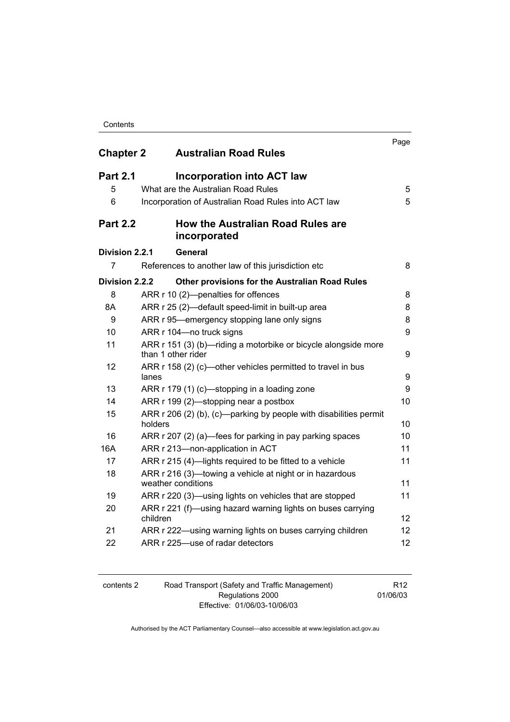| Contents |
|----------|
|          |

| <b>Chapter 2</b>     | <b>Australian Road Rules</b>                                                         | Page |
|----------------------|--------------------------------------------------------------------------------------|------|
| <b>Part 2.1</b><br>5 | <b>Incorporation into ACT law</b><br>What are the Australian Road Rules              | 5    |
| 6                    | Incorporation of Australian Road Rules into ACT law                                  | 5    |
| <b>Part 2.2</b>      | <b>How the Australian Road Rules are</b><br>incorporated                             |      |
| Division 2.2.1       | General                                                                              |      |
| 7                    | References to another law of this jurisdiction etc                                   | 8    |
| Division 2.2.2       | <b>Other provisions for the Australian Road Rules</b>                                |      |
| 8                    | ARR r 10 (2)-penalties for offences                                                  | 8    |
| 8Α                   | ARR r 25 (2)-default speed-limit in built-up area                                    | 8    |
| 9                    | ARR r 95-emergency stopping lane only signs                                          | 8    |
| 10                   | ARR r 104-no truck signs                                                             | 9    |
| 11                   | ARR r 151 (3) (b)—riding a motorbike or bicycle alongside more<br>than 1 other rider | 9    |
| 12                   | ARR r 158 (2) (c)—other vehicles permitted to travel in bus<br>lanes                 | 9    |
| 13                   | ARR r 179 (1) (c)—stopping in a loading zone                                         | 9    |
| 14                   | ARR r 199 (2)—stopping near a postbox                                                | 10   |
| 15                   | ARR r 206 (2) (b), (c)—parking by people with disabilities permit<br>holders         | 10   |
| 16                   | ARR r 207 (2) (a)—fees for parking in pay parking spaces                             | 10   |
| 16A                  | ARR r 213-non-application in ACT                                                     | 11   |
| 17                   | ARR r 215 (4)-lights required to be fitted to a vehicle                              | 11   |
| 18                   | ARR r 216 (3)—towing a vehicle at night or in hazardous<br>weather conditions        | 11   |
| 19                   | ARR r 220 (3)-using lights on vehicles that are stopped                              | 11   |
| 20                   | ARR r 221 (f)—using hazard warning lights on buses carrying<br>children              | 12   |
| 21                   | ARR r 222—using warning lights on buses carrying children                            | 12   |
| 22                   | ARR r 225-use of radar detectors                                                     | 12   |

| contents 2 | Road Transport (Safety and Traffic Management) | R <sub>12</sub> |
|------------|------------------------------------------------|-----------------|
|            | Regulations 2000                               | 01/06/03        |
|            | Effective: 01/06/03-10/06/03                   |                 |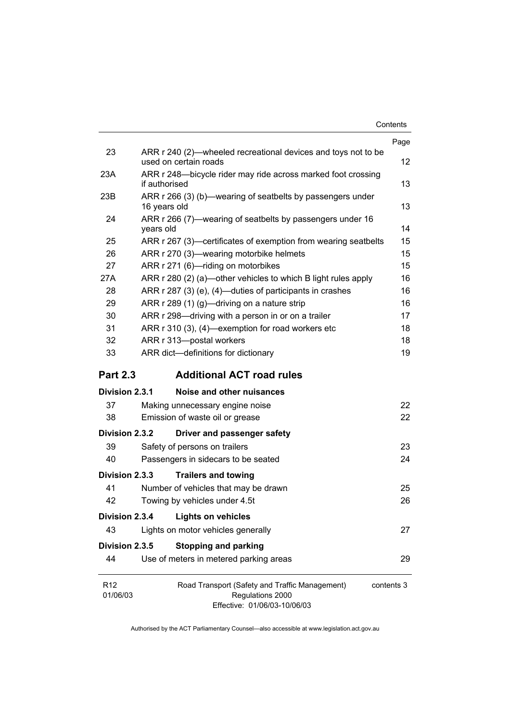| Contents |  |
|----------|--|
|          |  |

|                             |                                                                                                                  | Page |  |  |  |
|-----------------------------|------------------------------------------------------------------------------------------------------------------|------|--|--|--|
| 23                          | ARR r 240 (2)—wheeled recreational devices and toys not to be<br>used on certain roads                           | 12   |  |  |  |
| 23A                         | ARR r 248-bicycle rider may ride across marked foot crossing<br>if authorised                                    |      |  |  |  |
| 23B                         | ARR r 266 (3) (b)—wearing of seatbelts by passengers under<br>16 years old                                       |      |  |  |  |
| 24                          | ARR r 266 (7)—wearing of seatbelts by passengers under 16<br>years old                                           |      |  |  |  |
| 25                          | ARR r 267 (3)—certificates of exemption from wearing seatbelts                                                   | 15   |  |  |  |
| 26                          | ARR r 270 (3)—wearing motorbike helmets                                                                          | 15   |  |  |  |
| 27                          | ARR r 271 (6)-riding on motorbikes                                                                               | 15   |  |  |  |
| 27A                         | ARR r 280 (2) (a)-other vehicles to which B light rules apply                                                    | 16   |  |  |  |
| 28                          | ARR r 287 (3) (e), (4)—duties of participants in crashes                                                         | 16   |  |  |  |
| 29                          | ARR r 289 (1) (g)-driving on a nature strip                                                                      | 16   |  |  |  |
| 30                          | ARR r 298—driving with a person in or on a trailer                                                               | 17   |  |  |  |
| 31                          | ARR r 310 (3), (4)—exemption for road workers etc                                                                | 18   |  |  |  |
| 32                          | ARR r 313-postal workers                                                                                         |      |  |  |  |
| 33                          | ARR dict-definitions for dictionary                                                                              | 19   |  |  |  |
| <b>Part 2.3</b>             | <b>Additional ACT road rules</b>                                                                                 |      |  |  |  |
| Division 2.3.1              | Noise and other nuisances                                                                                        |      |  |  |  |
| 37                          | Making unnecessary engine noise                                                                                  | 22   |  |  |  |
| 38                          | Emission of waste oil or grease                                                                                  | 22   |  |  |  |
| Division 2.3.2              | Driver and passenger safety                                                                                      |      |  |  |  |
| 39                          | Safety of persons on trailers                                                                                    | 23   |  |  |  |
| 40                          | Passengers in sidecars to be seated                                                                              | 24   |  |  |  |
| Division 2.3.3              | <b>Trailers and towing</b>                                                                                       |      |  |  |  |
| 41                          | Number of vehicles that may be drawn                                                                             | 25   |  |  |  |
| 42                          | Towing by vehicles under 4.5t                                                                                    | 26   |  |  |  |
| Division 2.3.4              | <b>Lights on vehicles</b>                                                                                        |      |  |  |  |
| 43                          | Lights on motor vehicles generally                                                                               | 27   |  |  |  |
| Division 2.3.5              | <b>Stopping and parking</b>                                                                                      |      |  |  |  |
| 44                          | Use of meters in metered parking areas                                                                           | 29   |  |  |  |
| R <sub>12</sub><br>01/06/03 | Road Transport (Safety and Traffic Management)<br>contents 3<br>Regulations 2000<br>Effective: 01/06/03-10/06/03 |      |  |  |  |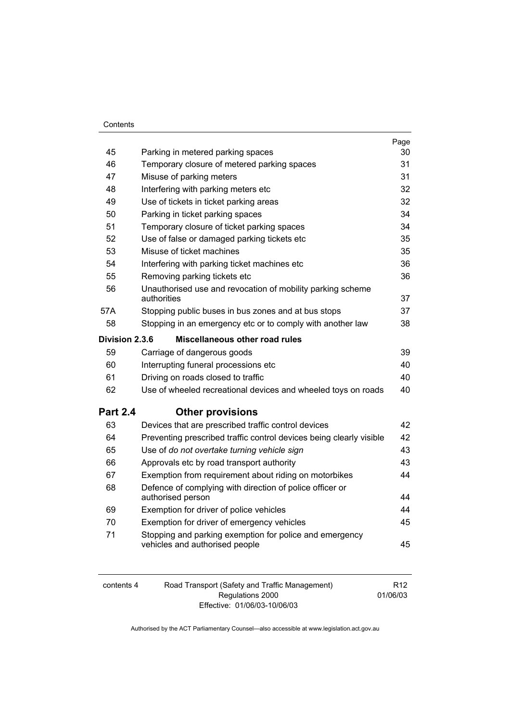| 45              | Parking in metered parking spaces                                                         | Page<br>30 |
|-----------------|-------------------------------------------------------------------------------------------|------------|
| 46              | Temporary closure of metered parking spaces                                               | 31         |
| 47              | Misuse of parking meters                                                                  | 31         |
| 48              | Interfering with parking meters etc                                                       | 32         |
| 49              | Use of tickets in ticket parking areas                                                    | 32         |
| 50              | Parking in ticket parking spaces                                                          | 34         |
| 51              | Temporary closure of ticket parking spaces                                                | 34         |
| 52              | Use of false or damaged parking tickets etc                                               | 35         |
| 53              | Misuse of ticket machines                                                                 | 35         |
| 54              | Interfering with parking ticket machines etc                                              | 36         |
| 55              | Removing parking tickets etc                                                              | 36         |
| 56              | Unauthorised use and revocation of mobility parking scheme<br>authorities                 | 37         |
| 57A             | Stopping public buses in bus zones and at bus stops                                       | 37         |
| 58              | Stopping in an emergency etc or to comply with another law                                | 38         |
| Division 2.3.6  | Miscellaneous other road rules                                                            |            |
| 59              | Carriage of dangerous goods                                                               | 39         |
| 60              | Interrupting funeral processions etc                                                      | 40         |
| 61              | Driving on roads closed to traffic                                                        | 40         |
| 62              | Use of wheeled recreational devices and wheeled toys on roads                             | 40         |
| <b>Part 2.4</b> | <b>Other provisions</b>                                                                   |            |
| 63              | Devices that are prescribed traffic control devices                                       | 42         |
| 64              | Preventing prescribed traffic control devices being clearly visible                       | 42         |
| 65              | Use of do not overtake turning vehicle sign                                               | 43         |
| 66              | Approvals etc by road transport authority                                                 | 43         |
| 67              | Exemption from requirement about riding on motorbikes                                     | 44         |
| 68              | Defence of complying with direction of police officer or<br>authorised person             | 44         |
| 69              | Exemption for driver of police vehicles                                                   | 44         |
| 70              | Exemption for driver of emergency vehicles                                                | 45         |
| 71              | Stopping and parking exemption for police and emergency<br>vehicles and authorised people | 45         |

| contents 4 | Road Transport (Safety and Traffic Management) | R <sub>12</sub> |
|------------|------------------------------------------------|-----------------|
|            | Regulations 2000                               | 01/06/03        |
|            | Effective: 01/06/03-10/06/03                   |                 |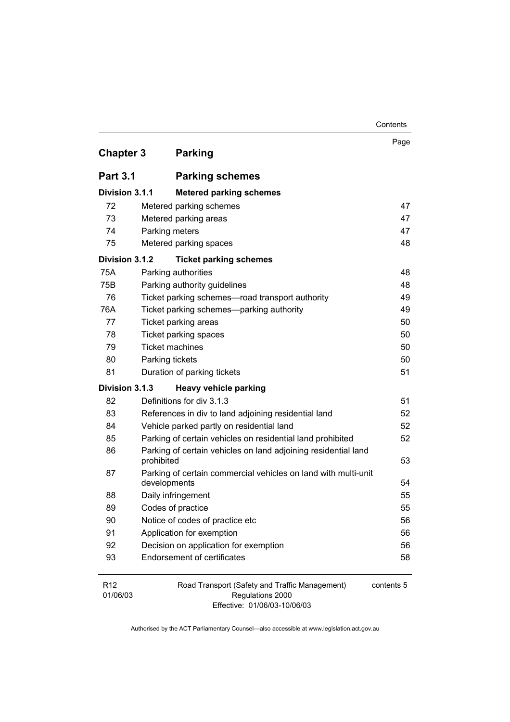| <b>Chapter 3</b> |                                                                              | <b>Parking</b>                                                 | Page       |  |  |
|------------------|------------------------------------------------------------------------------|----------------------------------------------------------------|------------|--|--|
| <b>Part 3.1</b>  |                                                                              | <b>Parking schemes</b>                                         |            |  |  |
| Division 3.1.1   |                                                                              | <b>Metered parking schemes</b>                                 |            |  |  |
| 72               |                                                                              | Metered parking schemes                                        | 47         |  |  |
| 73               |                                                                              | Metered parking areas                                          | 47         |  |  |
| 74               | Parking meters                                                               |                                                                | 47         |  |  |
| 75               |                                                                              | Metered parking spaces                                         | 48         |  |  |
| Division 3.1.2   |                                                                              | <b>Ticket parking schemes</b>                                  |            |  |  |
| 75A              |                                                                              | Parking authorities                                            | 48         |  |  |
| 75B              |                                                                              | Parking authority guidelines                                   | 48         |  |  |
| 76               |                                                                              | Ticket parking schemes—road transport authority                | 49         |  |  |
| 76A              |                                                                              | Ticket parking schemes-parking authority                       | 49         |  |  |
| 77               |                                                                              | Ticket parking areas                                           | 50         |  |  |
| 78               | <b>Ticket parking spaces</b>                                                 |                                                                |            |  |  |
| 79               | <b>Ticket machines</b>                                                       |                                                                | 50         |  |  |
| 80               | Parking tickets                                                              |                                                                | 50         |  |  |
| 81               |                                                                              | Duration of parking tickets                                    | 51         |  |  |
| Division 3.1.3   |                                                                              | Heavy vehicle parking                                          |            |  |  |
| 82               |                                                                              | Definitions for div 3.1.3                                      | 51         |  |  |
| 83               |                                                                              | References in div to land adjoining residential land           | 52         |  |  |
| 84               |                                                                              | Vehicle parked partly on residential land                      | 52         |  |  |
| 85               |                                                                              | Parking of certain vehicles on residential land prohibited     | 52         |  |  |
| 86               | Parking of certain vehicles on land adjoining residential land<br>prohibited |                                                                |            |  |  |
| 87               | developments                                                                 | Parking of certain commercial vehicles on land with multi-unit | 54         |  |  |
| 88               |                                                                              | Daily infringement                                             | 55         |  |  |
| 89               |                                                                              | Codes of practice                                              | 55         |  |  |
| 90               |                                                                              | Notice of codes of practice etc                                | 56         |  |  |
| 91               |                                                                              | Application for exemption                                      | 56         |  |  |
| 92               |                                                                              | Decision on application for exemption                          | 56         |  |  |
| 93               |                                                                              | <b>Endorsement of certificates</b>                             | 58         |  |  |
| R <sub>12</sub>  |                                                                              | Road Transport (Safety and Traffic Management)                 | contents 5 |  |  |

01/06/03

Regulations 2000 Effective: 01/06/03-10/06/03

**Contents**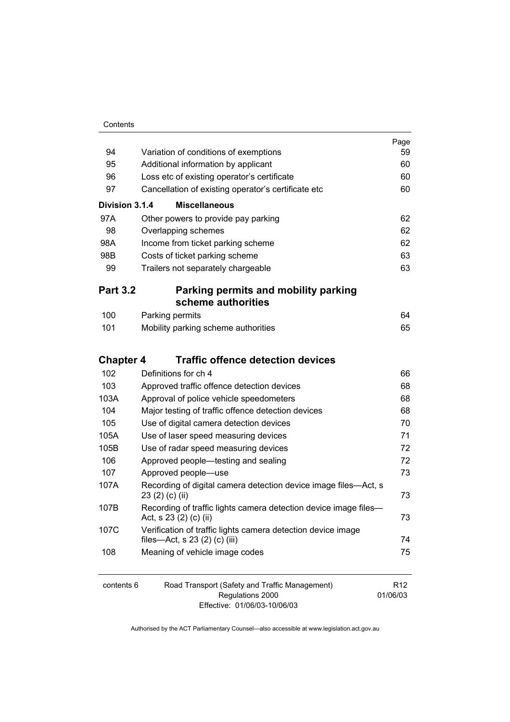| 94               | Variation of conditions of exemptions                                                         | Page<br>59 |
|------------------|-----------------------------------------------------------------------------------------------|------------|
| 95               | Additional information by applicant                                                           | 60         |
| 96               | Loss etc of existing operator's certificate                                                   | 60         |
| 97               | Cancellation of existing operator's certificate etc                                           | 60         |
| Division 3.1.4   | <b>Miscellaneous</b>                                                                          |            |
| 97A              | Other powers to provide pay parking                                                           | 62         |
| 98               | Overlapping schemes                                                                           | 62         |
| 98A              | Income from ticket parking scheme                                                             | 62         |
| 98B              | Costs of ticket parking scheme                                                                | 63         |
| 99               | Trailers not separately chargeable                                                            | 63         |
|                  |                                                                                               |            |
| <b>Part 3.2</b>  | Parking permits and mobility parking<br>scheme authorities                                    |            |
| 100              | Parking permits                                                                               | 64         |
| 101              | Mobility parking scheme authorities                                                           | 65         |
| <b>Chapter 4</b> | <b>Traffic offence detection devices</b>                                                      |            |
| 102              | Definitions for ch 4                                                                          | 66         |
| 103              | Approved traffic offence detection devices                                                    | 68         |
| 103A             | Approval of police vehicle speedometers                                                       | 68         |
| 104              | Major testing of traffic offence detection devices                                            | 68         |
| 105              | Use of digital camera detection devices                                                       | 70         |
| 105A             | Use of laser speed measuring devices                                                          | 71         |
| 105B             | Use of radar speed measuring devices                                                          | 72         |
| 106              | Approved people—testing and sealing                                                           | 72         |
| 107              | Approved people-use                                                                           | 73         |
| 107A             | Recording of digital camera detection device image files—Act, s<br>23 (2) (c) (ii)            | 73         |
| 107B             | Recording of traffic lights camera detection device image files-<br>Act, s 23 (2) (c) (ii)    | 73         |
| 107C             | Verification of traffic lights camera detection device image<br>files-Act, s 23 (2) (c) (iii) | 74         |
| 108              | Meaning of vehicle image codes                                                                | 75         |
|                  |                                                                                               |            |

| contents 6 | Road Transport (Safety and Traffic Management) | R <sub>12</sub> |
|------------|------------------------------------------------|-----------------|
|            | Regulations 2000                               | 01/06/03        |
|            | Effective: 01/06/03-10/06/03                   |                 |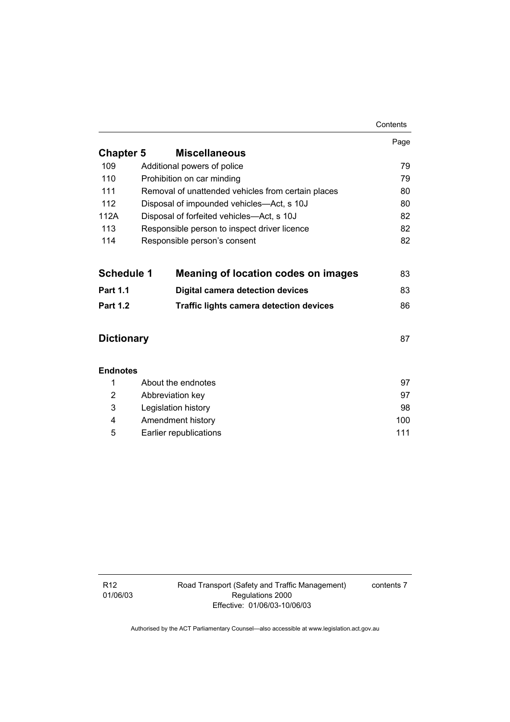|                   |                                                    | Contents |
|-------------------|----------------------------------------------------|----------|
|                   |                                                    | Page     |
| <b>Chapter 5</b>  | <b>Miscellaneous</b>                               |          |
| 109               | Additional powers of police                        | 79       |
| 110               | Prohibition on car minding                         | 79       |
| 111               | Removal of unattended vehicles from certain places | 80       |
| 112               | Disposal of impounded vehicles—Act, s 10J          | 80       |
| 112A              | Disposal of forfeited vehicles—Act, s 10J          | 82       |
| 113               | Responsible person to inspect driver licence       | 82       |
| 114               | Responsible person's consent                       | 82       |
| <b>Schedule 1</b> | <b>Meaning of location codes on images</b>         | 83       |
| <b>Part 1.1</b>   | <b>Digital camera detection devices</b>            | 83       |
| <b>Part 1.2</b>   | <b>Traffic lights camera detection devices</b>     | 86       |
| <b>Dictionary</b> |                                                    | 87       |
| <b>Endnotes</b>   |                                                    |          |
| 1                 | About the endnotes                                 | 97       |
| 2                 | Abbreviation key                                   | 97       |
| 3                 | Legislation history                                | 98       |
| 4                 | Amendment history                                  | 100      |
| 5                 | Earlier republications                             | 111      |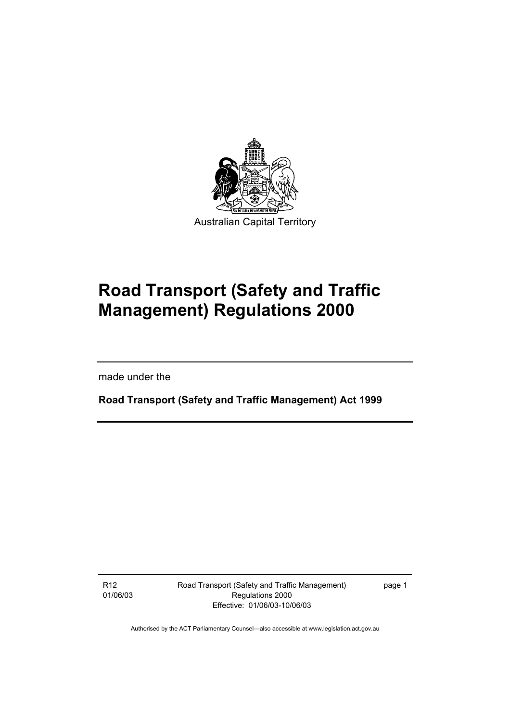

# **Road Transport (Safety and Traffic Management) Regulations 2000**

made under the

**Road Transport (Safety and Traffic Management) Act 1999** 

R12 01/06/03 Road Transport (Safety and Traffic Management) Regulations 2000 Effective: 01/06/03-10/06/03

page 1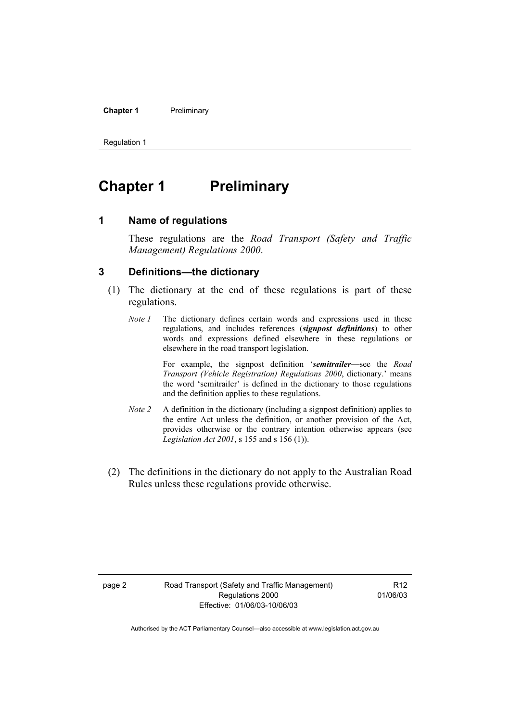#### **Chapter 1** Preliminary

Regulation 1

### **Chapter 1** Preliminary

#### **1 Name of regulations**

These regulations are the *Road Transport (Safety and Traffic Management) Regulations 2000*.

#### **3 Definitions—the dictionary**

- (1) The dictionary at the end of these regulations is part of these regulations.
	- *Note 1* The dictionary defines certain words and expressions used in these regulations, and includes references (*signpost definitions*) to other words and expressions defined elsewhere in these regulations or elsewhere in the road transport legislation.

 For example, the signpost definition '*semitrailer*—see the *Road Transport (Vehicle Registration) Regulations 2000*, dictionary.' means the word 'semitrailer' is defined in the dictionary to those regulations and the definition applies to these regulations.

- *Note 2* A definition in the dictionary (including a signpost definition) applies to the entire Act unless the definition, or another provision of the Act, provides otherwise or the contrary intention otherwise appears (see *Legislation Act 2001*, s 155 and s 156 (1)).
- (2) The definitions in the dictionary do not apply to the Australian Road Rules unless these regulations provide otherwise.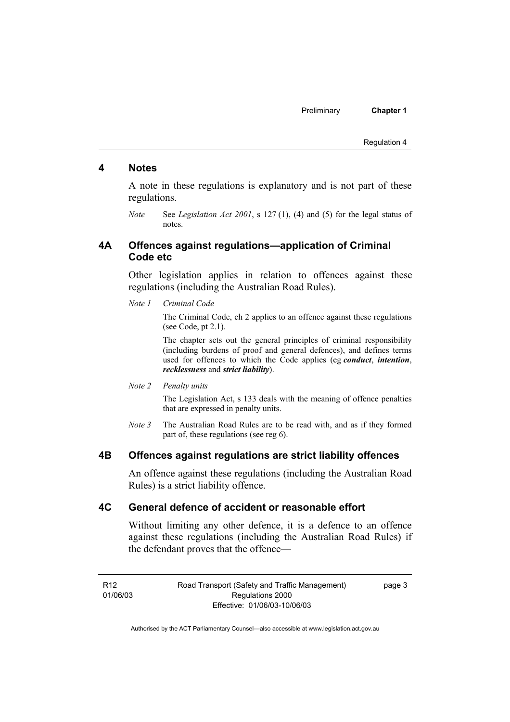Preliminary **Chapter 1** 

Regulation 4

#### **4 Notes**

A note in these regulations is explanatory and is not part of these regulations.

*Note* See *Legislation Act 2001*, s 127 (1), (4) and (5) for the legal status of notes.

#### **4A Offences against regulations—application of Criminal Code etc**

Other legislation applies in relation to offences against these regulations (including the Australian Road Rules).

*Note 1 Criminal Code*

The Criminal Code, ch 2 applies to an offence against these regulations (see Code, pt 2.1).

The chapter sets out the general principles of criminal responsibility (including burdens of proof and general defences), and defines terms used for offences to which the Code applies (eg *conduct*, *intention*, *recklessness* and *strict liability*).

*Note 2 Penalty units* 

The Legislation Act, s 133 deals with the meaning of offence penalties that are expressed in penalty units.

*Note 3* The Australian Road Rules are to be read with, and as if they formed part of, these regulations (see reg 6).

#### **4B Offences against regulations are strict liability offences**

An offence against these regulations (including the Australian Road Rules) is a strict liability offence.

#### **4C General defence of accident or reasonable effort**

Without limiting any other defence, it is a defence to an offence against these regulations (including the Australian Road Rules) if the defendant proves that the offence—

R12 01/06/03 Road Transport (Safety and Traffic Management) Regulations 2000 Effective: 01/06/03-10/06/03

page 3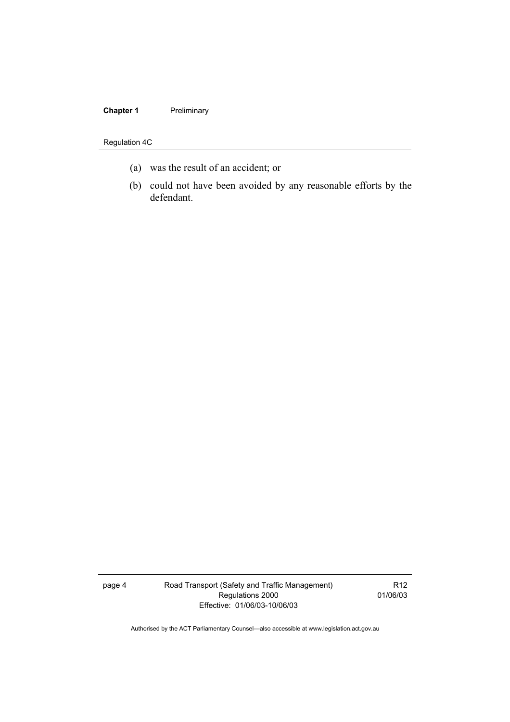#### **Chapter 1** Preliminary

#### Regulation 4C

- (a) was the result of an accident; or
- (b) could not have been avoided by any reasonable efforts by the defendant.

page 4 Road Transport (Safety and Traffic Management) Regulations 2000 Effective: 01/06/03-10/06/03

R12 01/06/03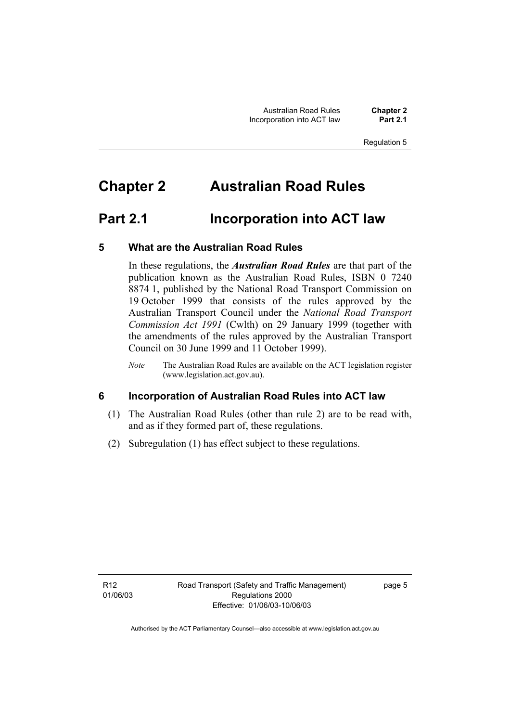Australian Road Rules **Chapter 2 Incorporation into ACT law** 

Regulation 5

### **Chapter 2 Australian Road Rules**

### **Part 2.1 Incorporation into ACT law**

#### **5 What are the Australian Road Rules**

In these regulations, the *Australian Road Rules* are that part of the publication known as the Australian Road Rules, ISBN 0 7240 8874 1, published by the National Road Transport Commission on 19 October 1999 that consists of the rules approved by the Australian Transport Council under the *National Road Transport Commission Act 1991* (Cwlth) on 29 January 1999 (together with the amendments of the rules approved by the Australian Transport Council on 30 June 1999 and 11 October 1999).

*Note* The Australian Road Rules are available on the ACT legislation register (www.legislation.act.gov.au).

#### **6 Incorporation of Australian Road Rules into ACT law**

- (1) The Australian Road Rules (other than rule 2) are to be read with, and as if they formed part of, these regulations.
- (2) Subregulation (1) has effect subject to these regulations.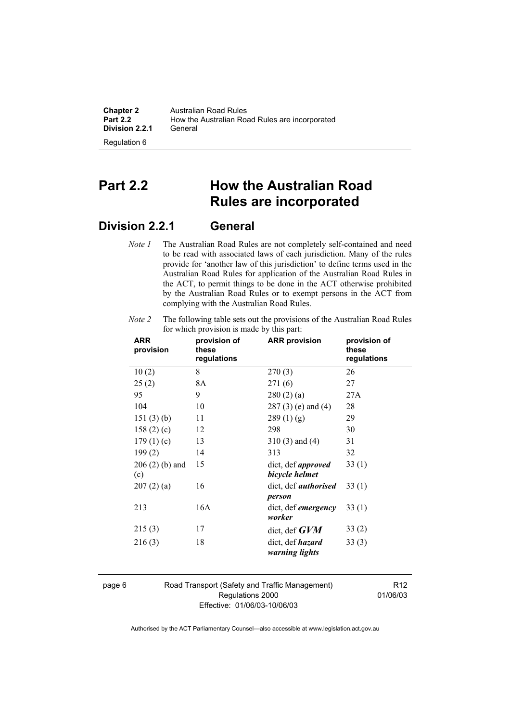| <b>Chapter 2</b> | Australian Road Rules                          |
|------------------|------------------------------------------------|
| <b>Part 2.2</b>  | How the Australian Road Rules are incorporated |
| Division 2.2.1   | General                                        |

**Part 2.2 How the Australian Road Rules are incorporated** 

### **Division 2.2.1 General**

Regulation 6

*Note 1* The Australian Road Rules are not completely self-contained and need to be read with associated laws of each jurisdiction. Many of the rules provide for 'another law of this jurisdiction' to define terms used in the Australian Road Rules for application of the Australian Road Rules in the ACT, to permit things to be done in the ACT otherwise prohibited by the Australian Road Rules or to exempt persons in the ACT from complying with the Australian Road Rules.

| <b>ARR</b><br>provision | provision of<br>these<br>regulations | <b>ARR provision</b>                        | provision of<br>these<br>regulations |
|-------------------------|--------------------------------------|---------------------------------------------|--------------------------------------|
| 10(2)                   | 8                                    | 270(3)                                      | 26                                   |
| 25(2)                   | 8A                                   | 271(6)                                      | 27                                   |
| 95                      | 9                                    | 280(2)(a)                                   | 27A                                  |
| 104                     | 10                                   | 287 (3) (e) and (4)                         | 28                                   |
| 151(3)(b)               | 11                                   | 289(1)(g)                                   | 29                                   |
| 158 $(2)$ $(c)$         | 12                                   | 298                                         | 30                                   |
| 179(1)(c)               | 13                                   | $310(3)$ and $(4)$                          | 31                                   |
| 199(2)                  | 14                                   | 313                                         | 32                                   |
| $206(2)$ (b) and<br>(c) | 15                                   | dict, def <i>approved</i><br>bicycle helmet | 33(1)                                |
| 207(2)(a)               | 16                                   | dict, def <i>authorised</i><br>person       | 33(1)                                |
| 213                     | 16A                                  | dict, def <i>emergency</i><br>worker        | 33(1)                                |
| 215(3)                  | 17                                   | dict, def $GVM$                             | 33(2)                                |
| 216(3)                  | 18                                   | dict, def <i>hazard</i><br>warning lights   | 33(3)                                |

*Note 2* The following table sets out the provisions of the Australian Road Rules for which provision is made by this part:

page 6 Road Transport (Safety and Traffic Management) Regulations 2000 Effective: 01/06/03-10/06/03

R12 01/06/03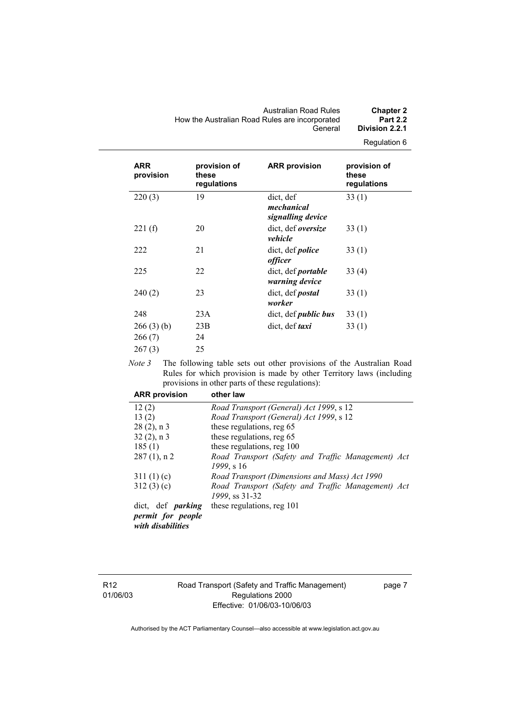Australian Road Rules **Chapter 2**  How the Australian Road Rules are incorporated<br>General Division 2.2.1

Regulation 6

| <b>ARR</b><br>provision | provision of<br>these<br>regulations | <b>ARR provision</b>                               | provision of<br>these<br>regulations |
|-------------------------|--------------------------------------|----------------------------------------------------|--------------------------------------|
| 220(3)                  | 19                                   | dict, def<br>mechanical<br>signalling device       | 33(1)                                |
| 221(f)                  | 20                                   | dict, def oversize<br>vehicle                      | 33(1)                                |
| 222                     | 21                                   | dict, def <i>police</i><br><i>officer</i>          | 33(1)                                |
| 225                     | 22                                   | dict, def <i>portable</i><br><i>warning device</i> | 33(4)                                |
| 240(2)                  | 23                                   | dict, def <i>postal</i><br>worker                  | 33(1)                                |
| 248                     | 23A                                  | dict, def <i>public bus</i>                        | 33(1)                                |
| 266(3)(b)               | 23B                                  | dict, def <i>taxi</i>                              | 33(1)                                |
| 266(7)                  | 24                                   |                                                    |                                      |
| 267(3)                  | 25                                   |                                                    |                                      |

*Note 3* The following table sets out other provisions of the Australian Road Rules for which provision is made by other Territory laws (including provisions in other parts of these regulations):

| <b>ARR provision</b>                   | other law                                          |
|----------------------------------------|----------------------------------------------------|
| 12(2)                                  | Road Transport (General) Act 1999, s 12            |
| 13(2)                                  | Road Transport (General) Act 1999, s 12            |
| $28(2)$ , n 3                          | these regulations, reg 65                          |
| $32(2)$ , n 3                          | these regulations, reg 65                          |
| 185(1)                                 | these regulations, reg 100                         |
| $287(1)$ , n 2                         | Road Transport (Safety and Traffic Management) Act |
|                                        | 1999, s 16                                         |
| 311(1)(c)                              | Road Transport (Dimensions and Mass) Act 1990      |
| 312(3)(c)                              | Road Transport (Safety and Traffic Management) Act |
|                                        | 1999, ss 31-32                                     |
| dict, def <i>parking</i>               | these regulations, reg 101                         |
| permit for people<br>with disabilities |                                                    |

R12 01/06/03

#### Road Transport (Safety and Traffic Management) Regulations 2000 Effective: 01/06/03-10/06/03

page 7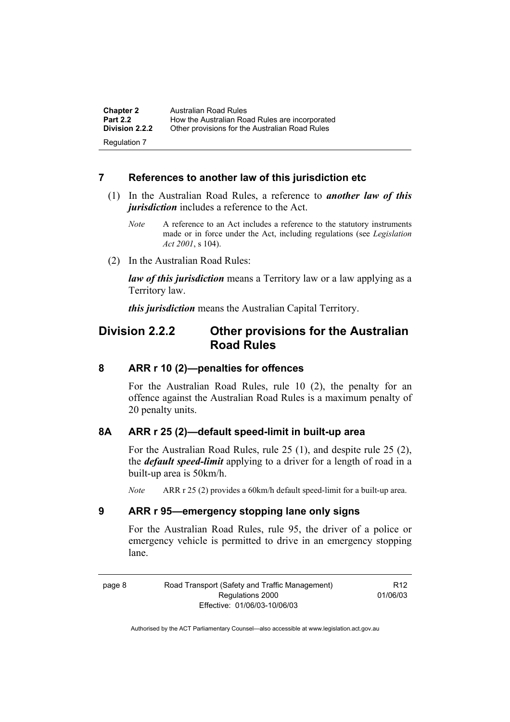| <b>Chapter 2</b>                      | Australian Road Rules                          |
|---------------------------------------|------------------------------------------------|
| <b>Part 2.2</b>                       | How the Australian Road Rules are incorporated |
| <b>Division 2.2.2</b><br>Regulation 7 | Other provisions for the Australian Road Rules |

#### **7 References to another law of this jurisdiction etc**

- (1) In the Australian Road Rules, a reference to *another law of this jurisdiction* includes a reference to the Act.
	- *Note* A reference to an Act includes a reference to the statutory instruments made or in force under the Act, including regulations (see *Legislation Act 2001*, s 104).
- (2) In the Australian Road Rules:

*law of this jurisdiction* means a Territory law or a law applying as a Territory law.

*this jurisdiction* means the Australian Capital Territory.

### **Division 2.2.2 Other provisions for the Australian Road Rules**

#### **8 ARR r 10 (2)—penalties for offences**

For the Australian Road Rules, rule 10 (2), the penalty for an offence against the Australian Road Rules is a maximum penalty of 20 penalty units.

#### **8A ARR r 25 (2)—default speed-limit in built-up area**

For the Australian Road Rules, rule 25 (1), and despite rule 25 (2), the *default speed-limit* applying to a driver for a length of road in a built-up area is 50km/h.

*Note* ARR r 25 (2) provides a 60km/h default speed-limit for a built-up area.

#### **9 ARR r 95—emergency stopping lane only signs**

For the Australian Road Rules, rule 95, the driver of a police or emergency vehicle is permitted to drive in an emergency stopping lane.

page 8 Road Transport (Safety and Traffic Management) Regulations 2000 Effective: 01/06/03-10/06/03 R12 01/06/03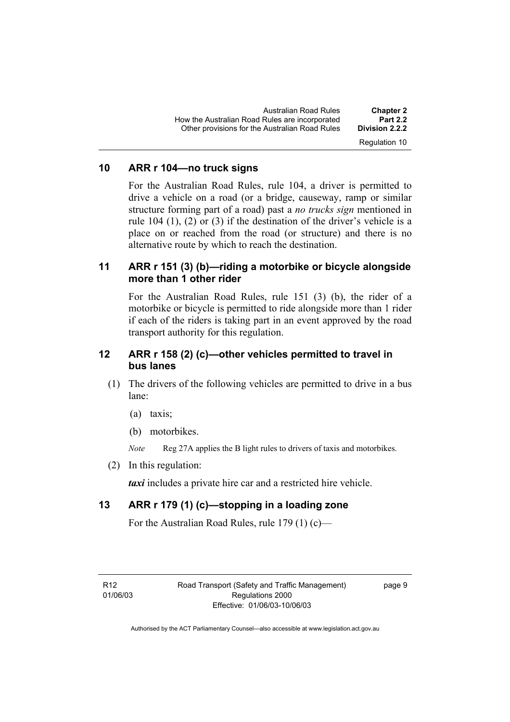| <b>Part 2.2</b><br>How the Australian Road Rules are incorporated                 |  |
|-----------------------------------------------------------------------------------|--|
| Other provisions for the Australian Road Rules<br>Division 2.2.2<br>Regulation 10 |  |

#### **10 ARR r 104—no truck signs**

For the Australian Road Rules, rule 104, a driver is permitted to drive a vehicle on a road (or a bridge, causeway, ramp or similar structure forming part of a road) past a *no trucks sign* mentioned in rule 104 (1), (2) or (3) if the destination of the driver's vehicle is a place on or reached from the road (or structure) and there is no alternative route by which to reach the destination.

#### **11 ARR r 151 (3) (b)—riding a motorbike or bicycle alongside more than 1 other rider**

For the Australian Road Rules, rule 151 (3) (b), the rider of a motorbike or bicycle is permitted to ride alongside more than 1 rider if each of the riders is taking part in an event approved by the road transport authority for this regulation.

#### **12 ARR r 158 (2) (c)—other vehicles permitted to travel in bus lanes**

- (1) The drivers of the following vehicles are permitted to drive in a bus lane:
	- (a) taxis;
	- (b) motorbikes.

*Note* Reg 27A applies the B light rules to drivers of taxis and motorbikes.

(2) In this regulation:

*taxi* includes a private hire car and a restricted hire vehicle.

#### **13 ARR r 179 (1) (c)—stopping in a loading zone**

For the Australian Road Rules, rule 179 (1) (c)—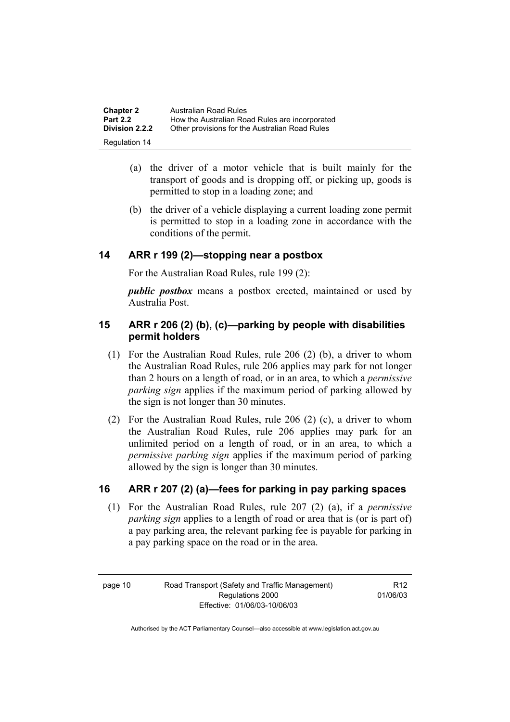| <b>Chapter 2</b>      | <b>Australian Road Rules</b>                   |
|-----------------------|------------------------------------------------|
| <b>Part 2.2</b>       | How the Australian Road Rules are incorporated |
| <b>Division 2.2.2</b> | Other provisions for the Australian Road Rules |
| Regulation 14         |                                                |

- (a) the driver of a motor vehicle that is built mainly for the transport of goods and is dropping off, or picking up, goods is permitted to stop in a loading zone; and
- (b) the driver of a vehicle displaying a current loading zone permit is permitted to stop in a loading zone in accordance with the conditions of the permit.

#### **14 ARR r 199 (2)—stopping near a postbox**

For the Australian Road Rules, rule 199 (2):

*public postbox* means a postbox erected, maintained or used by Australia Post.

#### **15 ARR r 206 (2) (b), (c)—parking by people with disabilities permit holders**

- (1) For the Australian Road Rules, rule 206 (2) (b), a driver to whom the Australian Road Rules, rule 206 applies may park for not longer than 2 hours on a length of road, or in an area, to which a *permissive parking sign* applies if the maximum period of parking allowed by the sign is not longer than 30 minutes.
- (2) For the Australian Road Rules, rule 206 (2) (c), a driver to whom the Australian Road Rules, rule 206 applies may park for an unlimited period on a length of road, or in an area, to which a *permissive parking sign* applies if the maximum period of parking allowed by the sign is longer than 30 minutes.

#### **16 ARR r 207 (2) (a)—fees for parking in pay parking spaces**

 (1) For the Australian Road Rules, rule 207 (2) (a), if a *permissive parking sign* applies to a length of road or area that is (or is part of) a pay parking area, the relevant parking fee is payable for parking in a pay parking space on the road or in the area.

R12 01/06/03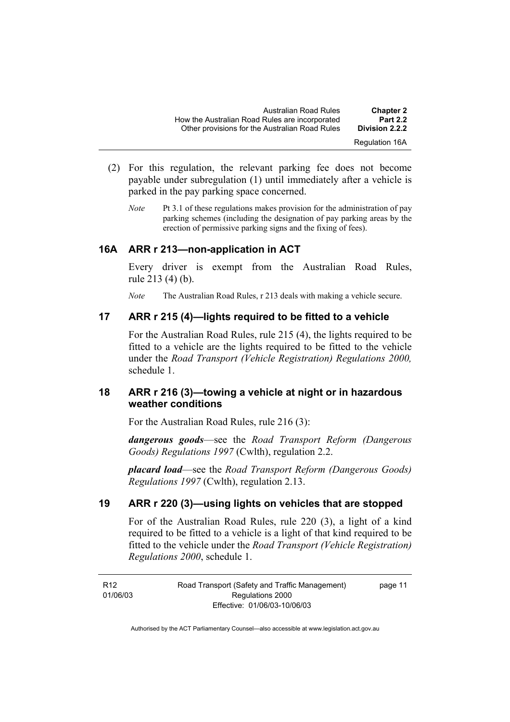| <b>Chapter 2</b><br><b>Part 2.2</b> | Australian Road Rules<br>How the Australian Road Rules are incorporated |
|-------------------------------------|-------------------------------------------------------------------------|
| Division 2.2.2                      | Other provisions for the Australian Road Rules                          |
| <b>Regulation 16A</b>               |                                                                         |

- (2) For this regulation, the relevant parking fee does not become payable under subregulation (1) until immediately after a vehicle is parked in the pay parking space concerned.
	- *Note* Pt 3.1 of these regulations makes provision for the administration of pay parking schemes (including the designation of pay parking areas by the erection of permissive parking signs and the fixing of fees).

#### **16A ARR r 213—non-application in ACT**

Every driver is exempt from the Australian Road Rules, rule 213 (4) (b).

*Note* The Australian Road Rules, r 213 deals with making a vehicle secure.

#### **17 ARR r 215 (4)—lights required to be fitted to a vehicle**

For the Australian Road Rules, rule 215 (4), the lights required to be fitted to a vehicle are the lights required to be fitted to the vehicle under the *Road Transport (Vehicle Registration) Regulations 2000,*  schedule 1.

#### **18 ARR r 216 (3)—towing a vehicle at night or in hazardous weather conditions**

For the Australian Road Rules, rule 216 (3):

*dangerous goods*—see the *Road Transport Reform (Dangerous Goods) Regulations 1997* (Cwlth), regulation 2.2.

*placard load*—see the *Road Transport Reform (Dangerous Goods) Regulations 1997* (Cwlth), regulation 2.13.

#### **19 ARR r 220 (3)—using lights on vehicles that are stopped**

For of the Australian Road Rules, rule 220 (3), a light of a kind required to be fitted to a vehicle is a light of that kind required to be fitted to the vehicle under the *Road Transport (Vehicle Registration) Regulations 2000*, schedule 1.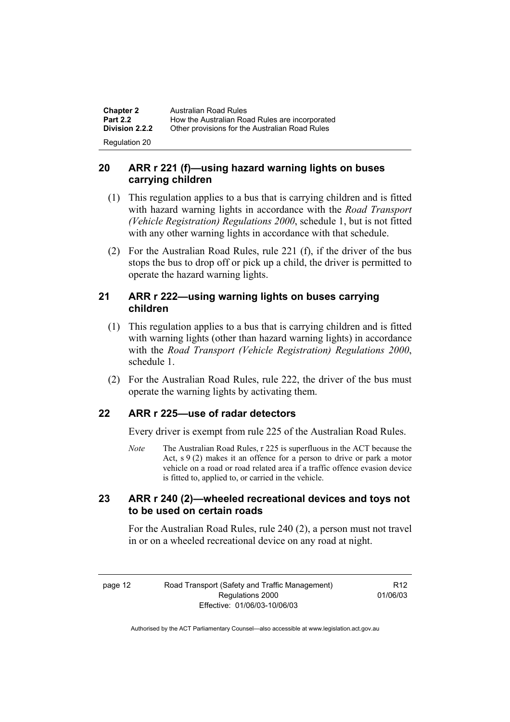| <b>Chapter 2</b> | Australian Road Rules                          |
|------------------|------------------------------------------------|
| <b>Part 2.2</b>  | How the Australian Road Rules are incorporated |
| Division 2.2.2   | Other provisions for the Australian Road Rules |
| Regulation 20    |                                                |

#### **20 ARR r 221 (f)—using hazard warning lights on buses carrying children**

- (1) This regulation applies to a bus that is carrying children and is fitted with hazard warning lights in accordance with the *Road Transport (Vehicle Registration) Regulations 2000*, schedule 1, but is not fitted with any other warning lights in accordance with that schedule.
- (2) For the Australian Road Rules, rule 221 (f), if the driver of the bus stops the bus to drop off or pick up a child, the driver is permitted to operate the hazard warning lights.

#### **21 ARR r 222—using warning lights on buses carrying children**

- (1) This regulation applies to a bus that is carrying children and is fitted with warning lights (other than hazard warning lights) in accordance with the *Road Transport (Vehicle Registration) Regulations 2000*, schedule 1.
- (2) For the Australian Road Rules, rule 222, the driver of the bus must operate the warning lights by activating them.

#### **22 ARR r 225—use of radar detectors**

Every driver is exempt from rule 225 of the Australian Road Rules.

*Note* The Australian Road Rules, r 225 is superfluous in the ACT because the Act,  $s \theta(2)$  makes it an offence for a person to drive or park a motor vehicle on a road or road related area if a traffic offence evasion device is fitted to, applied to, or carried in the vehicle.

#### **23 ARR r 240 (2)—wheeled recreational devices and toys not to be used on certain roads**

For the Australian Road Rules, rule 240 (2), a person must not travel in or on a wheeled recreational device on any road at night.

R12 01/06/03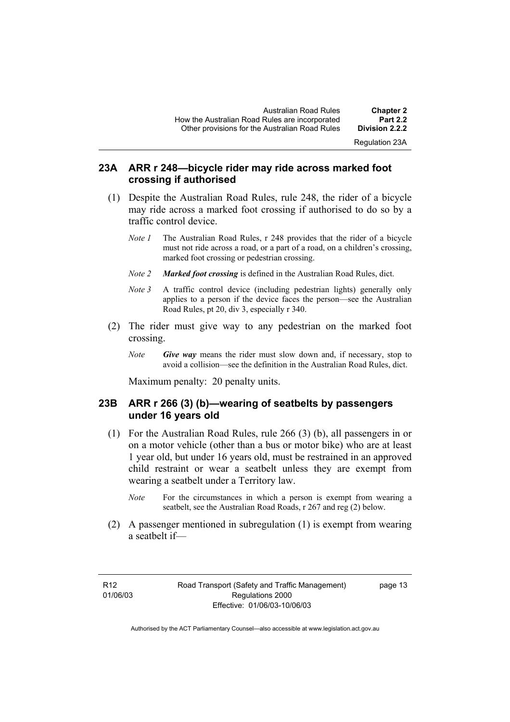#### **23A ARR r 248—bicycle rider may ride across marked foot crossing if authorised**

- (1) Despite the Australian Road Rules, rule 248, the rider of a bicycle may ride across a marked foot crossing if authorised to do so by a traffic control device.
	- *Note 1* The Australian Road Rules, r 248 provides that the rider of a bicycle must not ride across a road, or a part of a road, on a children's crossing, marked foot crossing or pedestrian crossing.
	- *Note 2 Marked foot crossing* is defined in the Australian Road Rules, dict.
	- *Note 3* A traffic control device (including pedestrian lights) generally only applies to a person if the device faces the person—see the Australian Road Rules, pt 20, div 3, especially r 340.
- (2) The rider must give way to any pedestrian on the marked foot crossing.
	- *Note Give way* means the rider must slow down and, if necessary, stop to avoid a collision—see the definition in the Australian Road Rules, dict.

Maximum penalty: 20 penalty units.

#### **23B ARR r 266 (3) (b)—wearing of seatbelts by passengers under 16 years old**

- (1) For the Australian Road Rules, rule 266 (3) (b), all passengers in or on a motor vehicle (other than a bus or motor bike) who are at least 1 year old, but under 16 years old, must be restrained in an approved child restraint or wear a seatbelt unless they are exempt from wearing a seatbelt under a Territory law.
	- *Note* For the circumstances in which a person is exempt from wearing a seatbelt, see the Australian Road Roads, r 267 and reg (2) below.
- (2) A passenger mentioned in subregulation (1) is exempt from wearing a seatbelt if—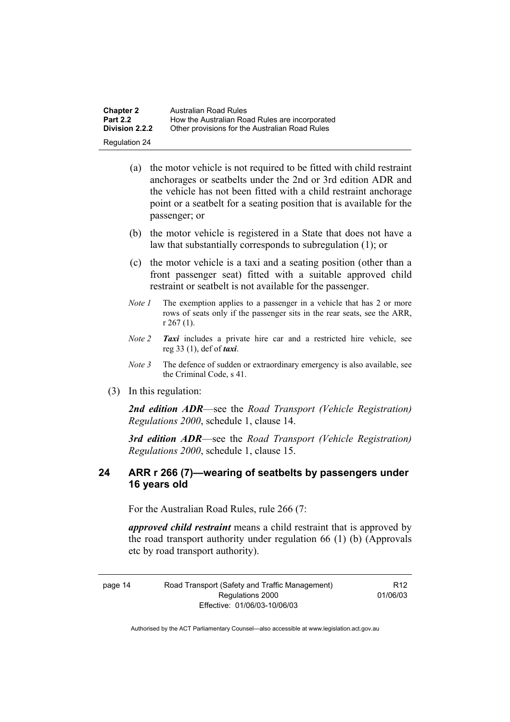| <b>Chapter 2</b>     | Australian Road Rules                          |
|----------------------|------------------------------------------------|
| <b>Part 2.2</b>      | How the Australian Road Rules are incorporated |
| Division 2.2.2       | Other provisions for the Australian Road Rules |
| <b>Regulation 24</b> |                                                |

- (a) the motor vehicle is not required to be fitted with child restraint anchorages or seatbelts under the 2nd or 3rd edition ADR and the vehicle has not been fitted with a child restraint anchorage point or a seatbelt for a seating position that is available for the passenger; or
- (b) the motor vehicle is registered in a State that does not have a law that substantially corresponds to subregulation (1); or
- (c) the motor vehicle is a taxi and a seating position (other than a front passenger seat) fitted with a suitable approved child restraint or seatbelt is not available for the passenger.
- *Note 1* The exemption applies to a passenger in a vehicle that has 2 or more rows of seats only if the passenger sits in the rear seats, see the ARR, r 267 (1).
- *Note 2 Taxi* includes a private hire car and a restricted hire vehicle, see reg 33 (1), def of *taxi*.
- *Note 3* The defence of sudden or extraordinary emergency is also available, see the Criminal Code, s 41.
- (3) In this regulation:

*2nd edition ADR*—see the *Road Transport (Vehicle Registration) Regulations 2000*, schedule 1, clause 14.

*3rd edition ADR*—see the *Road Transport (Vehicle Registration) Regulations 2000*, schedule 1, clause 15.

#### **24 ARR r 266 (7)—wearing of seatbelts by passengers under 16 years old**

For the Australian Road Rules, rule 266 (7:

*approved child restraint* means a child restraint that is approved by the road transport authority under regulation 66 (1) (b) (Approvals etc by road transport authority).

page 14 Road Transport (Safety and Traffic Management) Regulations 2000 Effective: 01/06/03-10/06/03 R12

01/06/03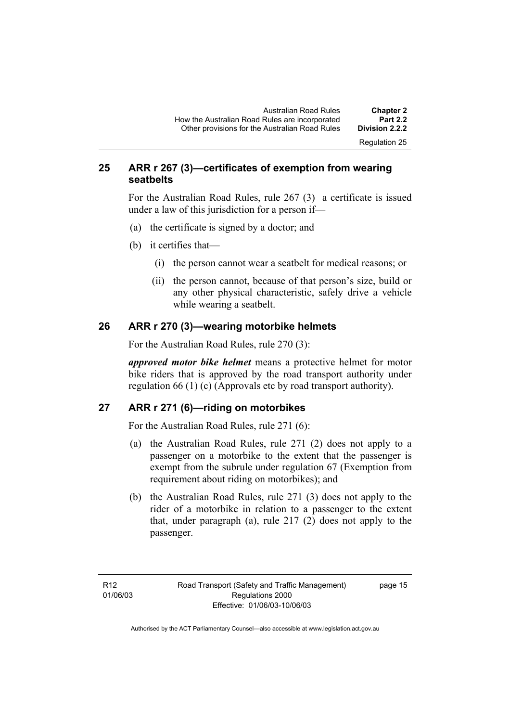#### **25 ARR r 267 (3)—certificates of exemption from wearing seatbelts**

For the Australian Road Rules, rule 267 (3) a certificate is issued under a law of this jurisdiction for a person if—

- (a) the certificate is signed by a doctor; and
- (b) it certifies that—
	- (i) the person cannot wear a seatbelt for medical reasons; or
	- (ii) the person cannot, because of that person's size, build or any other physical characteristic, safely drive a vehicle while wearing a seatbelt.

#### **26 ARR r 270 (3)—wearing motorbike helmets**

For the Australian Road Rules, rule 270 (3):

*approved motor bike helmet* means a protective helmet for motor bike riders that is approved by the road transport authority under regulation 66 (1) (c) (Approvals etc by road transport authority).

#### **27 ARR r 271 (6)—riding on motorbikes**

For the Australian Road Rules, rule 271 (6):

- (a) the Australian Road Rules, rule 271 (2) does not apply to a passenger on a motorbike to the extent that the passenger is exempt from the subrule under regulation 67 (Exemption from requirement about riding on motorbikes); and
- (b) the Australian Road Rules, rule 271 (3) does not apply to the rider of a motorbike in relation to a passenger to the extent that, under paragraph (a), rule 217 (2) does not apply to the passenger.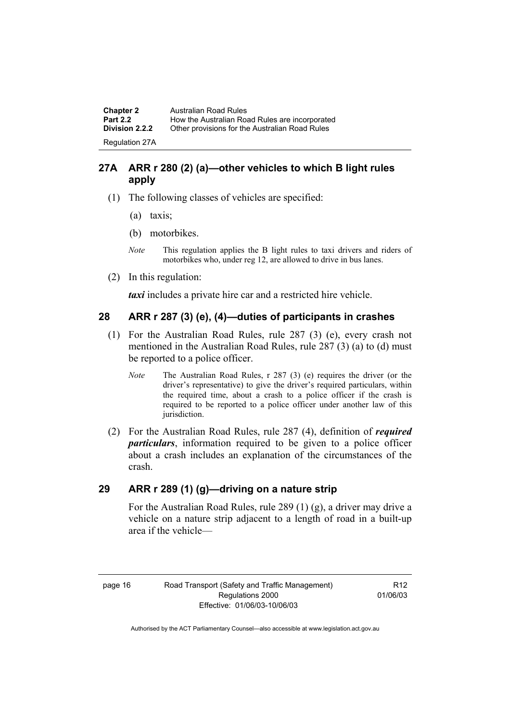**Chapter 2 Australian Road Rules**<br>**Part 2.2 How the Australian Road Part 2.2 How the Australian Road Rules are incorporated Division 2.2.2** Other provisions for the Australian Road Rules **Other provisions for the Australian Road Rules** Regulation 27A

#### **27A ARR r 280 (2) (a)—other vehicles to which B light rules apply**

- (1) The following classes of vehicles are specified:
	- (a) taxis;
	- (b) motorbikes.
	- *Note* This regulation applies the B light rules to taxi drivers and riders of motorbikes who, under reg 12, are allowed to drive in bus lanes.
- (2) In this regulation:

*taxi* includes a private hire car and a restricted hire vehicle.

#### **28 ARR r 287 (3) (e), (4)—duties of participants in crashes**

- (1) For the Australian Road Rules, rule 287 (3) (e), every crash not mentioned in the Australian Road Rules, rule 287 (3) (a) to (d) must be reported to a police officer.
	- *Note* The Australian Road Rules, r 287 (3) (e) requires the driver (or the driver's representative) to give the driver's required particulars, within the required time, about a crash to a police officer if the crash is required to be reported to a police officer under another law of this jurisdiction.
- (2) For the Australian Road Rules, rule 287 (4), definition of *required particulars*, information required to be given to a police officer about a crash includes an explanation of the circumstances of the crash.

#### **29 ARR r 289 (1) (g)—driving on a nature strip**

For the Australian Road Rules, rule 289 (1) (g), a driver may drive a vehicle on a nature strip adjacent to a length of road in a built-up area if the vehicle—

R12 01/06/03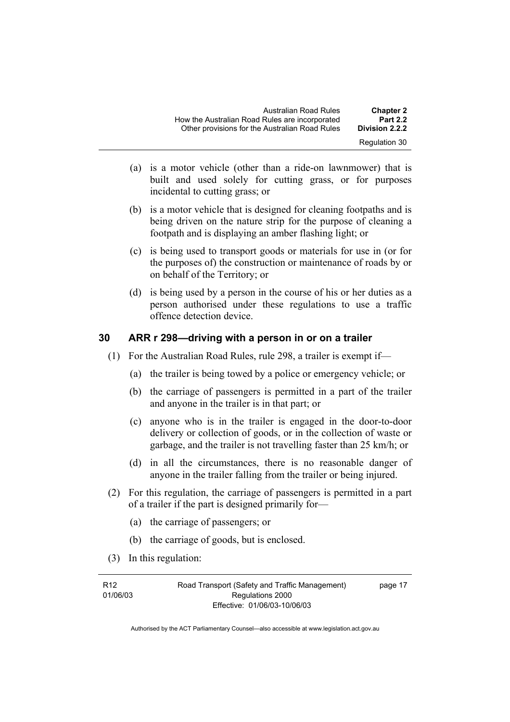| Australian Road Rules                          | <b>Chapter 2</b> |
|------------------------------------------------|------------------|
| How the Australian Road Rules are incorporated | <b>Part 2.2</b>  |
| Other provisions for the Australian Road Rules | Division 2.2.2   |
|                                                | Regulation 30    |

- (a) is a motor vehicle (other than a ride-on lawnmower) that is built and used solely for cutting grass, or for purposes incidental to cutting grass; or
- (b) is a motor vehicle that is designed for cleaning footpaths and is being driven on the nature strip for the purpose of cleaning a footpath and is displaying an amber flashing light; or
- (c) is being used to transport goods or materials for use in (or for the purposes of) the construction or maintenance of roads by or on behalf of the Territory; or
- (d) is being used by a person in the course of his or her duties as a person authorised under these regulations to use a traffic offence detection device.

#### **30 ARR r 298—driving with a person in or on a trailer**

- (1) For the Australian Road Rules, rule 298, a trailer is exempt if—
	- (a) the trailer is being towed by a police or emergency vehicle; or
	- (b) the carriage of passengers is permitted in a part of the trailer and anyone in the trailer is in that part; or
	- (c) anyone who is in the trailer is engaged in the door-to-door delivery or collection of goods, or in the collection of waste or garbage, and the trailer is not travelling faster than 25 km/h; or
	- (d) in all the circumstances, there is no reasonable danger of anyone in the trailer falling from the trailer or being injured.
- (2) For this regulation, the carriage of passengers is permitted in a part of a trailer if the part is designed primarily for—
	- (a) the carriage of passengers; or
	- (b) the carriage of goods, but is enclosed.
- (3) In this regulation:

| R <sub>12</sub> | Road Transport (Safety and Traffic Management) | page 17 |
|-----------------|------------------------------------------------|---------|
| 01/06/03        | Regulations 2000                               |         |
|                 | Effective: 01/06/03-10/06/03                   |         |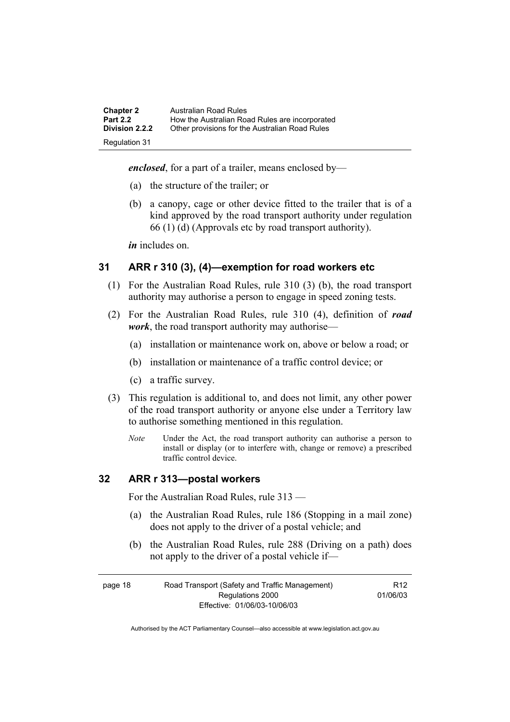| <b>Chapter 2</b>      | Australian Road Rules                          |
|-----------------------|------------------------------------------------|
| <b>Part 2.2</b>       | How the Australian Road Rules are incorporated |
| <b>Division 2.2.2</b> | Other provisions for the Australian Road Rules |
| Regulation 31         |                                                |

*enclosed*, for a part of a trailer, means enclosed by—

- (a) the structure of the trailer; or
- (b) a canopy, cage or other device fitted to the trailer that is of a kind approved by the road transport authority under regulation 66 (1) (d) (Approvals etc by road transport authority).

*in* includes on.

#### **31 ARR r 310 (3), (4)—exemption for road workers etc**

- (1) For the Australian Road Rules, rule 310 (3) (b), the road transport authority may authorise a person to engage in speed zoning tests.
- (2) For the Australian Road Rules, rule 310 (4), definition of *road work*, the road transport authority may authorise—
	- (a) installation or maintenance work on, above or below a road; or
	- (b) installation or maintenance of a traffic control device; or
	- (c) a traffic survey.
- (3) This regulation is additional to, and does not limit, any other power of the road transport authority or anyone else under a Territory law to authorise something mentioned in this regulation.
	- *Note* Under the Act, the road transport authority can authorise a person to install or display (or to interfere with, change or remove) a prescribed traffic control device.

#### **32 ARR r 313—postal workers**

For the Australian Road Rules, rule 313 —

- (a) the Australian Road Rules, rule 186 (Stopping in a mail zone) does not apply to the driver of a postal vehicle; and
- (b) the Australian Road Rules, rule 288 (Driving on a path) does not apply to the driver of a postal vehicle if—

| page 18 | Road Transport (Safety and Traffic Management) | R <sub>12</sub> |
|---------|------------------------------------------------|-----------------|
|         | 01/06/03<br>Regulations 2000                   |                 |
|         | Effective: 01/06/03-10/06/03                   |                 |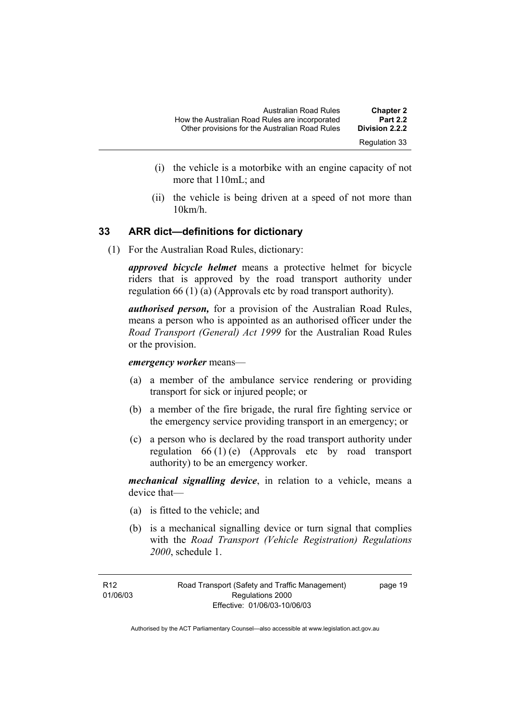| <b>Chapter 2</b> | Australian Road Rules                          |
|------------------|------------------------------------------------|
| <b>Part 2.2</b>  | How the Australian Road Rules are incorporated |
| Division 2.2.2   | Other provisions for the Australian Road Rules |
| Regulation 33    |                                                |

- (i) the vehicle is a motorbike with an engine capacity of not more that 110mL; and
- (ii) the vehicle is being driven at a speed of not more than 10km/h.

#### **33 ARR dict—definitions for dictionary**

(1) For the Australian Road Rules, dictionary:

*approved bicycle helmet* means a protective helmet for bicycle riders that is approved by the road transport authority under regulation 66 (1) (a) (Approvals etc by road transport authority).

*authorised person,* for a provision of the Australian Road Rules, means a person who is appointed as an authorised officer under the *Road Transport (General) Act 1999* for the Australian Road Rules or the provision.

*emergency worker* means—

- (a) a member of the ambulance service rendering or providing transport for sick or injured people; or
- (b) a member of the fire brigade, the rural fire fighting service or the emergency service providing transport in an emergency; or
- (c) a person who is declared by the road transport authority under regulation 66 (1) (e) (Approvals etc by road transport authority) to be an emergency worker.

*mechanical signalling device*, in relation to a vehicle, means a device that—

- (a) is fitted to the vehicle; and
- (b) is a mechanical signalling device or turn signal that complies with the *Road Transport (Vehicle Registration) Regulations 2000*, schedule 1.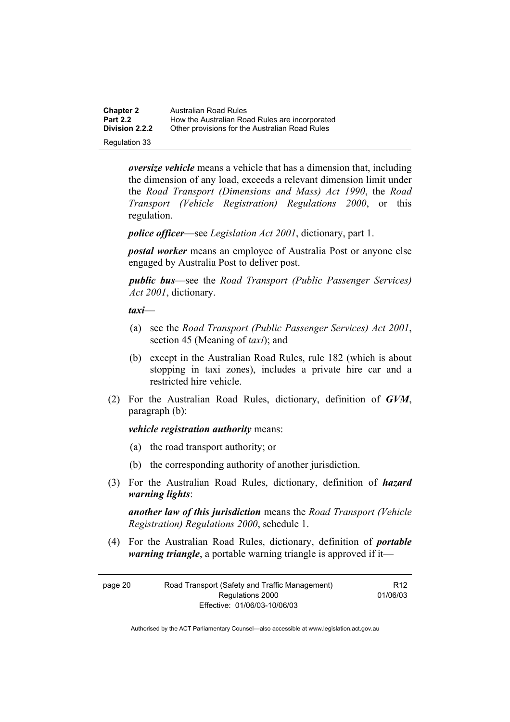| <b>Chapter 2</b>      | Australian Road Rules                          |
|-----------------------|------------------------------------------------|
| <b>Part 2.2</b>       | How the Australian Road Rules are incorporated |
| <b>Division 2.2.2</b> | Other provisions for the Australian Road Rules |
| Regulation 33         |                                                |

*oversize vehicle* means a vehicle that has a dimension that, including the dimension of any load, exceeds a relevant dimension limit under the *Road Transport (Dimensions and Mass) Act 1990*, the *Road Transport (Vehicle Registration) Regulations 2000*, or this regulation.

*police officer*—see *Legislation Act 2001*, dictionary, part 1.

*postal worker* means an employee of Australia Post or anyone else engaged by Australia Post to deliver post.

*public bus*—see the *Road Transport (Public Passenger Services) Act 2001*, dictionary.

*taxi*—

- (a) see the *Road Transport (Public Passenger Services) Act 2001*, section 45 (Meaning of *taxi*); and
- (b) except in the Australian Road Rules, rule 182 (which is about stopping in taxi zones), includes a private hire car and a restricted hire vehicle.
- (2) For the Australian Road Rules, dictionary, definition of *GVM*, paragraph (b):

*vehicle registration authority* means:

- (a) the road transport authority; or
- (b) the corresponding authority of another jurisdiction.
- (3) For the Australian Road Rules, dictionary, definition of *hazard warning lights*:

*another law of this jurisdiction* means the *Road Transport (Vehicle Registration) Regulations 2000*, schedule 1.

 (4) For the Australian Road Rules, dictionary, definition of *portable warning triangle*, a portable warning triangle is approved if it—

| page 20 | Road Transport (Safety and Traffic Management) | R <sub>12</sub> |
|---------|------------------------------------------------|-----------------|
|         | Regulations 2000                               | 01/06/03        |
|         | Effective: 01/06/03-10/06/03                   |                 |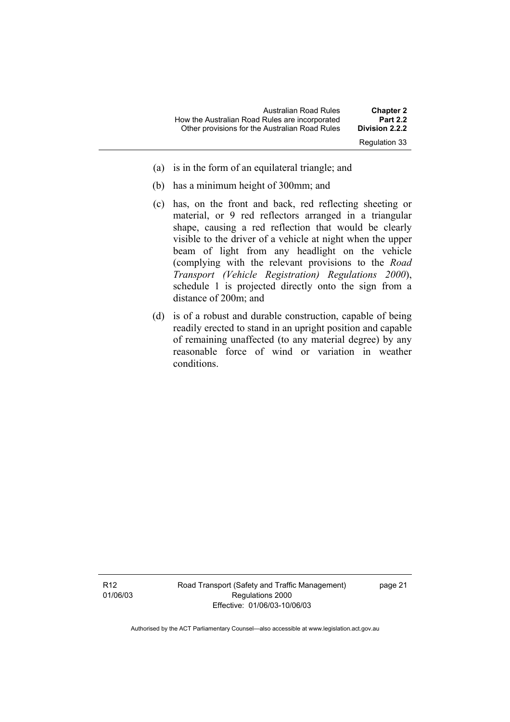- (a) is in the form of an equilateral triangle; and
- (b) has a minimum height of 300mm; and
- (c) has, on the front and back, red reflecting sheeting or material, or 9 red reflectors arranged in a triangular shape, causing a red reflection that would be clearly visible to the driver of a vehicle at night when the upper beam of light from any headlight on the vehicle (complying with the relevant provisions to the *Road Transport (Vehicle Registration) Regulations 2000*), schedule 1 is projected directly onto the sign from a distance of 200m; and
- (d) is of a robust and durable construction, capable of being readily erected to stand in an upright position and capable of remaining unaffected (to any material degree) by any reasonable force of wind or variation in weather conditions.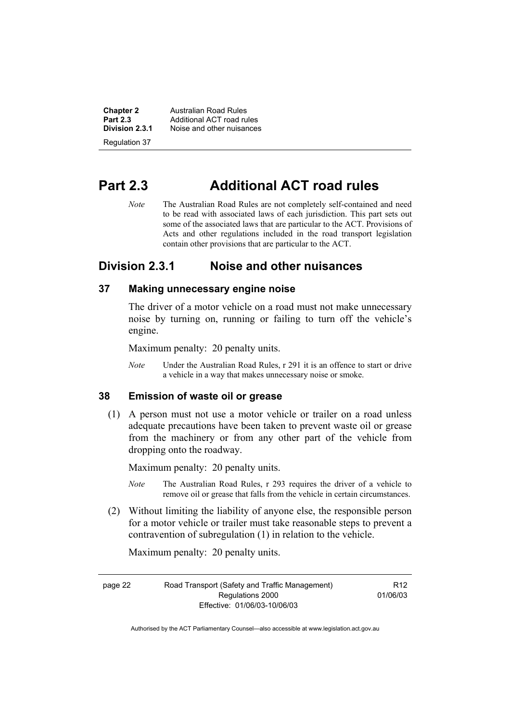**Chapter 2 Australian Road Rules**<br>**Part 2.3 Additional ACT road rules Part 2.3 Additional ACT road rules**<br>**Division 2.3.1** Noise and other nuisances **Division 2.3.1** Noise and other nuisances Regulation 37

## **Part 2.3 Additional ACT road rules**

*Note* The Australian Road Rules are not completely self-contained and need to be read with associated laws of each jurisdiction. This part sets out some of the associated laws that are particular to the ACT. Provisions of Acts and other regulations included in the road transport legislation contain other provisions that are particular to the ACT.

#### **Division 2.3.1 Noise and other nuisances**

#### **37 Making unnecessary engine noise**

The driver of a motor vehicle on a road must not make unnecessary noise by turning on, running or failing to turn off the vehicle's engine.

Maximum penalty: 20 penalty units.

*Note* Under the Australian Road Rules, r 291 it is an offence to start or drive a vehicle in a way that makes unnecessary noise or smoke.

#### **38 Emission of waste oil or grease**

 (1) A person must not use a motor vehicle or trailer on a road unless adequate precautions have been taken to prevent waste oil or grease from the machinery or from any other part of the vehicle from dropping onto the roadway.

Maximum penalty: 20 penalty units.

- *Note* The Australian Road Rules, r 293 requires the driver of a vehicle to remove oil or grease that falls from the vehicle in certain circumstances.
- (2) Without limiting the liability of anyone else, the responsible person for a motor vehicle or trailer must take reasonable steps to prevent a contravention of subregulation (1) in relation to the vehicle.

Maximum penalty: 20 penalty units.

page 22 Road Transport (Safety and Traffic Management) Regulations 2000 Effective: 01/06/03-10/06/03

R12 01/06/03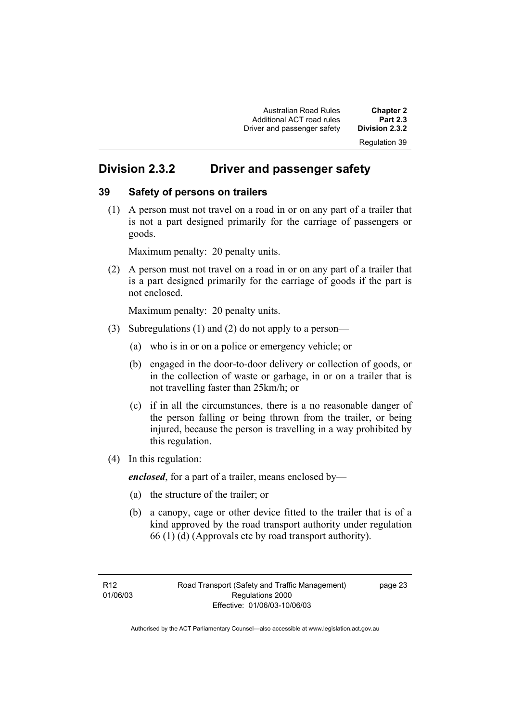Australian Road Rules **Chapter 2**  Additional ACT road rules **Part 2.3**  Driver and passenger safety

Regulation 39

### **Division 2.3.2 Driver and passenger safety**

#### **39 Safety of persons on trailers**

 (1) A person must not travel on a road in or on any part of a trailer that is not a part designed primarily for the carriage of passengers or goods.

Maximum penalty: 20 penalty units.

 (2) A person must not travel on a road in or on any part of a trailer that is a part designed primarily for the carriage of goods if the part is not enclosed.

Maximum penalty: 20 penalty units.

- (3) Subregulations (1) and (2) do not apply to a person—
	- (a) who is in or on a police or emergency vehicle; or
	- (b) engaged in the door-to-door delivery or collection of goods, or in the collection of waste or garbage, in or on a trailer that is not travelling faster than 25km/h; or
	- (c) if in all the circumstances, there is a no reasonable danger of the person falling or being thrown from the trailer, or being injured, because the person is travelling in a way prohibited by this regulation.
- (4) In this regulation:

*enclosed*, for a part of a trailer, means enclosed by—

- (a) the structure of the trailer; or
- (b) a canopy, cage or other device fitted to the trailer that is of a kind approved by the road transport authority under regulation 66 (1) (d) (Approvals etc by road transport authority).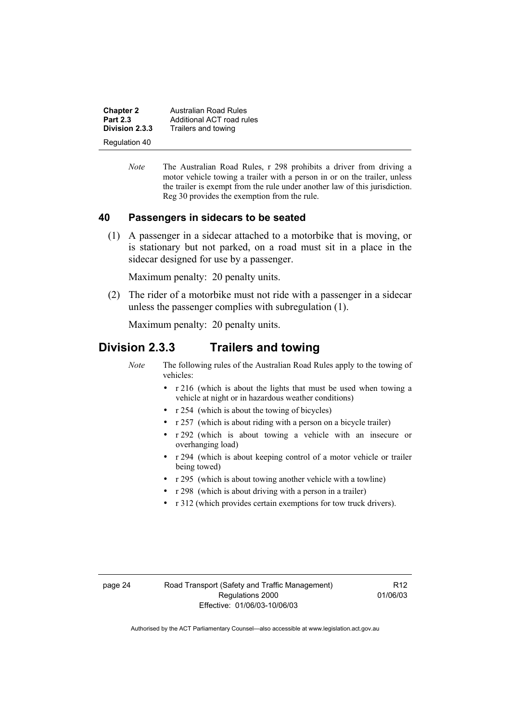**Chapter 2** Australian Road Rules<br>**Part 2.3** Additional ACT road rules **Part 2.3 Additional ACT road rules**<br>**Division 2.3.3** Trailers and towing **Division 2.3.3** Trailers and towing Regulation 40

> *Note* The Australian Road Rules, r 298 prohibits a driver from driving a motor vehicle towing a trailer with a person in or on the trailer, unless the trailer is exempt from the rule under another law of this jurisdiction. Reg 30 provides the exemption from the rule.

#### **40 Passengers in sidecars to be seated**

 (1) A passenger in a sidecar attached to a motorbike that is moving, or is stationary but not parked, on a road must sit in a place in the sidecar designed for use by a passenger.

Maximum penalty: 20 penalty units.

 (2) The rider of a motorbike must not ride with a passenger in a sidecar unless the passenger complies with subregulation (1).

Maximum penalty: 20 penalty units.

#### **Division 2.3.3 Trailers and towing**

*Note* The following rules of the Australian Road Rules apply to the towing of vehicles:

- r 216 (which is about the lights that must be used when towing a vehicle at night or in hazardous weather conditions)
- r 254 (which is about the towing of bicycles)
- r 257 (which is about riding with a person on a bicycle trailer)
- r 292 (which is about towing a vehicle with an insecure or overhanging load)
- r 294 (which is about keeping control of a motor vehicle or trailer being towed)
- r 295 (which is about towing another vehicle with a towline)
- r 298 (which is about driving with a person in a trailer)
- r 312 (which provides certain exemptions for tow truck drivers).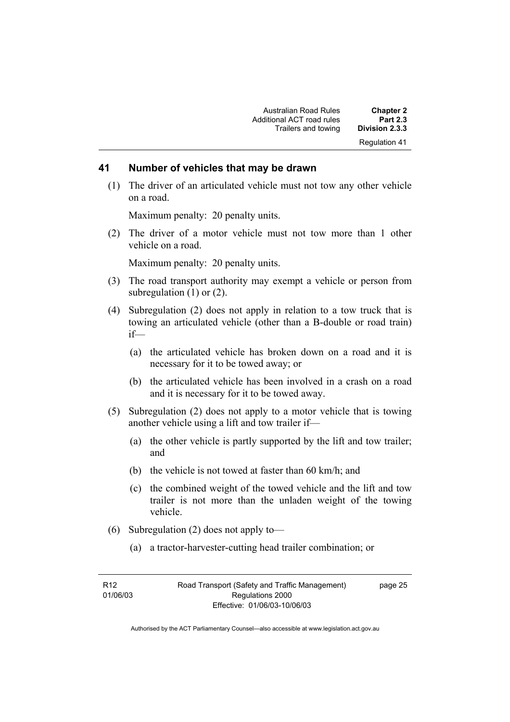#### **41 Number of vehicles that may be drawn**

 (1) The driver of an articulated vehicle must not tow any other vehicle on a road.

Maximum penalty: 20 penalty units.

 (2) The driver of a motor vehicle must not tow more than 1 other vehicle on a road.

Maximum penalty: 20 penalty units.

- (3) The road transport authority may exempt a vehicle or person from subregulation (1) or (2).
- (4) Subregulation (2) does not apply in relation to a tow truck that is towing an articulated vehicle (other than a B-double or road train) if—
	- (a) the articulated vehicle has broken down on a road and it is necessary for it to be towed away; or
	- (b) the articulated vehicle has been involved in a crash on a road and it is necessary for it to be towed away.
- (5) Subregulation (2) does not apply to a motor vehicle that is towing another vehicle using a lift and tow trailer if—
	- (a) the other vehicle is partly supported by the lift and tow trailer; and
	- (b) the vehicle is not towed at faster than 60 km/h; and
	- (c) the combined weight of the towed vehicle and the lift and tow trailer is not more than the unladen weight of the towing vehicle.
- (6) Subregulation (2) does not apply to—
	- (a) a tractor-harvester-cutting head trailer combination; or

page 25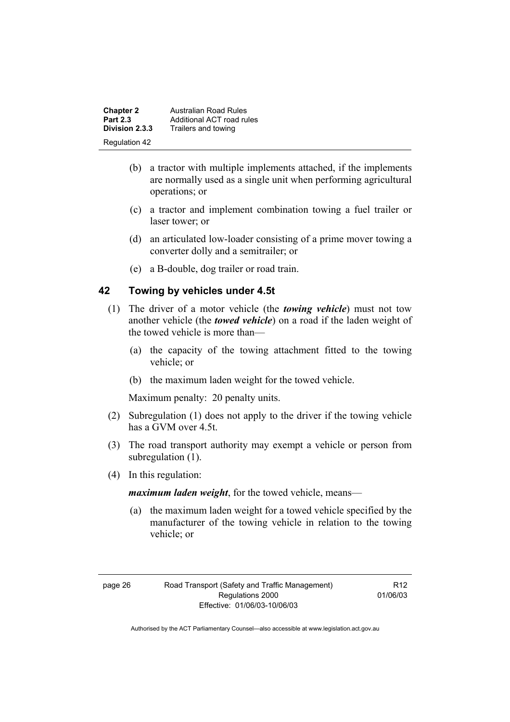| <b>Chapter 2</b> | Australian Road Rules     |
|------------------|---------------------------|
| <b>Part 2.3</b>  | Additional ACT road rules |
| Division 2.3.3   | Trailers and towing       |
| Regulation 42    |                           |

- (b) a tractor with multiple implements attached, if the implements are normally used as a single unit when performing agricultural operations; or
- (c) a tractor and implement combination towing a fuel trailer or laser tower; or
- (d) an articulated low-loader consisting of a prime mover towing a converter dolly and a semitrailer; or
- (e) a B-double, dog trailer or road train.

#### **42 Towing by vehicles under 4.5t**

- (1) The driver of a motor vehicle (the *towing vehicle*) must not tow another vehicle (the *towed vehicle*) on a road if the laden weight of the towed vehicle is more than—
	- (a) the capacity of the towing attachment fitted to the towing vehicle; or
	- (b) the maximum laden weight for the towed vehicle.

Maximum penalty: 20 penalty units.

- (2) Subregulation (1) does not apply to the driver if the towing vehicle has a GVM over 4.5t.
- (3) The road transport authority may exempt a vehicle or person from subregulation  $(1)$ .
- (4) In this regulation:

*maximum laden weight*, for the towed vehicle, means—

 (a) the maximum laden weight for a towed vehicle specified by the manufacturer of the towing vehicle in relation to the towing vehicle; or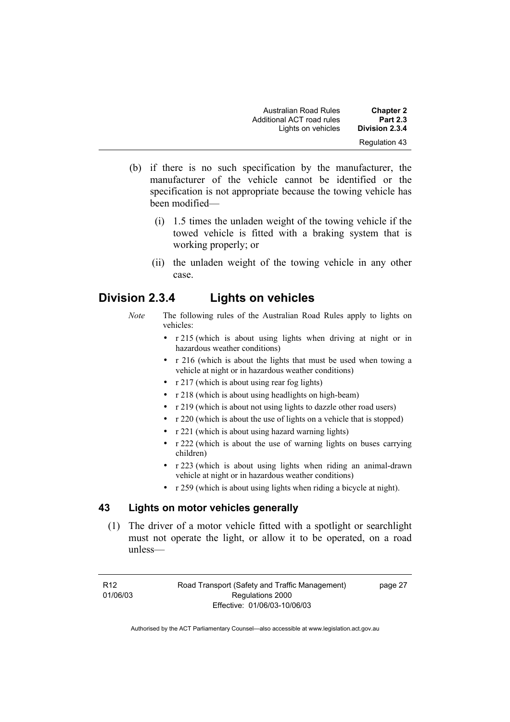| <b>Australian Road Rules</b> | <b>Chapter 2</b> |
|------------------------------|------------------|
| Additional ACT road rules    | <b>Part 2.3</b>  |
| Lights on vehicles           | Division 2.3.4   |
|                              | Regulation 43    |

- (b) if there is no such specification by the manufacturer, the manufacturer of the vehicle cannot be identified or the specification is not appropriate because the towing vehicle has been modified—
	- (i) 1.5 times the unladen weight of the towing vehicle if the towed vehicle is fitted with a braking system that is working properly; or
	- (ii) the unladen weight of the towing vehicle in any other case.

# **Division 2.3.4 Lights on vehicles**

- *Note* The following rules of the Australian Road Rules apply to lights on vehicles:
	- r 215 (which is about using lights when driving at night or in hazardous weather conditions)
	- r 216 (which is about the lights that must be used when towing a vehicle at night or in hazardous weather conditions)
	- r 217 (which is about using rear fog lights)
	- r 218 (which is about using headlights on high-beam)
	- r 219 (which is about not using lights to dazzle other road users)
	- r 220 (which is about the use of lights on a vehicle that is stopped)
	- r 221 (which is about using hazard warning lights)
	- r 222 (which is about the use of warning lights on buses carrying children)
	- r 223 (which is about using lights when riding an animal-drawn vehicle at night or in hazardous weather conditions)
	- r 259 (which is about using lights when riding a bicycle at night).

# **43 Lights on motor vehicles generally**

 (1) The driver of a motor vehicle fitted with a spotlight or searchlight must not operate the light, or allow it to be operated, on a road unless—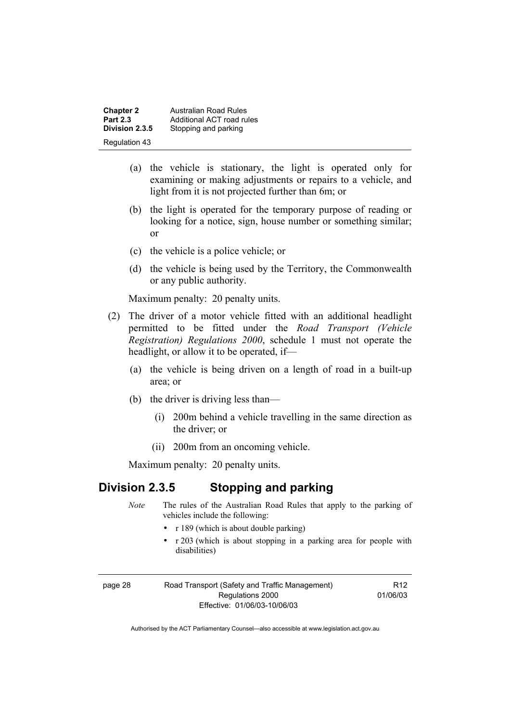| <b>Chapter 2</b> | <b>Australian Road Rules</b> |
|------------------|------------------------------|
| <b>Part 2.3</b>  | Additional ACT road rules    |
| Division 2.3.5   | Stopping and parking         |
| Regulation 43    |                              |

- (a) the vehicle is stationary, the light is operated only for examining or making adjustments or repairs to a vehicle, and light from it is not projected further than 6m; or
- (b) the light is operated for the temporary purpose of reading or looking for a notice, sign, house number or something similar; or
- (c) the vehicle is a police vehicle; or
- (d) the vehicle is being used by the Territory, the Commonwealth or any public authority.

Maximum penalty: 20 penalty units.

- (2) The driver of a motor vehicle fitted with an additional headlight permitted to be fitted under the *Road Transport (Vehicle Registration) Regulations 2000*, schedule 1 must not operate the headlight, or allow it to be operated, if—
	- (a) the vehicle is being driven on a length of road in a built-up area; or
	- (b) the driver is driving less than—
		- (i) 200m behind a vehicle travelling in the same direction as the driver; or
		- (ii) 200m from an oncoming vehicle.

Maximum penalty: 20 penalty units.

# **Division 2.3.5 Stopping and parking**

- *Note* The rules of the Australian Road Rules that apply to the parking of vehicles include the following:
	- r 189 (which is about double parking)
	- r 203 (which is about stopping in a parking area for people with disabilities)

| page 28 | Road Transport (Safety and Traffic Management) |  |
|---------|------------------------------------------------|--|
|         | Regulations 2000                               |  |
|         | Effective: 01/06/03-10/06/03                   |  |

R12 01/06/03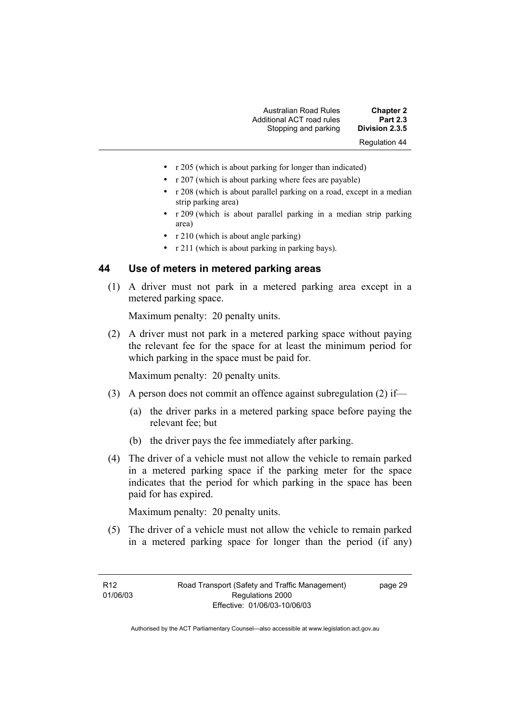| <b>Chapter 2</b>     | Australian Road Rules     |
|----------------------|---------------------------|
| <b>Part 2.3</b>      | Additional ACT road rules |
| Division 2.3.5       | Stopping and parking      |
| <b>Regulation 44</b> |                           |

- r 205 (which is about parking for longer than indicated)
- r 207 (which is about parking where fees are payable)
- r 208 (which is about parallel parking on a road, except in a median strip parking area)
- r 209 (which is about parallel parking in a median strip parking area)
- r 210 (which is about angle parking)
- r 211 (which is about parking in parking bays).

#### **44 Use of meters in metered parking areas**

 (1) A driver must not park in a metered parking area except in a metered parking space.

Maximum penalty: 20 penalty units.

 (2) A driver must not park in a metered parking space without paying the relevant fee for the space for at least the minimum period for which parking in the space must be paid for.

Maximum penalty: 20 penalty units.

- (3) A person does not commit an offence against subregulation (2) if—
	- (a) the driver parks in a metered parking space before paying the relevant fee; but
	- (b) the driver pays the fee immediately after parking.
- (4) The driver of a vehicle must not allow the vehicle to remain parked in a metered parking space if the parking meter for the space indicates that the period for which parking in the space has been paid for has expired.

Maximum penalty: 20 penalty units.

 (5) The driver of a vehicle must not allow the vehicle to remain parked in a metered parking space for longer than the period (if any)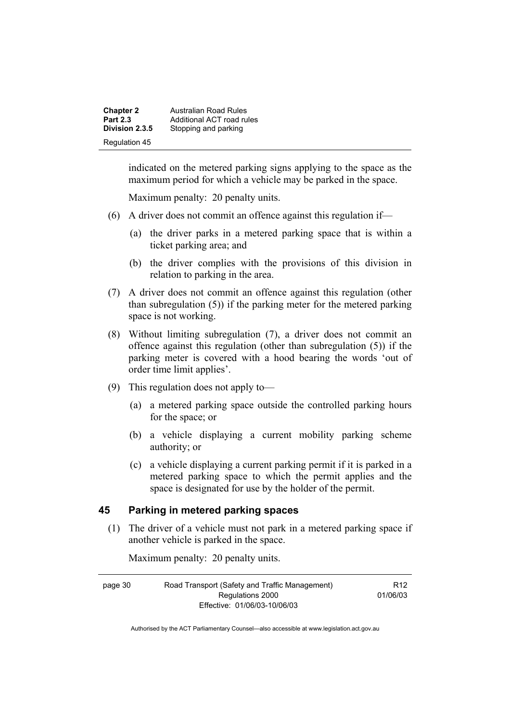| <b>Chapter 2</b> | <b>Australian Road Rules</b> |
|------------------|------------------------------|
| <b>Part 2.3</b>  | Additional ACT road rules    |
| Division 2.3.5   | Stopping and parking         |
| Regulation 45    |                              |

indicated on the metered parking signs applying to the space as the maximum period for which a vehicle may be parked in the space.

Maximum penalty: 20 penalty units.

- (6) A driver does not commit an offence against this regulation if—
	- (a) the driver parks in a metered parking space that is within a ticket parking area; and
	- (b) the driver complies with the provisions of this division in relation to parking in the area.
- (7) A driver does not commit an offence against this regulation (other than subregulation (5)) if the parking meter for the metered parking space is not working.
- (8) Without limiting subregulation (7), a driver does not commit an offence against this regulation (other than subregulation (5)) if the parking meter is covered with a hood bearing the words 'out of order time limit applies'.
- (9) This regulation does not apply to—
	- (a) a metered parking space outside the controlled parking hours for the space; or
	- (b) a vehicle displaying a current mobility parking scheme authority; or
	- (c) a vehicle displaying a current parking permit if it is parked in a metered parking space to which the permit applies and the space is designated for use by the holder of the permit.

# **45 Parking in metered parking spaces**

 (1) The driver of a vehicle must not park in a metered parking space if another vehicle is parked in the space.

Maximum penalty: 20 penalty units.

| page 30                      | Road Transport (Safety and Traffic Management) | R <sub>12</sub> |
|------------------------------|------------------------------------------------|-----------------|
|                              | Regulations 2000                               | 01/06/03        |
| Effective: 01/06/03-10/06/03 |                                                |                 |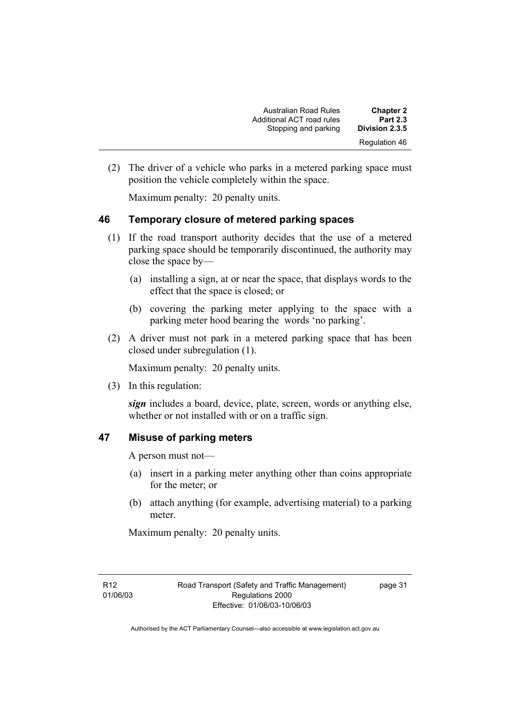Australian Road Rules **Chapter 2**  Additional ACT road rules **Part 2.3**  Stopping and parking Regulation 46

 (2) The driver of a vehicle who parks in a metered parking space must position the vehicle completely within the space.

Maximum penalty: 20 penalty units.

## **46 Temporary closure of metered parking spaces**

- (1) If the road transport authority decides that the use of a metered parking space should be temporarily discontinued, the authority may close the space by—
	- (a) installing a sign, at or near the space, that displays words to the effect that the space is closed; or
	- (b) covering the parking meter applying to the space with a parking meter hood bearing the words 'no parking'.
- (2) A driver must not park in a metered parking space that has been closed under subregulation (1).

Maximum penalty: 20 penalty units.

(3) In this regulation:

*sign* includes a board, device, plate, screen, words or anything else, whether or not installed with or on a traffic sign.

# **47 Misuse of parking meters**

A person must not—

- (a) insert in a parking meter anything other than coins appropriate for the meter; or
- (b) attach anything (for example, advertising material) to a parking meter.

Maximum penalty: 20 penalty units.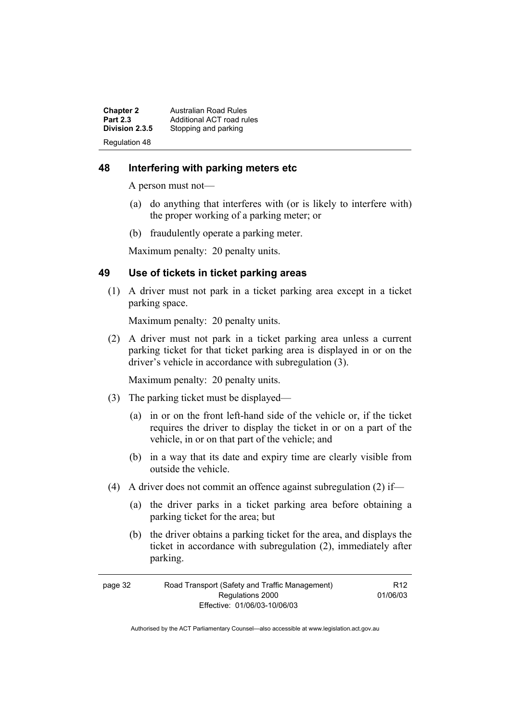| <b>Chapter 2</b> | <b>Australian Road Rules</b> |
|------------------|------------------------------|
| <b>Part 2.3</b>  | Additional ACT road rules    |
| Division 2.3.5   | Stopping and parking         |
| Regulation 48    |                              |

# **48 Interfering with parking meters etc**

A person must not—

- (a) do anything that interferes with (or is likely to interfere with) the proper working of a parking meter; or
- (b) fraudulently operate a parking meter.

Maximum penalty: 20 penalty units.

## **49 Use of tickets in ticket parking areas**

 (1) A driver must not park in a ticket parking area except in a ticket parking space.

Maximum penalty: 20 penalty units.

 (2) A driver must not park in a ticket parking area unless a current parking ticket for that ticket parking area is displayed in or on the driver's vehicle in accordance with subregulation (3).

Maximum penalty: 20 penalty units.

- (3) The parking ticket must be displayed—
	- (a) in or on the front left-hand side of the vehicle or, if the ticket requires the driver to display the ticket in or on a part of the vehicle, in or on that part of the vehicle; and
	- (b) in a way that its date and expiry time are clearly visible from outside the vehicle.
- (4) A driver does not commit an offence against subregulation (2) if—
	- (a) the driver parks in a ticket parking area before obtaining a parking ticket for the area; but
	- (b) the driver obtains a parking ticket for the area, and displays the ticket in accordance with subregulation (2), immediately after parking.

| page 32 | Road Transport (Safety and Traffic Management) | R <sub>12</sub> |
|---------|------------------------------------------------|-----------------|
|         | Regulations 2000                               | 01/06/03        |
|         | Effective: 01/06/03-10/06/03                   |                 |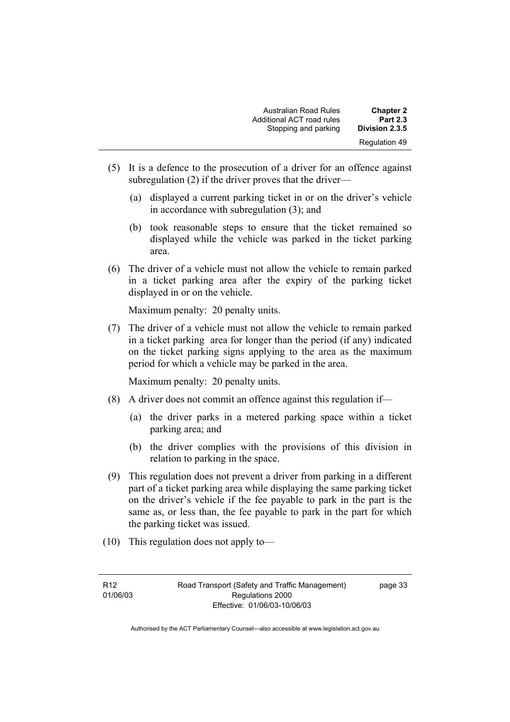| <b>Chapter 2</b> | <b>Australian Road Rules</b> |
|------------------|------------------------------|
| <b>Part 2.3</b>  | Additional ACT road rules    |
| Division 2.3.5   | Stopping and parking         |
| Regulation 49    |                              |

- (5) It is a defence to the prosecution of a driver for an offence against subregulation (2) if the driver proves that the driver—
	- (a) displayed a current parking ticket in or on the driver's vehicle in accordance with subregulation (3); and
	- (b) took reasonable steps to ensure that the ticket remained so displayed while the vehicle was parked in the ticket parking area.
- (6) The driver of a vehicle must not allow the vehicle to remain parked in a ticket parking area after the expiry of the parking ticket displayed in or on the vehicle.

Maximum penalty: 20 penalty units.

 (7) The driver of a vehicle must not allow the vehicle to remain parked in a ticket parking area for longer than the period (if any) indicated on the ticket parking signs applying to the area as the maximum period for which a vehicle may be parked in the area.

Maximum penalty: 20 penalty units.

- (8) A driver does not commit an offence against this regulation if—
	- (a) the driver parks in a metered parking space within a ticket parking area; and
	- (b) the driver complies with the provisions of this division in relation to parking in the space.
- (9) This regulation does not prevent a driver from parking in a different part of a ticket parking area while displaying the same parking ticket on the driver's vehicle if the fee payable to park in the part is the same as, or less than, the fee payable to park in the part for which the parking ticket was issued.
- (10) This regulation does not apply to—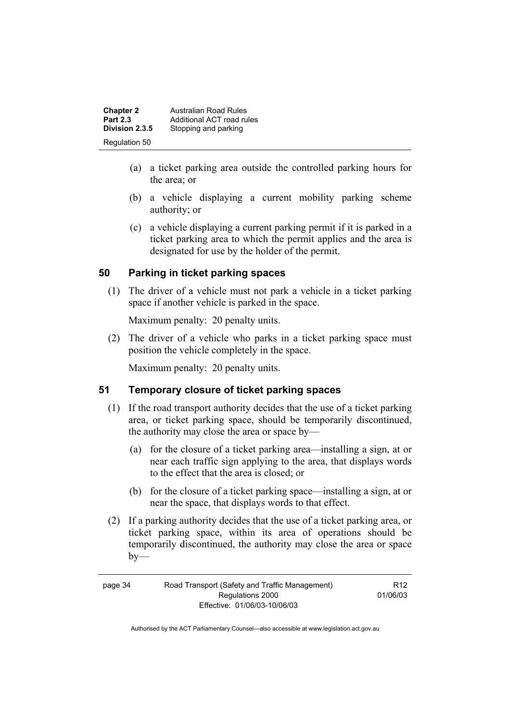**Chapter 2 Australian Road Rules**<br>**Part 2.3 Additional ACT road rules Part 2.3 Additional ACT road rules**<br>**Division 2.3.5** Stopping and parking **Division 2.3.5** Stopping and parking Regulation 50

- (a) a ticket parking area outside the controlled parking hours for the area; or
- (b) a vehicle displaying a current mobility parking scheme authority; or
- (c) a vehicle displaying a current parking permit if it is parked in a ticket parking area to which the permit applies and the area is designated for use by the holder of the permit.

# **50 Parking in ticket parking spaces**

 (1) The driver of a vehicle must not park a vehicle in a ticket parking space if another vehicle is parked in the space.

Maximum penalty: 20 penalty units.

 (2) The driver of a vehicle who parks in a ticket parking space must position the vehicle completely in the space.

Maximum penalty: 20 penalty units.

# **51 Temporary closure of ticket parking spaces**

- (1) If the road transport authority decides that the use of a ticket parking area, or ticket parking space, should be temporarily discontinued, the authority may close the area or space by—
	- (a) for the closure of a ticket parking area—installing a sign, at or near each traffic sign applying to the area, that displays words to the effect that the area is closed; or
	- (b) for the closure of a ticket parking space—installing a sign, at or near the space, that displays words to that effect.
- (2) If a parking authority decides that the use of a ticket parking area, or ticket parking space, within its area of operations should be temporarily discontinued, the authority may close the area or space  $by-$

R12 01/06/03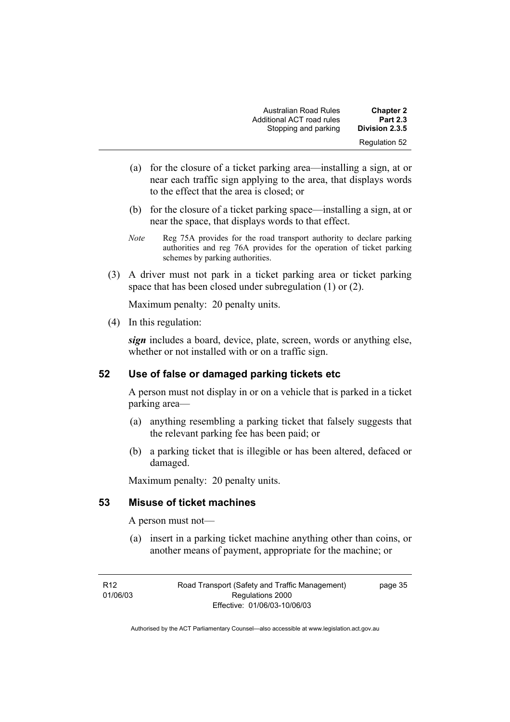| <b>Chapter 2</b>     | <b>Australian Road Rules</b> |
|----------------------|------------------------------|
| <b>Part 2.3</b>      | Additional ACT road rules    |
| Division 2.3.5       | Stopping and parking         |
| <b>Regulation 52</b> |                              |

- (a) for the closure of a ticket parking area—installing a sign, at or near each traffic sign applying to the area, that displays words to the effect that the area is closed; or
- (b) for the closure of a ticket parking space—installing a sign, at or near the space, that displays words to that effect.
- *Note* Reg 75A provides for the road transport authority to declare parking authorities and reg 76A provides for the operation of ticket parking schemes by parking authorities.
- (3) A driver must not park in a ticket parking area or ticket parking space that has been closed under subregulation (1) or (2).

Maximum penalty: 20 penalty units.

(4) In this regulation:

*sign* includes a board, device, plate, screen, words or anything else, whether or not installed with or on a traffic sign.

## **52 Use of false or damaged parking tickets etc**

A person must not display in or on a vehicle that is parked in a ticket parking area—

- (a) anything resembling a parking ticket that falsely suggests that the relevant parking fee has been paid; or
- (b) a parking ticket that is illegible or has been altered, defaced or damaged.

Maximum penalty: 20 penalty units.

#### **53 Misuse of ticket machines**

A person must not—

 (a) insert in a parking ticket machine anything other than coins, or another means of payment, appropriate for the machine; or

page 35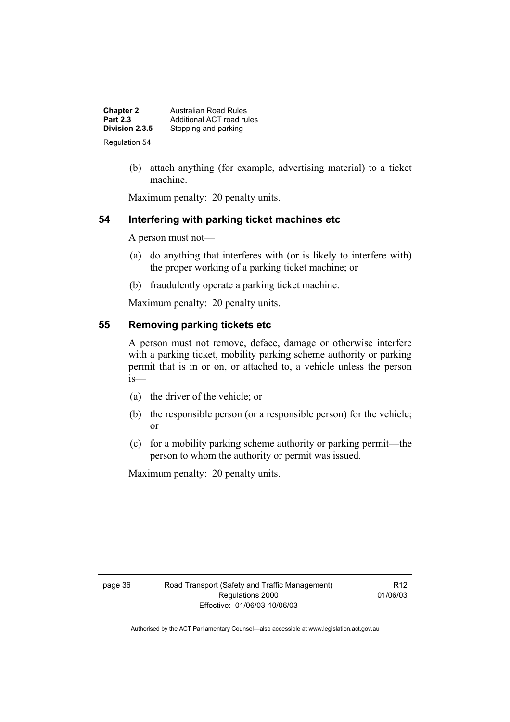| <b>Chapter 2</b><br><b>Part 2.3</b> | Australian Road Rules<br>Additional ACT road rules |
|-------------------------------------|----------------------------------------------------|
| Division 2.3.5                      | Stopping and parking                               |
| <b>Regulation 54</b>                |                                                    |

 (b) attach anything (for example, advertising material) to a ticket machine.

Maximum penalty: 20 penalty units.

## **54 Interfering with parking ticket machines etc**

A person must not—

- (a) do anything that interferes with (or is likely to interfere with) the proper working of a parking ticket machine; or
- (b) fraudulently operate a parking ticket machine.

Maximum penalty: 20 penalty units.

# **55 Removing parking tickets etc**

A person must not remove, deface, damage or otherwise interfere with a parking ticket, mobility parking scheme authority or parking permit that is in or on, or attached to, a vehicle unless the person is—

- (a) the driver of the vehicle; or
- (b) the responsible person (or a responsible person) for the vehicle; or
- (c) for a mobility parking scheme authority or parking permit—the person to whom the authority or permit was issued.

Maximum penalty: 20 penalty units.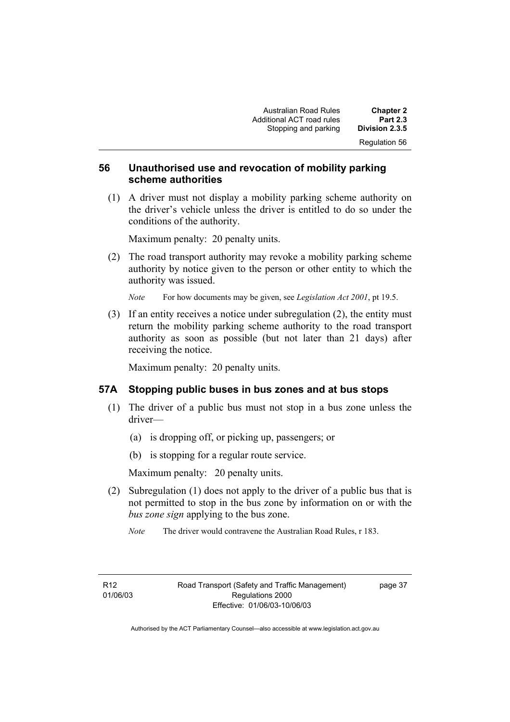Australian Road Rules **Chapter 2**  Additional ACT road rules **Part 2.3 Stopping and parking** Regulation 56

## **56 Unauthorised use and revocation of mobility parking scheme authorities**

 (1) A driver must not display a mobility parking scheme authority on the driver's vehicle unless the driver is entitled to do so under the conditions of the authority.

Maximum penalty: 20 penalty units.

 (2) The road transport authority may revoke a mobility parking scheme authority by notice given to the person or other entity to which the authority was issued.

*Note* For how documents may be given, see *Legislation Act 2001*, pt 19.5.

 (3) If an entity receives a notice under subregulation (2), the entity must return the mobility parking scheme authority to the road transport authority as soon as possible (but not later than 21 days) after receiving the notice.

Maximum penalty: 20 penalty units.

## **57A Stopping public buses in bus zones and at bus stops**

- (1) The driver of a public bus must not stop in a bus zone unless the driver—
	- (a) is dropping off, or picking up, passengers; or
	- (b) is stopping for a regular route service.

Maximum penalty: 20 penalty units.

 (2) Subregulation (1) does not apply to the driver of a public bus that is not permitted to stop in the bus zone by information on or with the *bus zone sign* applying to the bus zone.

*Note* The driver would contravene the Australian Road Rules, r 183.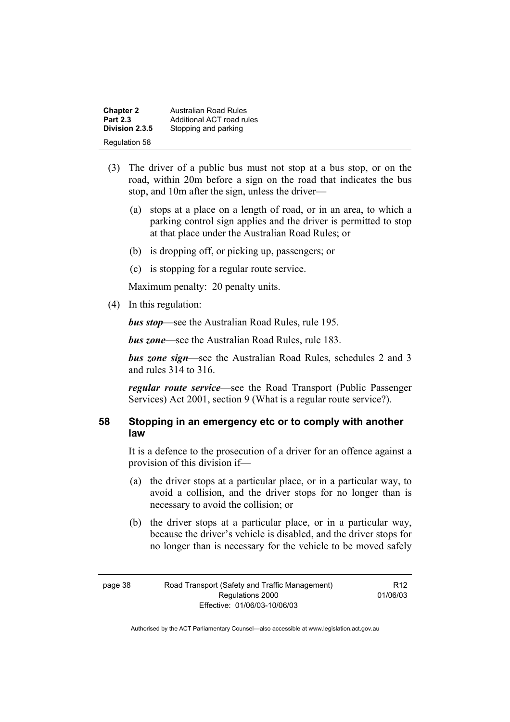| <b>Chapter 2</b> | <b>Australian Road Rules</b> |
|------------------|------------------------------|
| <b>Part 2.3</b>  | Additional ACT road rules    |
| Division 2.3.5   | Stopping and parking         |
| Regulation 58    |                              |

- (3) The driver of a public bus must not stop at a bus stop, or on the road, within 20m before a sign on the road that indicates the bus stop, and 10m after the sign, unless the driver—
	- (a) stops at a place on a length of road, or in an area, to which a parking control sign applies and the driver is permitted to stop at that place under the Australian Road Rules; or
	- (b) is dropping off, or picking up, passengers; or
	- (c) is stopping for a regular route service.

Maximum penalty: 20 penalty units.

(4) In this regulation:

*bus stop*—see the Australian Road Rules, rule 195.

*bus zone*—see the Australian Road Rules, rule 183.

*bus zone sign*—see the Australian Road Rules, schedules 2 and 3 and rules 314 to 316.

*regular route service*—see the Road Transport (Public Passenger Services) Act 2001, section 9 (What is a regular route service?).

## **58 Stopping in an emergency etc or to comply with another law**

It is a defence to the prosecution of a driver for an offence against a provision of this division if—

- (a) the driver stops at a particular place, or in a particular way, to avoid a collision, and the driver stops for no longer than is necessary to avoid the collision; or
- (b) the driver stops at a particular place, or in a particular way, because the driver's vehicle is disabled, and the driver stops for no longer than is necessary for the vehicle to be moved safely

R12 01/06/03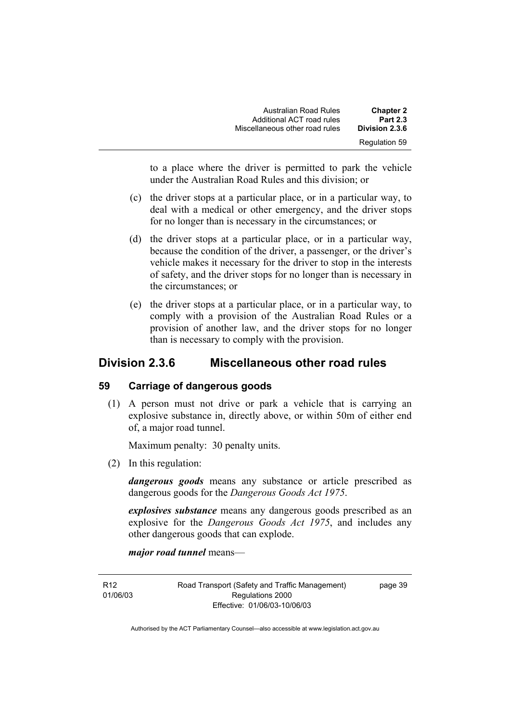| <b>Chapter 2</b> | Australian Road Rules          |
|------------------|--------------------------------|
| <b>Part 2.3</b>  | Additional ACT road rules      |
| Division 2.3.6   | Miscellaneous other road rules |
| Regulation 59    |                                |

to a place where the driver is permitted to park the vehicle under the Australian Road Rules and this division; or

- (c) the driver stops at a particular place, or in a particular way, to deal with a medical or other emergency, and the driver stops for no longer than is necessary in the circumstances; or
- (d) the driver stops at a particular place, or in a particular way, because the condition of the driver, a passenger, or the driver's vehicle makes it necessary for the driver to stop in the interests of safety, and the driver stops for no longer than is necessary in the circumstances; or
- (e) the driver stops at a particular place, or in a particular way, to comply with a provision of the Australian Road Rules or a provision of another law, and the driver stops for no longer than is necessary to comply with the provision.

# **Division 2.3.6 Miscellaneous other road rules**

## **59 Carriage of dangerous goods**

 (1) A person must not drive or park a vehicle that is carrying an explosive substance in, directly above, or within 50m of either end of, a major road tunnel.

Maximum penalty: 30 penalty units.

(2) In this regulation:

*dangerous goods* means any substance or article prescribed as dangerous goods for the *Dangerous Goods Act 1975*.

*explosives substance* means any dangerous goods prescribed as an explosive for the *Dangerous Goods Act 1975*, and includes any other dangerous goods that can explode.

*major road tunnel* means—

R12 01/06/03 Road Transport (Safety and Traffic Management) Regulations 2000 Effective: 01/06/03-10/06/03

page 39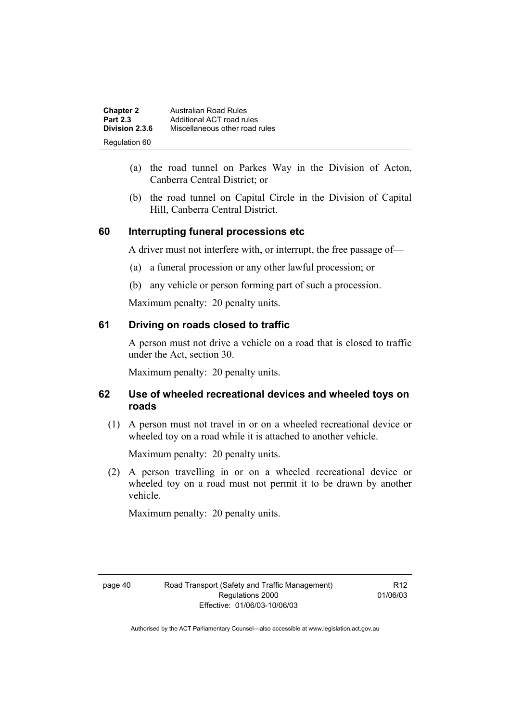| <b>Chapter 2</b> | Australian Road Rules          |
|------------------|--------------------------------|
| <b>Part 2.3</b>  | Additional ACT road rules      |
| Division 2.3.6   | Miscellaneous other road rules |
| Regulation 60    |                                |

- (a) the road tunnel on Parkes Way in the Division of Acton, Canberra Central District; or
- (b) the road tunnel on Capital Circle in the Division of Capital Hill, Canberra Central District.

# **60 Interrupting funeral processions etc**

A driver must not interfere with, or interrupt, the free passage of—

- (a) a funeral procession or any other lawful procession; or
- (b) any vehicle or person forming part of such a procession.

Maximum penalty: 20 penalty units.

# **61 Driving on roads closed to traffic**

A person must not drive a vehicle on a road that is closed to traffic under the Act, section 30.

Maximum penalty: 20 penalty units.

# **62 Use of wheeled recreational devices and wheeled toys on roads**

 (1) A person must not travel in or on a wheeled recreational device or wheeled toy on a road while it is attached to another vehicle.

Maximum penalty: 20 penalty units.

 (2) A person travelling in or on a wheeled recreational device or wheeled toy on a road must not permit it to be drawn by another vehicle.

Maximum penalty: 20 penalty units.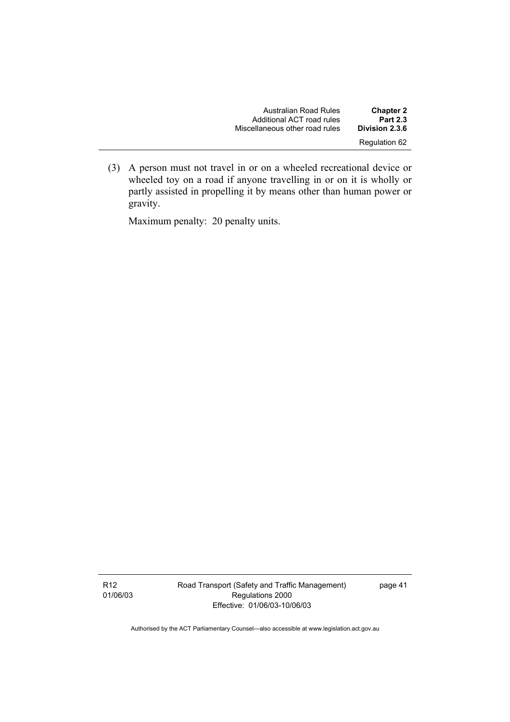| <b>Chapter 2</b> | Australian Road Rules          |
|------------------|--------------------------------|
| <b>Part 2.3</b>  | Additional ACT road rules      |
| Division 2.3.6   | Miscellaneous other road rules |
| Regulation 62    |                                |

 (3) A person must not travel in or on a wheeled recreational device or wheeled toy on a road if anyone travelling in or on it is wholly or partly assisted in propelling it by means other than human power or gravity.

Maximum penalty: 20 penalty units.

Road Transport (Safety and Traffic Management) Regulations 2000 Effective: 01/06/03-10/06/03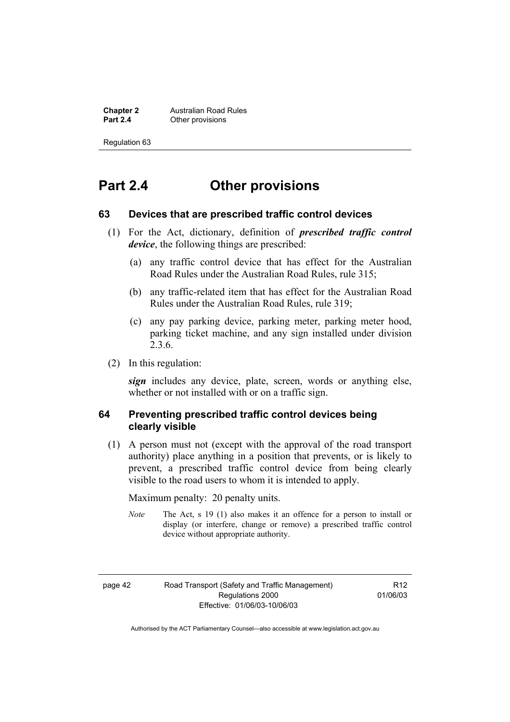**Chapter 2 Australian Road Rules**<br>**Part 2.4 C** Other provisions **Other provisions** 

Regulation 63

# **Part 2.4 Other provisions**

#### **63 Devices that are prescribed traffic control devices**

- (1) For the Act, dictionary, definition of *prescribed traffic control device*, the following things are prescribed:
	- (a) any traffic control device that has effect for the Australian Road Rules under the Australian Road Rules, rule 315;
	- (b) any traffic-related item that has effect for the Australian Road Rules under the Australian Road Rules, rule 319;
	- (c) any pay parking device, parking meter, parking meter hood, parking ticket machine, and any sign installed under division 2.3.6.
- (2) In this regulation:

*sign* includes any device, plate, screen, words or anything else, whether or not installed with or on a traffic sign.

# **64 Preventing prescribed traffic control devices being clearly visible**

 (1) A person must not (except with the approval of the road transport authority) place anything in a position that prevents, or is likely to prevent, a prescribed traffic control device from being clearly visible to the road users to whom it is intended to apply.

Maximum penalty: 20 penalty units.

*Note* The Act, s 19 (1) also makes it an offence for a person to install or display (or interfere, change or remove) a prescribed traffic control device without appropriate authority.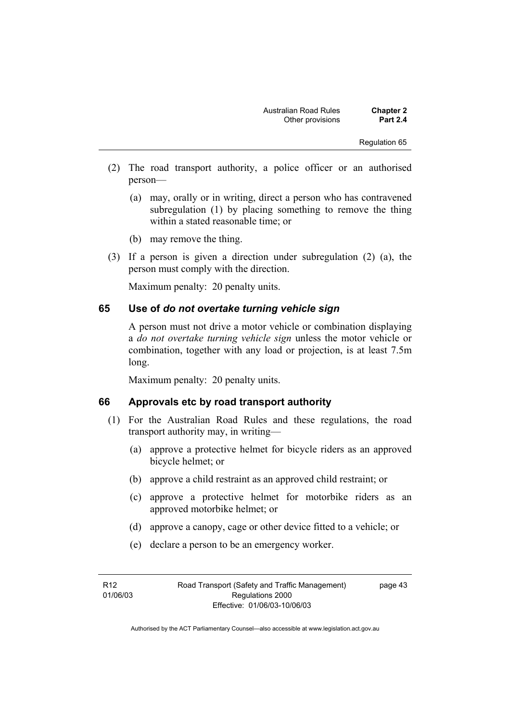Regulation 65

- (2) The road transport authority, a police officer or an authorised person—
	- (a) may, orally or in writing, direct a person who has contravened subregulation (1) by placing something to remove the thing within a stated reasonable time; or
	- (b) may remove the thing.
- (3) If a person is given a direction under subregulation (2) (a), the person must comply with the direction.

Maximum penalty: 20 penalty units.

#### **65 Use of** *do not overtake turning vehicle sign*

A person must not drive a motor vehicle or combination displaying a *do not overtake turning vehicle sign* unless the motor vehicle or combination, together with any load or projection, is at least 7.5m long.

Maximum penalty: 20 penalty units.

#### **66 Approvals etc by road transport authority**

- (1) For the Australian Road Rules and these regulations, the road transport authority may, in writing—
	- (a) approve a protective helmet for bicycle riders as an approved bicycle helmet; or
	- (b) approve a child restraint as an approved child restraint; or
	- (c) approve a protective helmet for motorbike riders as an approved motorbike helmet; or
	- (d) approve a canopy, cage or other device fitted to a vehicle; or
	- (e) declare a person to be an emergency worker.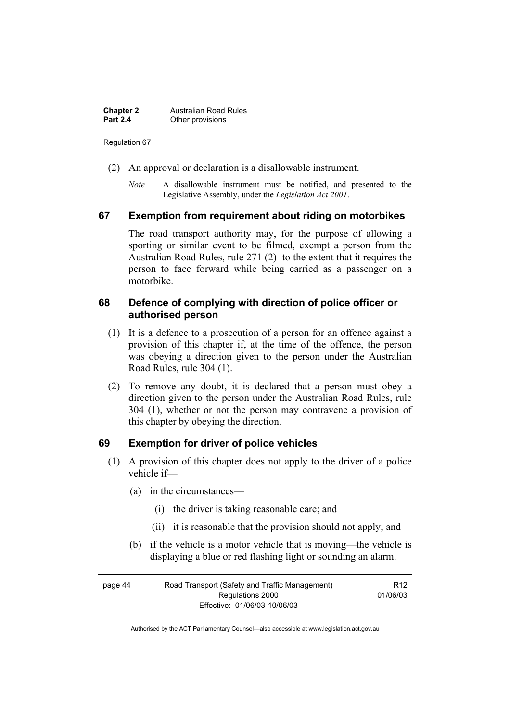| <b>Chapter 2</b> | <b>Australian Road Rules</b> |
|------------------|------------------------------|
| <b>Part 2.4</b>  | Other provisions             |

#### Regulation 67

- (2) An approval or declaration is a disallowable instrument.
	- *Note* A disallowable instrument must be notified, and presented to the Legislative Assembly, under the *Legislation Act 2001*.

#### **67 Exemption from requirement about riding on motorbikes**

The road transport authority may, for the purpose of allowing a sporting or similar event to be filmed, exempt a person from the Australian Road Rules, rule 271 (2) to the extent that it requires the person to face forward while being carried as a passenger on a motorbike.

#### **68 Defence of complying with direction of police officer or authorised person**

- (1) It is a defence to a prosecution of a person for an offence against a provision of this chapter if, at the time of the offence, the person was obeying a direction given to the person under the Australian Road Rules, rule 304 (1).
- (2) To remove any doubt, it is declared that a person must obey a direction given to the person under the Australian Road Rules, rule 304 (1), whether or not the person may contravene a provision of this chapter by obeying the direction.

#### **69 Exemption for driver of police vehicles**

- (1) A provision of this chapter does not apply to the driver of a police vehicle if—
	- (a) in the circumstances—
		- (i) the driver is taking reasonable care; and
		- (ii) it is reasonable that the provision should not apply; and
	- (b) if the vehicle is a motor vehicle that is moving—the vehicle is displaying a blue or red flashing light or sounding an alarm.

| page 44          | Road Transport (Safety and Traffic Management) | R <sub>12</sub> |
|------------------|------------------------------------------------|-----------------|
| Regulations 2000 |                                                | 01/06/03        |
|                  | Effective: 01/06/03-10/06/03                   |                 |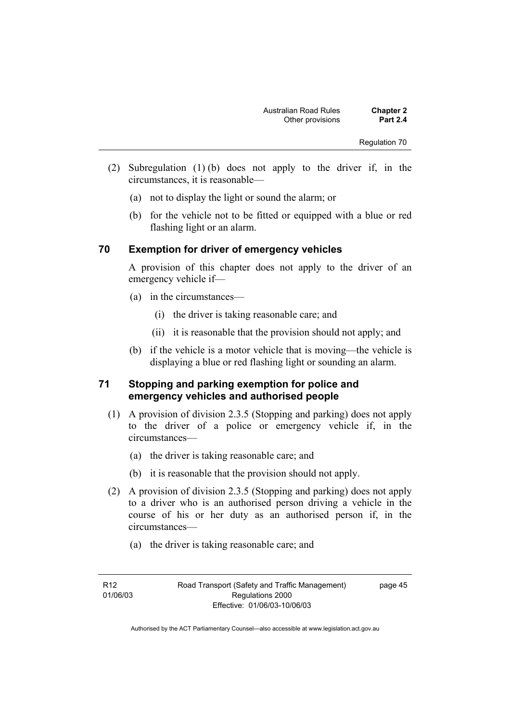Regulation 70

- (2) Subregulation (1) (b) does not apply to the driver if, in the circumstances, it is reasonable—
	- (a) not to display the light or sound the alarm; or
	- (b) for the vehicle not to be fitted or equipped with a blue or red flashing light or an alarm.

# **70 Exemption for driver of emergency vehicles**

A provision of this chapter does not apply to the driver of an emergency vehicle if—

- (a) in the circumstances—
	- (i) the driver is taking reasonable care; and
	- (ii) it is reasonable that the provision should not apply; and
- (b) if the vehicle is a motor vehicle that is moving—the vehicle is displaying a blue or red flashing light or sounding an alarm.

# **71 Stopping and parking exemption for police and emergency vehicles and authorised people**

- (1) A provision of division 2.3.5 (Stopping and parking) does not apply to the driver of a police or emergency vehicle if, in the circumstances—
	- (a) the driver is taking reasonable care; and
	- (b) it is reasonable that the provision should not apply.
- (2) A provision of division 2.3.5 (Stopping and parking) does not apply to a driver who is an authorised person driving a vehicle in the course of his or her duty as an authorised person if, in the circumstances—
	- (a) the driver is taking reasonable care; and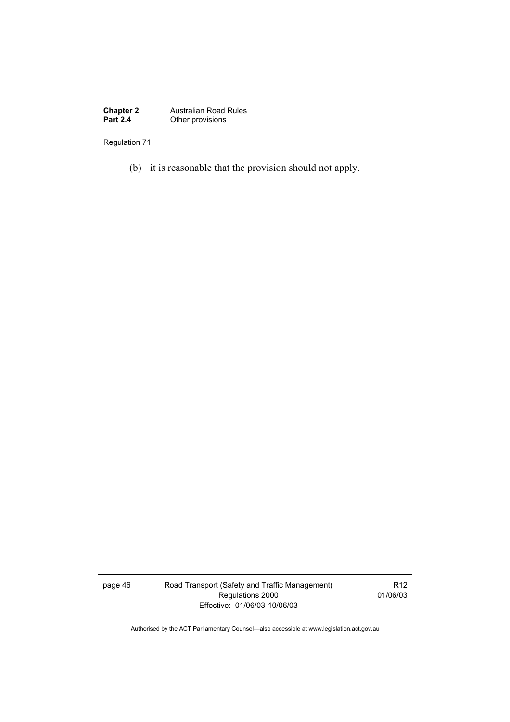**Chapter 2** Australian Road Rules **Part 2.4 Other provisions** 

# Regulation 71

(b) it is reasonable that the provision should not apply.

page 46 Road Transport (Safety and Traffic Management) Regulations 2000 Effective: 01/06/03-10/06/03

R12 01/06/03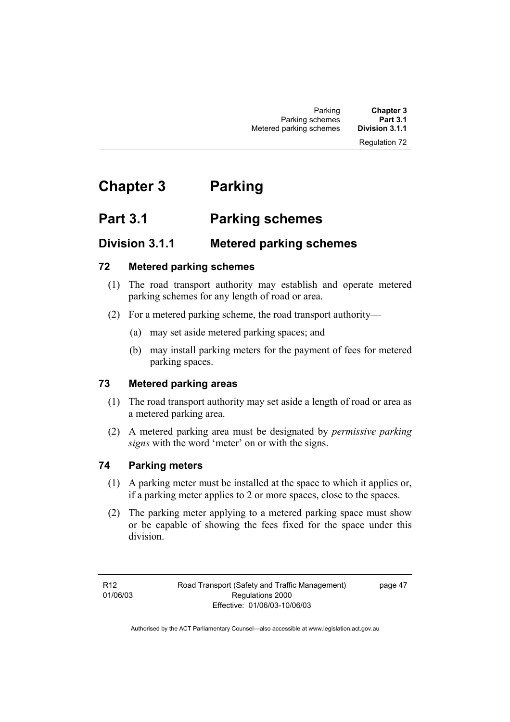# **Chapter 3 Parking**

# **Part 3.1 Parking schemes**

# **Division 3.1.1 Metered parking schemes**

# **72 Metered parking schemes**

- (1) The road transport authority may establish and operate metered parking schemes for any length of road or area.
- (2) For a metered parking scheme, the road transport authority—
	- (a) may set aside metered parking spaces; and
	- (b) may install parking meters for the payment of fees for metered parking spaces.

# **73 Metered parking areas**

- (1) The road transport authority may set aside a length of road or area as a metered parking area.
- (2) A metered parking area must be designated by *permissive parking signs* with the word 'meter' on or with the signs.

# **74 Parking meters**

- (1) A parking meter must be installed at the space to which it applies or, if a parking meter applies to 2 or more spaces, close to the spaces.
- (2) The parking meter applying to a metered parking space must show or be capable of showing the fees fixed for the space under this division.

R12 01/06/03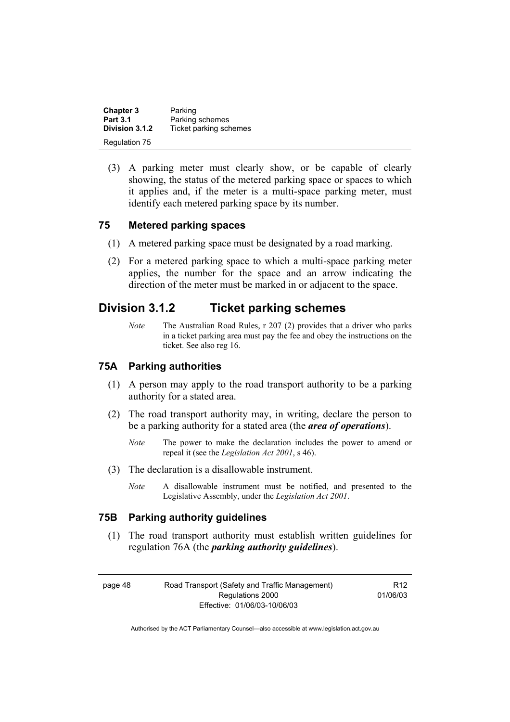| <b>Chapter 3</b> | Parking                |
|------------------|------------------------|
| <b>Part 3.1</b>  | Parking schemes        |
| Division 3.1.2   | Ticket parking schemes |
| Regulation 75    |                        |

 (3) A parking meter must clearly show, or be capable of clearly showing, the status of the metered parking space or spaces to which it applies and, if the meter is a multi-space parking meter, must identify each metered parking space by its number.

# **75 Metered parking spaces**

- (1) A metered parking space must be designated by a road marking.
- (2) For a metered parking space to which a multi-space parking meter applies, the number for the space and an arrow indicating the direction of the meter must be marked in or adjacent to the space.

# **Division 3.1.2 Ticket parking schemes**

*Note* The Australian Road Rules, r 207 (2) provides that a driver who parks in a ticket parking area must pay the fee and obey the instructions on the ticket. See also reg 16.

## **75A Parking authorities**

- (1) A person may apply to the road transport authority to be a parking authority for a stated area.
- (2) The road transport authority may, in writing, declare the person to be a parking authority for a stated area (the *area of operations*).
	- *Note* The power to make the declaration includes the power to amend or repeal it (see the *Legislation Act 2001*, s 46).
- (3) The declaration is a disallowable instrument.
	- *Note* A disallowable instrument must be notified, and presented to the Legislative Assembly, under the *Legislation Act 2001*.

# **75B Parking authority guidelines**

 (1) The road transport authority must establish written guidelines for regulation 76A (the *parking authority guidelines*).

page 48 Road Transport (Safety and Traffic Management) Regulations 2000 Effective: 01/06/03-10/06/03

R12 01/06/03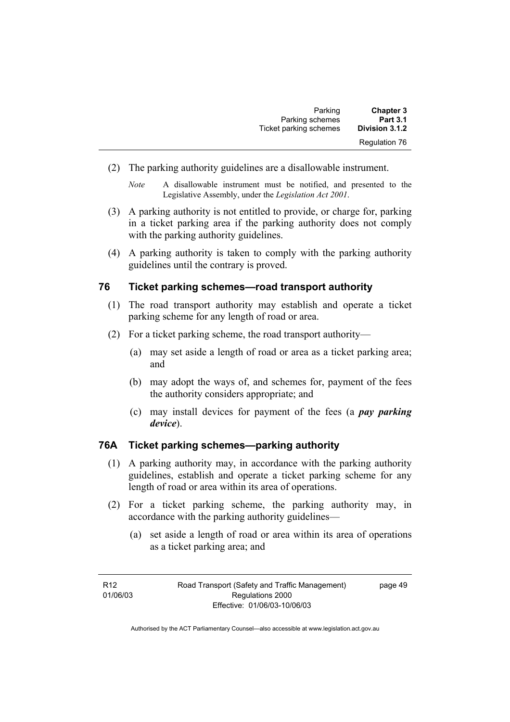| <b>Chapter 3</b>     | Parking                |
|----------------------|------------------------|
| <b>Part 3.1</b>      | Parking schemes        |
| Division 3.1.2       | Ticket parking schemes |
| <b>Regulation 76</b> |                        |

(2) The parking authority guidelines are a disallowable instrument.

- (3) A parking authority is not entitled to provide, or charge for, parking in a ticket parking area if the parking authority does not comply with the parking authority guidelines.
- (4) A parking authority is taken to comply with the parking authority guidelines until the contrary is proved.

## **76 Ticket parking schemes—road transport authority**

- (1) The road transport authority may establish and operate a ticket parking scheme for any length of road or area.
- (2) For a ticket parking scheme, the road transport authority—
	- (a) may set aside a length of road or area as a ticket parking area; and
	- (b) may adopt the ways of, and schemes for, payment of the fees the authority considers appropriate; and
	- (c) may install devices for payment of the fees (a *pay parking device*).

## **76A Ticket parking schemes—parking authority**

- (1) A parking authority may, in accordance with the parking authority guidelines, establish and operate a ticket parking scheme for any length of road or area within its area of operations.
- (2) For a ticket parking scheme, the parking authority may, in accordance with the parking authority guidelines—
	- (a) set aside a length of road or area within its area of operations as a ticket parking area; and

*Note* A disallowable instrument must be notified, and presented to the Legislative Assembly, under the *Legislation Act 2001*.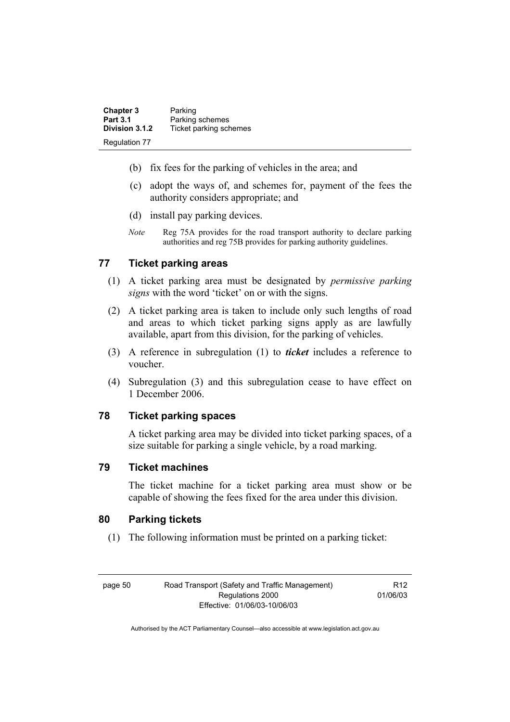| <b>Chapter 3</b> | Parking                |
|------------------|------------------------|
| <b>Part 3.1</b>  | Parking schemes        |
| Division 3.1.2   | Ticket parking schemes |
| Regulation 77    |                        |

- (b) fix fees for the parking of vehicles in the area; and
- (c) adopt the ways of, and schemes for, payment of the fees the authority considers appropriate; and
- (d) install pay parking devices.
- *Note* Reg 75A provides for the road transport authority to declare parking authorities and reg 75B provides for parking authority guidelines.

# **77 Ticket parking areas**

- (1) A ticket parking area must be designated by *permissive parking signs* with the word 'ticket' on or with the signs.
- (2) A ticket parking area is taken to include only such lengths of road and areas to which ticket parking signs apply as are lawfully available, apart from this division, for the parking of vehicles.
- (3) A reference in subregulation (1) to *ticket* includes a reference to voucher.
- (4) Subregulation (3) and this subregulation cease to have effect on 1 December 2006.

# **78 Ticket parking spaces**

A ticket parking area may be divided into ticket parking spaces, of a size suitable for parking a single vehicle, by a road marking.

## **79 Ticket machines**

The ticket machine for a ticket parking area must show or be capable of showing the fees fixed for the area under this division.

# **80 Parking tickets**

(1) The following information must be printed on a parking ticket:

page 50 Road Transport (Safety and Traffic Management) Regulations 2000 Effective: 01/06/03-10/06/03

R12 01/06/03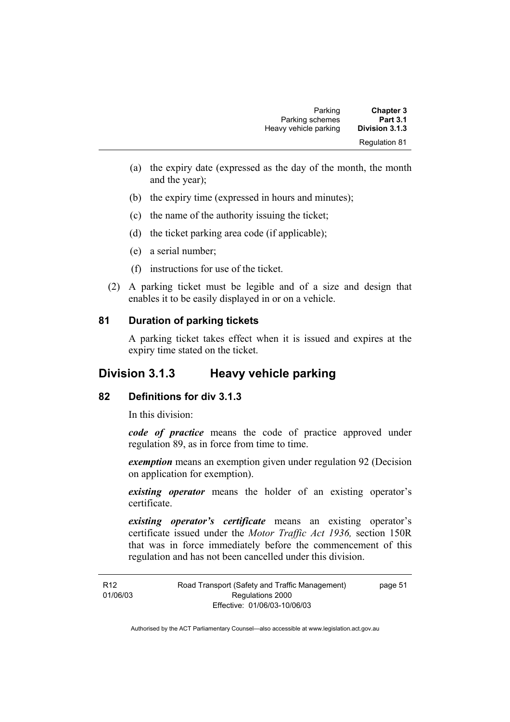| Parking               | <b>Chapter 3</b>     |
|-----------------------|----------------------|
| Parking schemes       | <b>Part 3.1</b>      |
| Heavy vehicle parking | Division 3.1.3       |
|                       | <b>Requlation 81</b> |

- (a) the expiry date (expressed as the day of the month, the month and the year);
- (b) the expiry time (expressed in hours and minutes);
- (c) the name of the authority issuing the ticket;
- (d) the ticket parking area code (if applicable);
- (e) a serial number;
- (f) instructions for use of the ticket.
- (2) A parking ticket must be legible and of a size and design that enables it to be easily displayed in or on a vehicle.

#### **81 Duration of parking tickets**

A parking ticket takes effect when it is issued and expires at the expiry time stated on the ticket.

# **Division 3.1.3 Heavy vehicle parking**

#### **82 Definitions for div 3.1.3**

In this division:

*code of practice* means the code of practice approved under regulation 89, as in force from time to time.

*exemption* means an exemption given under regulation 92 (Decision on application for exemption).

*existing operator* means the holder of an existing operator's certificate.

*existing operator's certificate* means an existing operator's certificate issued under the *Motor Traffic Act 1936,* section 150R that was in force immediately before the commencement of this regulation and has not been cancelled under this division.

R12 01/06/03 Road Transport (Safety and Traffic Management) Regulations 2000 Effective: 01/06/03-10/06/03 page 51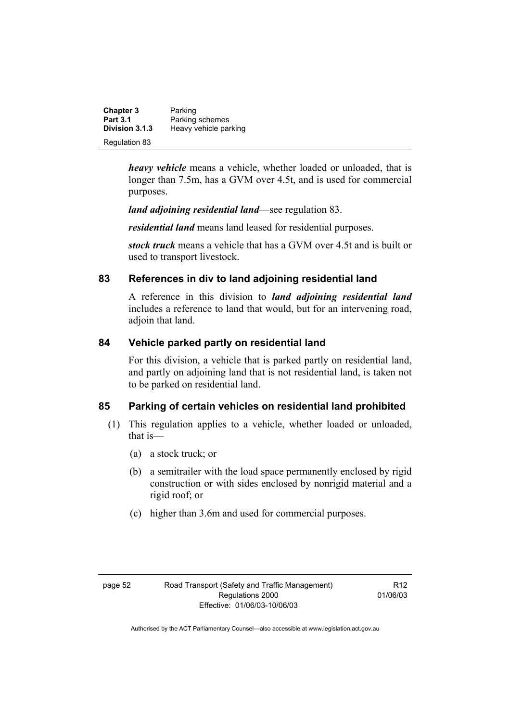| <b>Chapter 3</b> | Parking               |
|------------------|-----------------------|
| <b>Part 3.1</b>  | Parking schemes       |
| Division 3.1.3   | Heavy vehicle parking |
| Regulation 83    |                       |

*heavy vehicle* means a vehicle, whether loaded or unloaded, that is longer than 7.5m, has a GVM over 4.5t, and is used for commercial purposes.

*land adjoining residential land*—see regulation 83.

*residential land* means land leased for residential purposes.

*stock truck* means a vehicle that has a GVM over 4.5t and is built or used to transport livestock.

# **83 References in div to land adjoining residential land**

A reference in this division to *land adjoining residential land* includes a reference to land that would, but for an intervening road, adjoin that land.

# **84 Vehicle parked partly on residential land**

For this division, a vehicle that is parked partly on residential land, and partly on adjoining land that is not residential land, is taken not to be parked on residential land.

# **85 Parking of certain vehicles on residential land prohibited**

- (1) This regulation applies to a vehicle, whether loaded or unloaded, that is—
	- (a) a stock truck; or
	- (b) a semitrailer with the load space permanently enclosed by rigid construction or with sides enclosed by nonrigid material and a rigid roof; or
	- (c) higher than 3.6m and used for commercial purposes.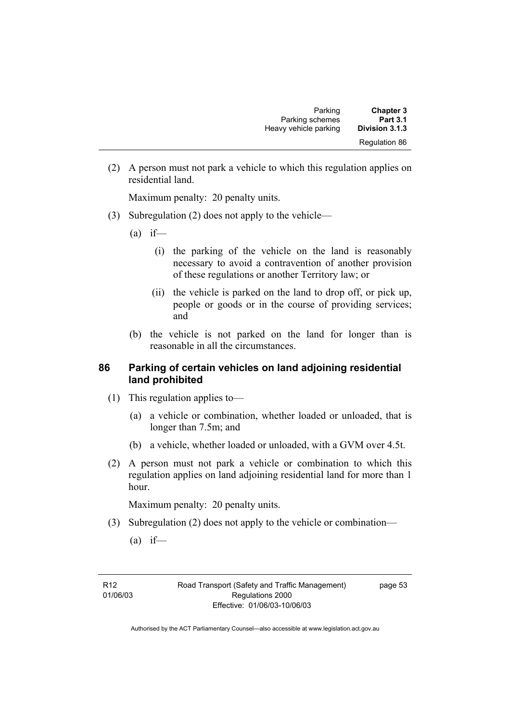| <b>Chapter 3</b>     | Parking               |
|----------------------|-----------------------|
| <b>Part 3.1</b>      | Parking schemes       |
| Division 3.1.3       | Heavy vehicle parking |
| <b>Regulation 86</b> |                       |

 (2) A person must not park a vehicle to which this regulation applies on residential land.

Maximum penalty: 20 penalty units.

- (3) Subregulation (2) does not apply to the vehicle—
	- $(a)$  if—
		- (i) the parking of the vehicle on the land is reasonably necessary to avoid a contravention of another provision of these regulations or another Territory law; or
		- (ii) the vehicle is parked on the land to drop off, or pick up, people or goods or in the course of providing services; and
	- (b) the vehicle is not parked on the land for longer than is reasonable in all the circumstances.

# **86 Parking of certain vehicles on land adjoining residential land prohibited**

- (1) This regulation applies to—
	- (a) a vehicle or combination, whether loaded or unloaded, that is longer than 7.5m; and
	- (b) a vehicle, whether loaded or unloaded, with a GVM over 4.5t.
- (2) A person must not park a vehicle or combination to which this regulation applies on land adjoining residential land for more than 1 hour.

Maximum penalty: 20 penalty units.

- (3) Subregulation (2) does not apply to the vehicle or combination—
	- $(a)$  if—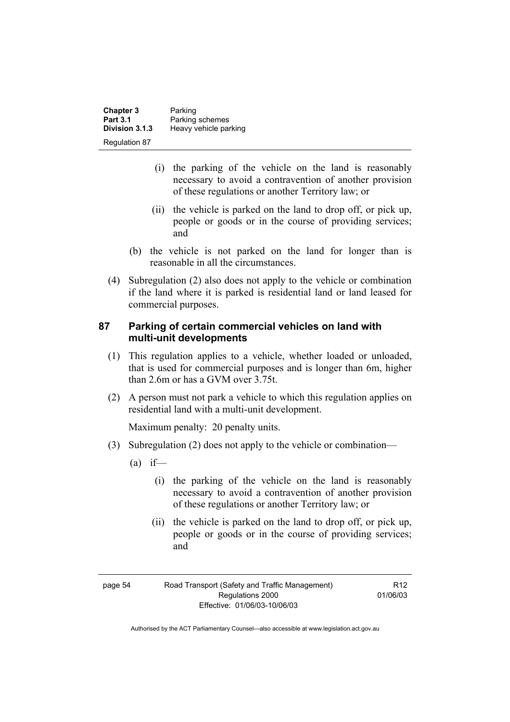| <b>Chapter 3</b><br><b>Part 3.1</b> | Parking<br>Parking schemes |
|-------------------------------------|----------------------------|
| Division 3.1.3                      | Heavy vehicle parking      |
| Regulation 87                       |                            |

- (i) the parking of the vehicle on the land is reasonably necessary to avoid a contravention of another provision of these regulations or another Territory law; or
- (ii) the vehicle is parked on the land to drop off, or pick up, people or goods or in the course of providing services; and
- (b) the vehicle is not parked on the land for longer than is reasonable in all the circumstances.
- (4) Subregulation (2) also does not apply to the vehicle or combination if the land where it is parked is residential land or land leased for commercial purposes.

# **87 Parking of certain commercial vehicles on land with multi-unit developments**

- (1) This regulation applies to a vehicle, whether loaded or unloaded, that is used for commercial purposes and is longer than 6m, higher than 2.6m or has a GVM over 3.75t.
- (2) A person must not park a vehicle to which this regulation applies on residential land with a multi-unit development.

Maximum penalty: 20 penalty units.

- (3) Subregulation (2) does not apply to the vehicle or combination—
	- $(a)$  if—
		- (i) the parking of the vehicle on the land is reasonably necessary to avoid a contravention of another provision of these regulations or another Territory law; or
		- (ii) the vehicle is parked on the land to drop off, or pick up, people or goods or in the course of providing services; and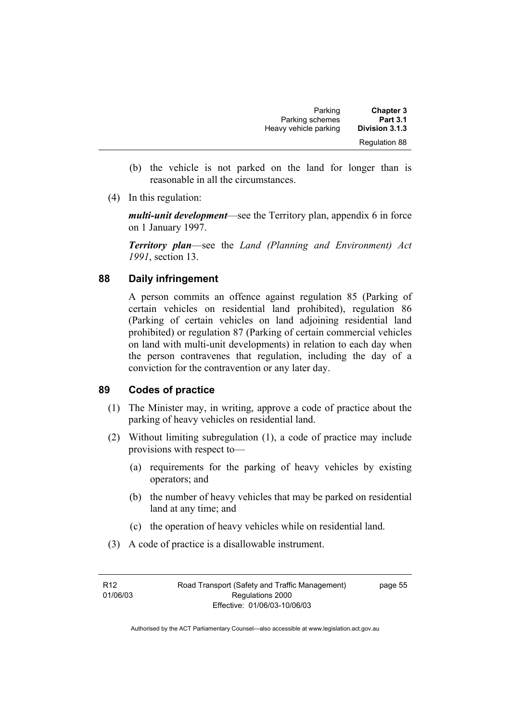| Parking               | <b>Chapter 3</b>     |
|-----------------------|----------------------|
| Parking schemes       | <b>Part 3.1</b>      |
| Heavy vehicle parking | Division 3.1.3       |
|                       | <b>Regulation 88</b> |

- (b) the vehicle is not parked on the land for longer than is reasonable in all the circumstances.
- (4) In this regulation:

*multi-unit development*—see the Territory plan, appendix 6 in force on 1 January 1997.

*Territory plan*—see the *Land (Planning and Environment) Act 1991*, section 13.

# **88 Daily infringement**

A person commits an offence against regulation 85 (Parking of certain vehicles on residential land prohibited), regulation 86 (Parking of certain vehicles on land adjoining residential land prohibited) or regulation 87 (Parking of certain commercial vehicles on land with multi-unit developments) in relation to each day when the person contravenes that regulation, including the day of a conviction for the contravention or any later day.

## **89 Codes of practice**

- (1) The Minister may, in writing, approve a code of practice about the parking of heavy vehicles on residential land.
- (2) Without limiting subregulation (1), a code of practice may include provisions with respect to—
	- (a) requirements for the parking of heavy vehicles by existing operators; and
	- (b) the number of heavy vehicles that may be parked on residential land at any time; and
	- (c) the operation of heavy vehicles while on residential land.
- (3) A code of practice is a disallowable instrument.

R12 01/06/03 Road Transport (Safety and Traffic Management) Regulations 2000 Effective: 01/06/03-10/06/03

page 55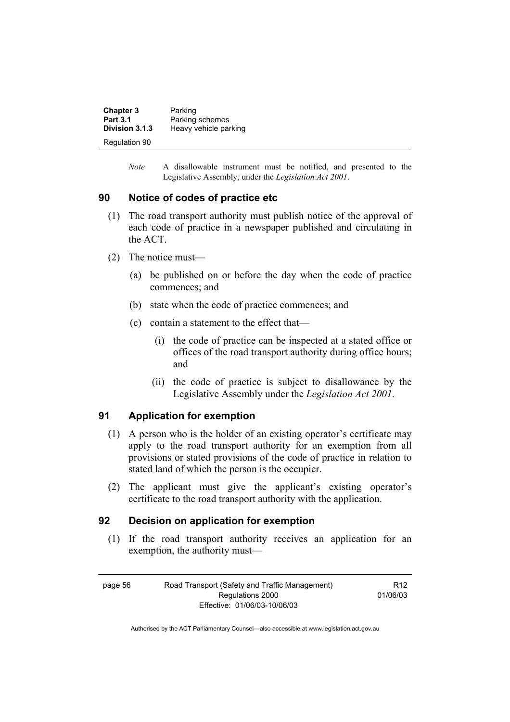| <b>Chapter 3</b> | Parking               |
|------------------|-----------------------|
| <b>Part 3.1</b>  | Parking schemes       |
| Division 3.1.3   | Heavy vehicle parking |
| Regulation 90    |                       |

*Note* A disallowable instrument must be notified, and presented to the Legislative Assembly, under the *Legislation Act 2001*.

#### **90 Notice of codes of practice etc**

- (1) The road transport authority must publish notice of the approval of each code of practice in a newspaper published and circulating in the ACT.
- (2) The notice must—
	- (a) be published on or before the day when the code of practice commences; and
	- (b) state when the code of practice commences; and
	- (c) contain a statement to the effect that—
		- (i) the code of practice can be inspected at a stated office or offices of the road transport authority during office hours; and
		- (ii) the code of practice is subject to disallowance by the Legislative Assembly under the *Legislation Act 2001*.

# **91 Application for exemption**

- (1) A person who is the holder of an existing operator's certificate may apply to the road transport authority for an exemption from all provisions or stated provisions of the code of practice in relation to stated land of which the person is the occupier.
- (2) The applicant must give the applicant's existing operator's certificate to the road transport authority with the application.

#### **92 Decision on application for exemption**

 (1) If the road transport authority receives an application for an exemption, the authority must—

page 56 Road Transport (Safety and Traffic Management) Regulations 2000 Effective: 01/06/03-10/06/03 R12 01/06/03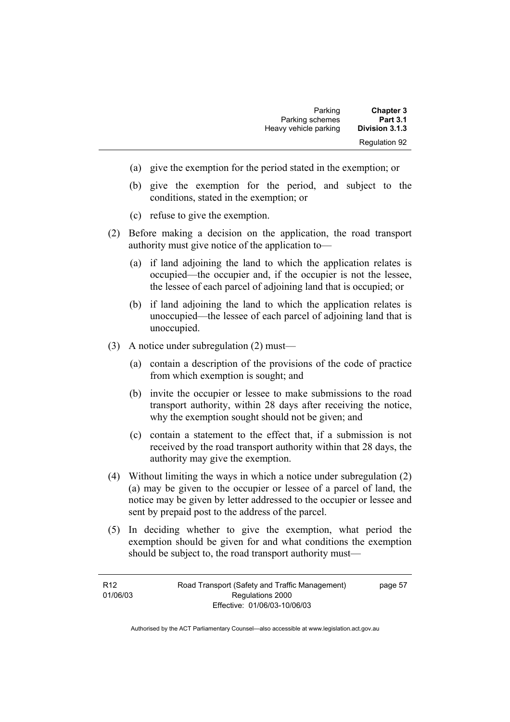| Parking               | <b>Chapter 3</b>     |
|-----------------------|----------------------|
| Parking schemes       | <b>Part 3.1</b>      |
| Heavy vehicle parking | Division 3.1.3       |
|                       | <b>Regulation 92</b> |

- (a) give the exemption for the period stated in the exemption; or
- (b) give the exemption for the period, and subject to the conditions, stated in the exemption; or
- (c) refuse to give the exemption.
- (2) Before making a decision on the application, the road transport authority must give notice of the application to—
	- (a) if land adjoining the land to which the application relates is occupied—the occupier and, if the occupier is not the lessee, the lessee of each parcel of adjoining land that is occupied; or
	- (b) if land adjoining the land to which the application relates is unoccupied—the lessee of each parcel of adjoining land that is unoccupied.
- (3) A notice under subregulation (2) must—
	- (a) contain a description of the provisions of the code of practice from which exemption is sought; and
	- (b) invite the occupier or lessee to make submissions to the road transport authority, within 28 days after receiving the notice, why the exemption sought should not be given; and
	- (c) contain a statement to the effect that, if a submission is not received by the road transport authority within that 28 days, the authority may give the exemption.
- (4) Without limiting the ways in which a notice under subregulation (2) (a) may be given to the occupier or lessee of a parcel of land, the notice may be given by letter addressed to the occupier or lessee and sent by prepaid post to the address of the parcel.
- (5) In deciding whether to give the exemption, what period the exemption should be given for and what conditions the exemption should be subject to, the road transport authority must—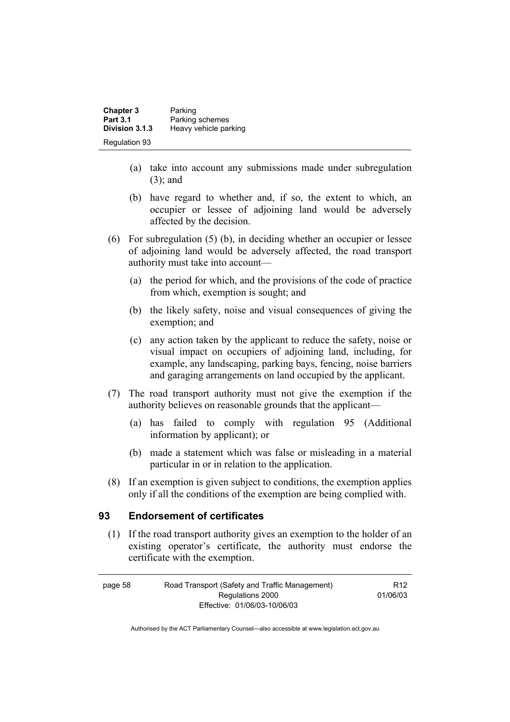| <b>Chapter 3</b>     | Parking               |
|----------------------|-----------------------|
| <b>Part 3.1</b>      | Parking schemes       |
| Division 3.1.3       | Heavy vehicle parking |
| <b>Regulation 93</b> |                       |

- (a) take into account any submissions made under subregulation (3); and
- (b) have regard to whether and, if so, the extent to which, an occupier or lessee of adjoining land would be adversely affected by the decision.
- (6) For subregulation (5) (b), in deciding whether an occupier or lessee of adjoining land would be adversely affected, the road transport authority must take into account—
	- (a) the period for which, and the provisions of the code of practice from which, exemption is sought; and
	- (b) the likely safety, noise and visual consequences of giving the exemption; and
	- (c) any action taken by the applicant to reduce the safety, noise or visual impact on occupiers of adjoining land, including, for example, any landscaping, parking bays, fencing, noise barriers and garaging arrangements on land occupied by the applicant.
- (7) The road transport authority must not give the exemption if the authority believes on reasonable grounds that the applicant—
	- (a) has failed to comply with regulation 95 (Additional information by applicant); or
	- (b) made a statement which was false or misleading in a material particular in or in relation to the application.
- (8) If an exemption is given subject to conditions, the exemption applies only if all the conditions of the exemption are being complied with.

## **93 Endorsement of certificates**

 (1) If the road transport authority gives an exemption to the holder of an existing operator's certificate, the authority must endorse the certificate with the exemption.

| page 58                      | Road Transport (Safety and Traffic Management) | R <sub>12</sub> |
|------------------------------|------------------------------------------------|-----------------|
| Regulations 2000             |                                                | 01/06/03        |
| Effective: 01/06/03-10/06/03 |                                                |                 |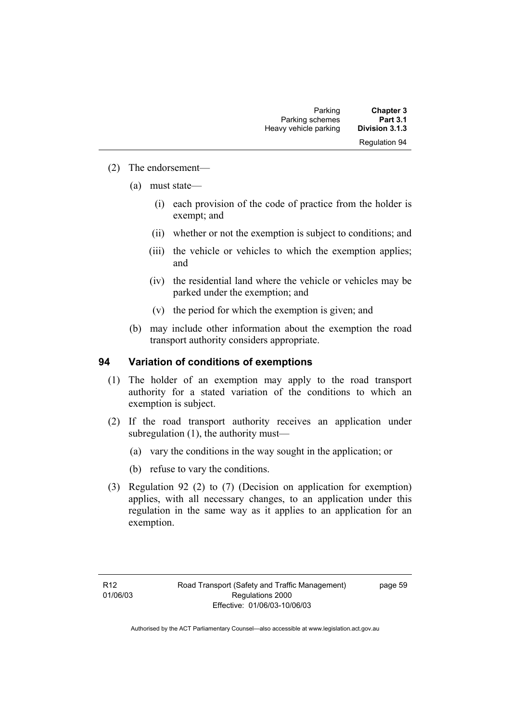## (2) The endorsement—

- (a) must state—
	- (i) each provision of the code of practice from the holder is exempt; and
	- (ii) whether or not the exemption is subject to conditions; and
	- (iii) the vehicle or vehicles to which the exemption applies; and
	- (iv) the residential land where the vehicle or vehicles may be parked under the exemption; and
	- (v) the period for which the exemption is given; and
- (b) may include other information about the exemption the road transport authority considers appropriate.

# **94 Variation of conditions of exemptions**

- (1) The holder of an exemption may apply to the road transport authority for a stated variation of the conditions to which an exemption is subject.
- (2) If the road transport authority receives an application under subregulation (1), the authority must—
	- (a) vary the conditions in the way sought in the application; or
	- (b) refuse to vary the conditions.
- (3) Regulation 92 (2) to (7) (Decision on application for exemption) applies, with all necessary changes, to an application under this regulation in the same way as it applies to an application for an exemption.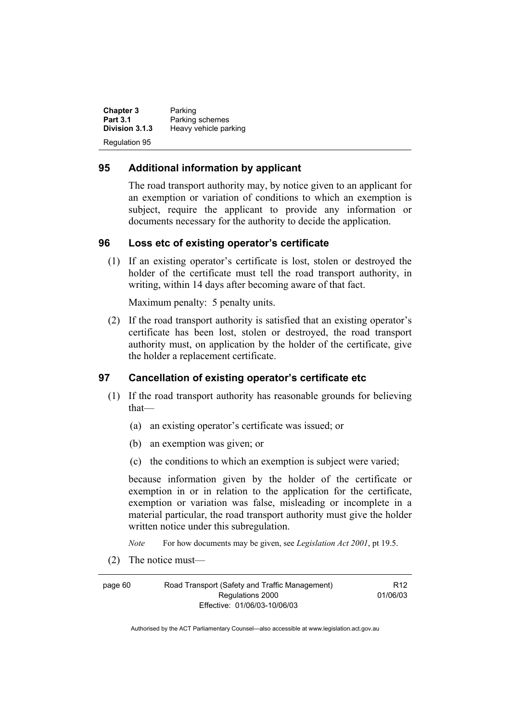**Chapter 3** Parking<br>**Part 3.1** Parking **Part 3.1** Parking schemes<br>**Division 3.1.3** Heavy vehicle pay **Division 3.1.3** Heavy vehicle parking Regulation 95

# **95 Additional information by applicant**

The road transport authority may, by notice given to an applicant for an exemption or variation of conditions to which an exemption is subject, require the applicant to provide any information or documents necessary for the authority to decide the application.

# **96 Loss etc of existing operator's certificate**

 (1) If an existing operator's certificate is lost, stolen or destroyed the holder of the certificate must tell the road transport authority, in writing, within 14 days after becoming aware of that fact.

Maximum penalty: 5 penalty units.

 (2) If the road transport authority is satisfied that an existing operator's certificate has been lost, stolen or destroyed, the road transport authority must, on application by the holder of the certificate, give the holder a replacement certificate.

# **97 Cancellation of existing operator's certificate etc**

- (1) If the road transport authority has reasonable grounds for believing that—
	- (a) an existing operator's certificate was issued; or
	- (b) an exemption was given; or
	- (c) the conditions to which an exemption is subject were varied;

because information given by the holder of the certificate or exemption in or in relation to the application for the certificate, exemption or variation was false, misleading or incomplete in a material particular, the road transport authority must give the holder written notice under this subregulation.

*Note* For how documents may be given, see *Legislation Act 2001*, pt 19.5.

(2) The notice must—

page 60 Road Transport (Safety and Traffic Management) Regulations 2000 Effective: 01/06/03-10/06/03

R12 01/06/03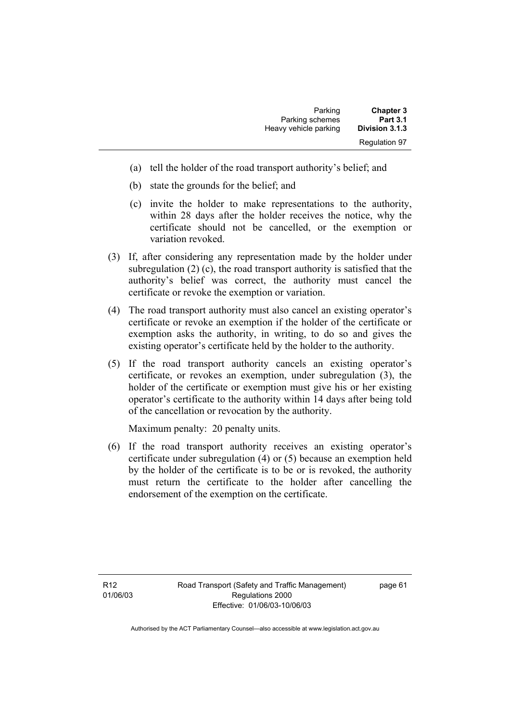| Parking               | <b>Chapter 3</b>     |
|-----------------------|----------------------|
| Parking schemes       | <b>Part 3.1</b>      |
| Heavy vehicle parking | Division 3.1.3       |
|                       | <b>Regulation 97</b> |

- (a) tell the holder of the road transport authority's belief; and
- (b) state the grounds for the belief; and
- (c) invite the holder to make representations to the authority, within 28 days after the holder receives the notice, why the certificate should not be cancelled, or the exemption or variation revoked.
- (3) If, after considering any representation made by the holder under subregulation (2) (c), the road transport authority is satisfied that the authority's belief was correct, the authority must cancel the certificate or revoke the exemption or variation.
- (4) The road transport authority must also cancel an existing operator's certificate or revoke an exemption if the holder of the certificate or exemption asks the authority, in writing, to do so and gives the existing operator's certificate held by the holder to the authority.
- (5) If the road transport authority cancels an existing operator's certificate, or revokes an exemption, under subregulation (3), the holder of the certificate or exemption must give his or her existing operator's certificate to the authority within 14 days after being told of the cancellation or revocation by the authority.

Maximum penalty: 20 penalty units.

 (6) If the road transport authority receives an existing operator's certificate under subregulation (4) or (5) because an exemption held by the holder of the certificate is to be or is revoked, the authority must return the certificate to the holder after cancelling the endorsement of the exemption on the certificate.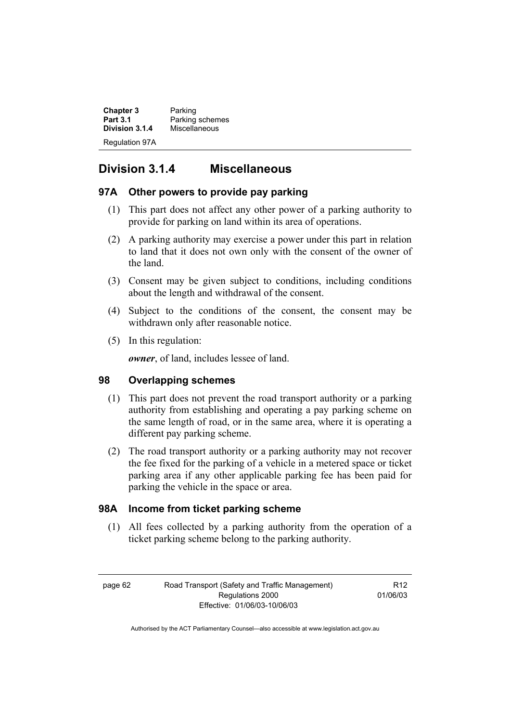**Chapter 3** Parking<br>**Part 3.1** Parking Parking schemes<br>Miscellaneous **Division 3.1.4** Regulation 97A

# **Division 3.1.4 Miscellaneous**

## **97A Other powers to provide pay parking**

- (1) This part does not affect any other power of a parking authority to provide for parking on land within its area of operations.
- (2) A parking authority may exercise a power under this part in relation to land that it does not own only with the consent of the owner of the land.
- (3) Consent may be given subject to conditions, including conditions about the length and withdrawal of the consent.
- (4) Subject to the conditions of the consent, the consent may be withdrawn only after reasonable notice.
- (5) In this regulation:

*owner*, of land, includes lessee of land.

## **98 Overlapping schemes**

- (1) This part does not prevent the road transport authority or a parking authority from establishing and operating a pay parking scheme on the same length of road, or in the same area, where it is operating a different pay parking scheme.
- (2) The road transport authority or a parking authority may not recover the fee fixed for the parking of a vehicle in a metered space or ticket parking area if any other applicable parking fee has been paid for parking the vehicle in the space or area.

## **98A Income from ticket parking scheme**

 (1) All fees collected by a parking authority from the operation of a ticket parking scheme belong to the parking authority.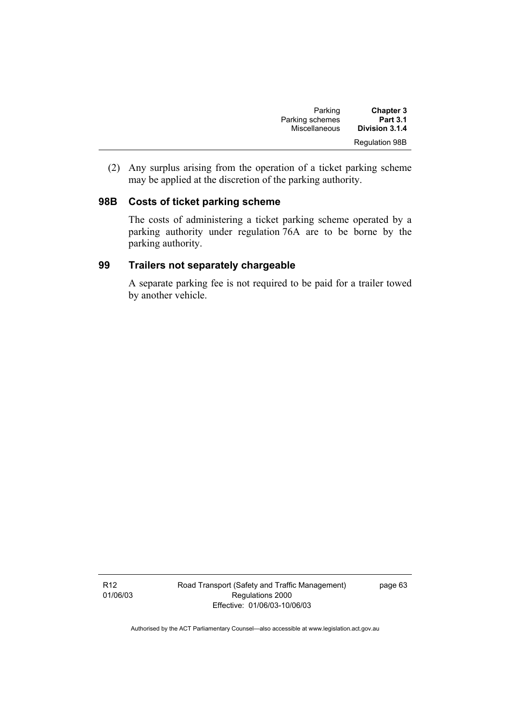| Parking         | <b>Chapter 3</b>      |
|-----------------|-----------------------|
| Parking schemes | <b>Part 3.1</b>       |
| Miscellaneous   | Division 3.1.4        |
|                 | <b>Regulation 98B</b> |

 (2) Any surplus arising from the operation of a ticket parking scheme may be applied at the discretion of the parking authority.

# **98B Costs of ticket parking scheme**

The costs of administering a ticket parking scheme operated by a parking authority under regulation 76A are to be borne by the parking authority.

# **99 Trailers not separately chargeable**

A separate parking fee is not required to be paid for a trailer towed by another vehicle.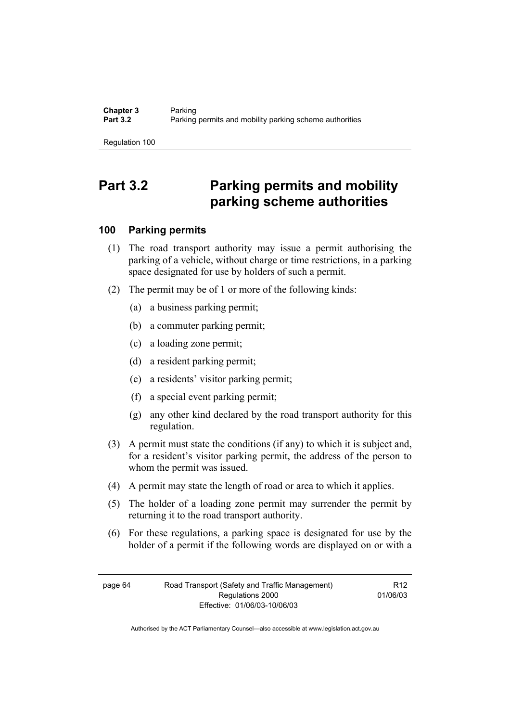# **Part 3.2 Parking permits and mobility parking scheme authorities**

# **100 Parking permits**

- (1) The road transport authority may issue a permit authorising the parking of a vehicle, without charge or time restrictions, in a parking space designated for use by holders of such a permit.
- (2) The permit may be of 1 or more of the following kinds:
	- (a) a business parking permit;
	- (b) a commuter parking permit;
	- (c) a loading zone permit;
	- (d) a resident parking permit;
	- (e) a residents' visitor parking permit;
	- (f) a special event parking permit;
	- (g) any other kind declared by the road transport authority for this regulation.
- (3) A permit must state the conditions (if any) to which it is subject and, for a resident's visitor parking permit, the address of the person to whom the permit was issued.
- (4) A permit may state the length of road or area to which it applies.
- (5) The holder of a loading zone permit may surrender the permit by returning it to the road transport authority.
- (6) For these regulations, a parking space is designated for use by the holder of a permit if the following words are displayed on or with a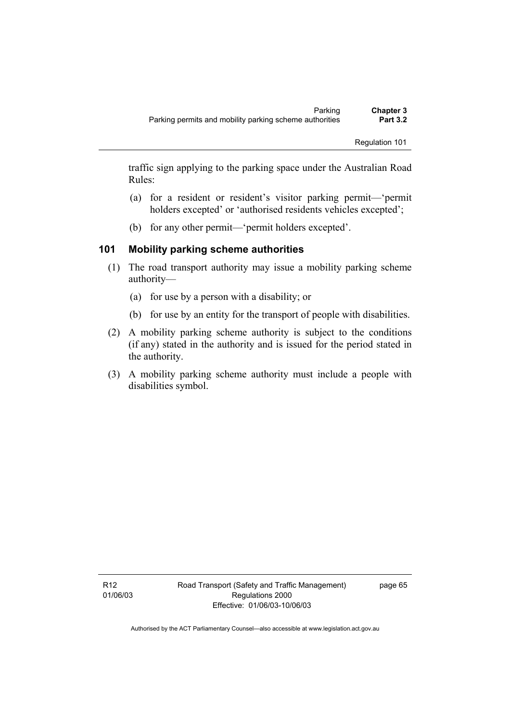traffic sign applying to the parking space under the Australian Road Rules:

- (a) for a resident or resident's visitor parking permit—'permit holders excepted' or 'authorised residents vehicles excepted';
- (b) for any other permit—'permit holders excepted'.

# **101 Mobility parking scheme authorities**

- (1) The road transport authority may issue a mobility parking scheme authority—
	- (a) for use by a person with a disability; or
	- (b) for use by an entity for the transport of people with disabilities.
- (2) A mobility parking scheme authority is subject to the conditions (if any) stated in the authority and is issued for the period stated in the authority.
- (3) A mobility parking scheme authority must include a people with disabilities symbol.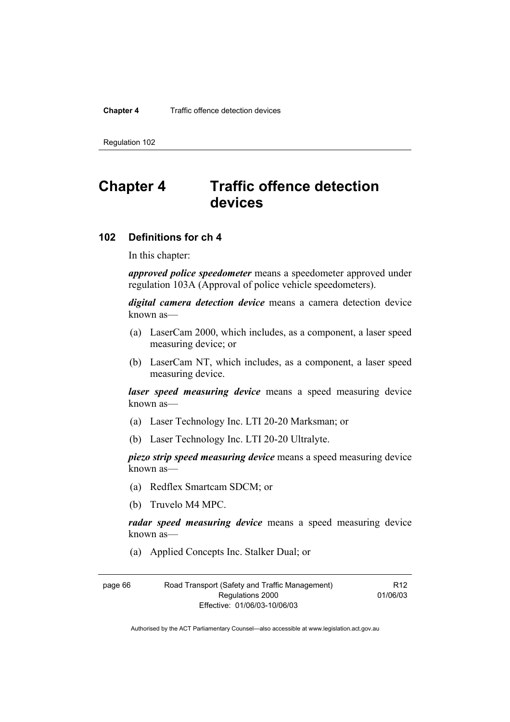#### **Chapter 4** Traffic offence detection devices

Regulation 102

# **Chapter 4 Traffic offence detection devices**

# **102 Definitions for ch 4**

In this chapter:

*approved police speedometer* means a speedometer approved under regulation 103A (Approval of police vehicle speedometers).

*digital camera detection device* means a camera detection device known as—

- (a) LaserCam 2000, which includes, as a component, a laser speed measuring device; or
- (b) LaserCam NT, which includes, as a component, a laser speed measuring device.

*laser speed measuring device* means a speed measuring device known as—

- (a) Laser Technology Inc. LTI 20-20 Marksman; or
- (b) Laser Technology Inc. LTI 20-20 Ultralyte.

*piezo strip speed measuring device* means a speed measuring device known as—

- (a) Redflex Smartcam SDCM; or
- (b) Truvelo M4 MPC.

*radar speed measuring device* means a speed measuring device known as—

(a) Applied Concepts Inc. Stalker Dual; or

| page 66 | Road Transport (Safety and Traffic Management) |  |
|---------|------------------------------------------------|--|
|         | Regulations 2000                               |  |
|         | Effective: 01/06/03-10/06/03                   |  |

R12 01/06/03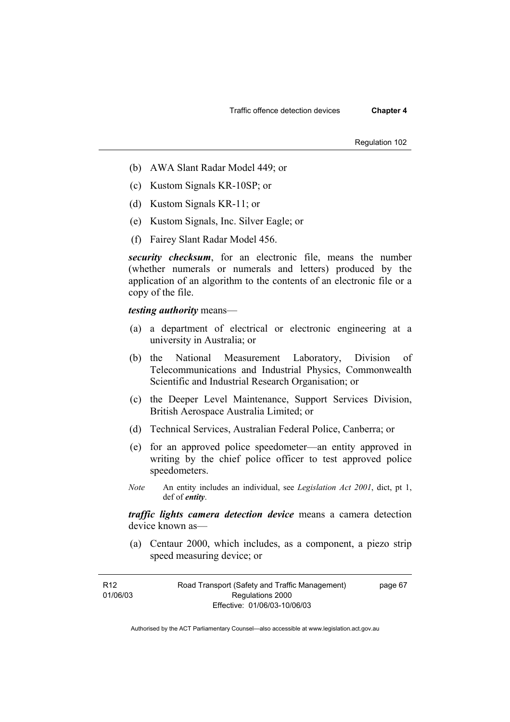- (b) AWA Slant Radar Model 449; or
- (c) Kustom Signals KR-10SP; or
- (d) Kustom Signals KR-11; or
- (e) Kustom Signals, Inc. Silver Eagle; or
- (f) Fairey Slant Radar Model 456.

*security checksum*, for an electronic file, means the number (whether numerals or numerals and letters) produced by the application of an algorithm to the contents of an electronic file or a copy of the file.

*testing authority* means—

- (a) a department of electrical or electronic engineering at a university in Australia; or
- (b) the National Measurement Laboratory, Division of Telecommunications and Industrial Physics, Commonwealth Scientific and Industrial Research Organisation; or
- (c) the Deeper Level Maintenance, Support Services Division, British Aerospace Australia Limited; or
- (d) Technical Services, Australian Federal Police, Canberra; or
- (e) for an approved police speedometer—an entity approved in writing by the chief police officer to test approved police speedometers.
- *Note* An entity includes an individual, see *Legislation Act 2001*, dict, pt 1, def of *entity*.

*traffic lights camera detection device* means a camera detection device known as—

 (a) Centaur 2000, which includes, as a component, a piezo strip speed measuring device; or

| R12      | Road Transport (Safety and Traffic Management) | page 67 |
|----------|------------------------------------------------|---------|
| 01/06/03 | Regulations 2000                               |         |
|          | Effective: 01/06/03-10/06/03                   |         |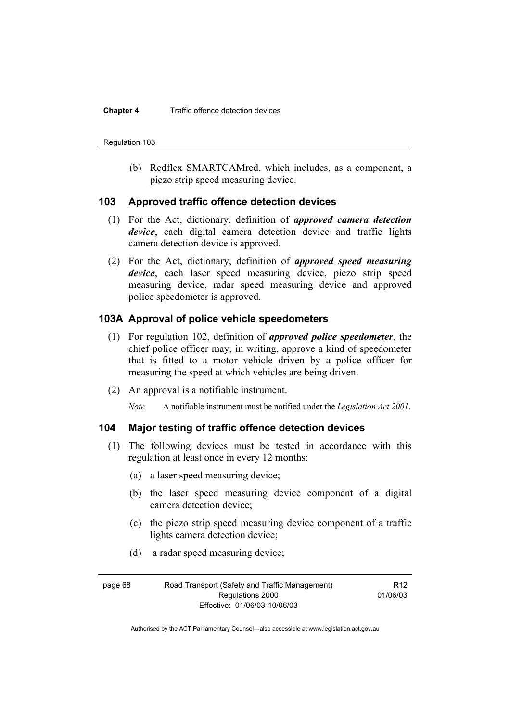(b) Redflex SMARTCAMred, which includes, as a component, a piezo strip speed measuring device.

### **103 Approved traffic offence detection devices**

- (1) For the Act, dictionary, definition of *approved camera detection device*, each digital camera detection device and traffic lights camera detection device is approved.
- (2) For the Act, dictionary, definition of *approved speed measuring device*, each laser speed measuring device, piezo strip speed measuring device, radar speed measuring device and approved police speedometer is approved.

# **103A Approval of police vehicle speedometers**

- (1) For regulation 102, definition of *approved police speedometer*, the chief police officer may, in writing, approve a kind of speedometer that is fitted to a motor vehicle driven by a police officer for measuring the speed at which vehicles are being driven.
- (2) An approval is a notifiable instrument.

*Note* A notifiable instrument must be notified under the *Legislation Act 2001*.

# **104 Major testing of traffic offence detection devices**

- (1) The following devices must be tested in accordance with this regulation at least once in every 12 months:
	- (a) a laser speed measuring device;
	- (b) the laser speed measuring device component of a digital camera detection device;
	- (c) the piezo strip speed measuring device component of a traffic lights camera detection device;
	- (d) a radar speed measuring device;

| page 68 | Road Transport (Safety and Traffic Management) | R <sub>12</sub> |
|---------|------------------------------------------------|-----------------|
|         | Regulations 2000                               | 01/06/03        |
|         | Effective: 01/06/03-10/06/03                   |                 |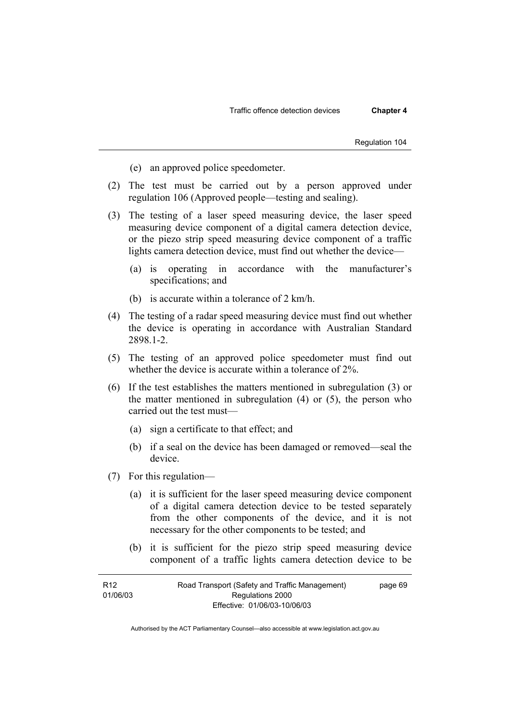- (e) an approved police speedometer.
- (2) The test must be carried out by a person approved under regulation 106 (Approved people—testing and sealing).
- (3) The testing of a laser speed measuring device, the laser speed measuring device component of a digital camera detection device, or the piezo strip speed measuring device component of a traffic lights camera detection device, must find out whether the device—
	- (a) is operating in accordance with the manufacturer's specifications; and
	- (b) is accurate within a tolerance of 2 km/h.
- (4) The testing of a radar speed measuring device must find out whether the device is operating in accordance with Australian Standard 2898.1-2.
- (5) The testing of an approved police speedometer must find out whether the device is accurate within a tolerance of 2%.
- (6) If the test establishes the matters mentioned in subregulation (3) or the matter mentioned in subregulation (4) or (5), the person who carried out the test must—
	- (a) sign a certificate to that effect; and
	- (b) if a seal on the device has been damaged or removed—seal the device.
- (7) For this regulation—
	- (a) it is sufficient for the laser speed measuring device component of a digital camera detection device to be tested separately from the other components of the device, and it is not necessary for the other components to be tested; and
	- (b) it is sufficient for the piezo strip speed measuring device component of a traffic lights camera detection device to be

| R <sub>12</sub> | Road Transport (Safety and Traffic Management) | page 69 |
|-----------------|------------------------------------------------|---------|
| 01/06/03        | Regulations 2000                               |         |
|                 | Effective: 01/06/03-10/06/03                   |         |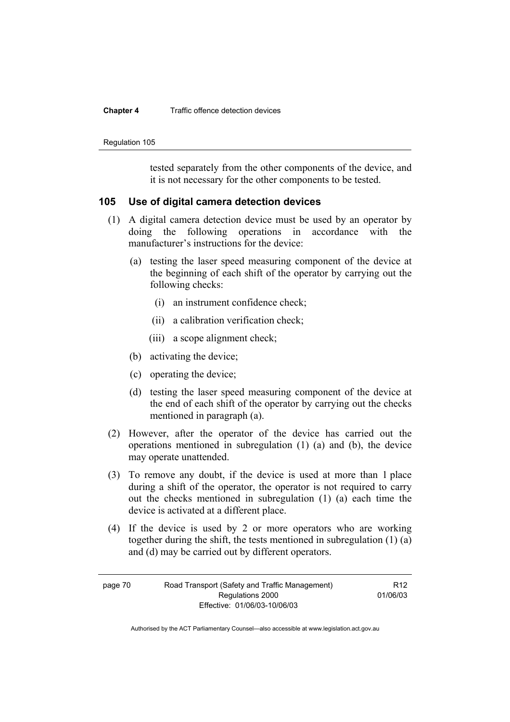#### **Chapter 4** Traffic offence detection devices

Regulation 105

tested separately from the other components of the device, and it is not necessary for the other components to be tested.

### **105 Use of digital camera detection devices**

- (1) A digital camera detection device must be used by an operator by doing the following operations in accordance with the manufacturer's instructions for the device:
	- (a) testing the laser speed measuring component of the device at the beginning of each shift of the operator by carrying out the following checks:
		- (i) an instrument confidence check;
		- (ii) a calibration verification check;
		- (iii) a scope alignment check;
	- (b) activating the device;
	- (c) operating the device;
	- (d) testing the laser speed measuring component of the device at the end of each shift of the operator by carrying out the checks mentioned in paragraph (a).
- (2) However, after the operator of the device has carried out the operations mentioned in subregulation (1) (a) and (b), the device may operate unattended.
- (3) To remove any doubt, if the device is used at more than 1 place during a shift of the operator, the operator is not required to carry out the checks mentioned in subregulation (1) (a) each time the device is activated at a different place.
- (4) If the device is used by 2 or more operators who are working together during the shift, the tests mentioned in subregulation (1) (a) and (d) may be carried out by different operators.

R12 01/06/03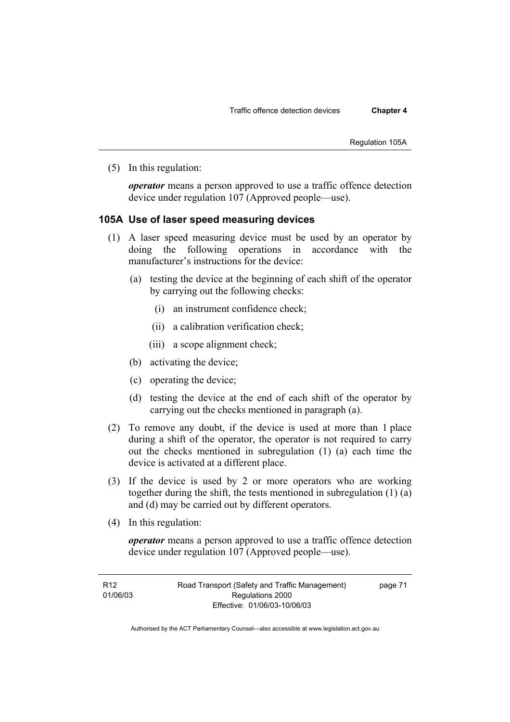Regulation 105A

(5) In this regulation:

*operator* means a person approved to use a traffic offence detection device under regulation 107 (Approved people—use).

### **105A Use of laser speed measuring devices**

- (1) A laser speed measuring device must be used by an operator by doing the following operations in accordance with the manufacturer's instructions for the device:
	- (a) testing the device at the beginning of each shift of the operator by carrying out the following checks:
		- (i) an instrument confidence check;
		- (ii) a calibration verification check;
		- (iii) a scope alignment check;
	- (b) activating the device;
	- (c) operating the device;
	- (d) testing the device at the end of each shift of the operator by carrying out the checks mentioned in paragraph (a).
- (2) To remove any doubt, if the device is used at more than 1 place during a shift of the operator, the operator is not required to carry out the checks mentioned in subregulation (1) (a) each time the device is activated at a different place.
- (3) If the device is used by 2 or more operators who are working together during the shift, the tests mentioned in subregulation (1) (a) and (d) may be carried out by different operators.
- (4) In this regulation:

*operator* means a person approved to use a traffic offence detection device under regulation 107 (Approved people—use).

| R12      | Road Transport (Safety and Traffic Management) | page 71 |
|----------|------------------------------------------------|---------|
| 01/06/03 | Regulations 2000                               |         |
|          | Effective: 01/06/03-10/06/03                   |         |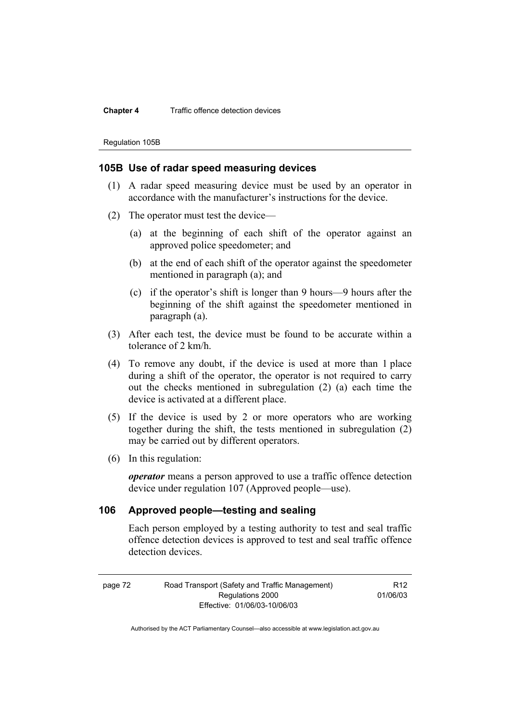#### **Chapter 4** Traffic offence detection devices

Regulation 105B

### **105B Use of radar speed measuring devices**

- (1) A radar speed measuring device must be used by an operator in accordance with the manufacturer's instructions for the device.
- (2) The operator must test the device—
	- (a) at the beginning of each shift of the operator against an approved police speedometer; and
	- (b) at the end of each shift of the operator against the speedometer mentioned in paragraph (a); and
	- (c) if the operator's shift is longer than 9 hours—9 hours after the beginning of the shift against the speedometer mentioned in paragraph (a).
- (3) After each test, the device must be found to be accurate within a tolerance of 2 km/h.
- (4) To remove any doubt, if the device is used at more than 1 place during a shift of the operator, the operator is not required to carry out the checks mentioned in subregulation (2) (a) each time the device is activated at a different place.
- (5) If the device is used by 2 or more operators who are working together during the shift, the tests mentioned in subregulation (2) may be carried out by different operators.
- (6) In this regulation:

*operator* means a person approved to use a traffic offence detection device under regulation 107 (Approved people—use).

### **106 Approved people—testing and sealing**

Each person employed by a testing authority to test and seal traffic offence detection devices is approved to test and seal traffic offence detection devices.

| page 72 | Road Transport (Safety and Traffic Management) | R <sub>12</sub> |
|---------|------------------------------------------------|-----------------|
|         | Regulations 2000                               | 01/06/03        |
|         | Effective: 01/06/03-10/06/03                   |                 |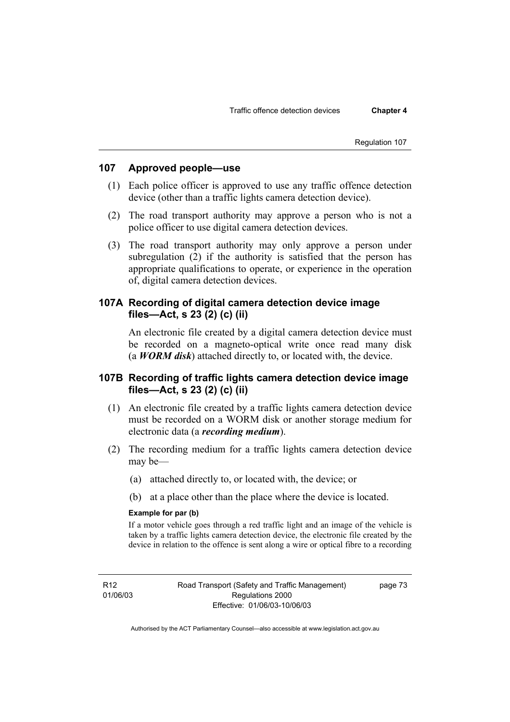# **107 Approved people—use**

- (1) Each police officer is approved to use any traffic offence detection device (other than a traffic lights camera detection device).
- (2) The road transport authority may approve a person who is not a police officer to use digital camera detection devices.
- (3) The road transport authority may only approve a person under subregulation (2) if the authority is satisfied that the person has appropriate qualifications to operate, or experience in the operation of, digital camera detection devices.

# **107A Recording of digital camera detection device image files—Act, s 23 (2) (c) (ii)**

An electronic file created by a digital camera detection device must be recorded on a magneto-optical write once read many disk (a *WORM disk*) attached directly to, or located with, the device.

# **107B Recording of traffic lights camera detection device image files—Act, s 23 (2) (c) (ii)**

- (1) An electronic file created by a traffic lights camera detection device must be recorded on a WORM disk or another storage medium for electronic data (a *recording medium*).
- (2) The recording medium for a traffic lights camera detection device may be—
	- (a) attached directly to, or located with, the device; or
	- (b) at a place other than the place where the device is located.

#### **Example for par (b)**

If a motor vehicle goes through a red traffic light and an image of the vehicle is taken by a traffic lights camera detection device, the electronic file created by the device in relation to the offence is sent along a wire or optical fibre to a recording

R12 01/06/03 Road Transport (Safety and Traffic Management) Regulations 2000 Effective: 01/06/03-10/06/03

page 73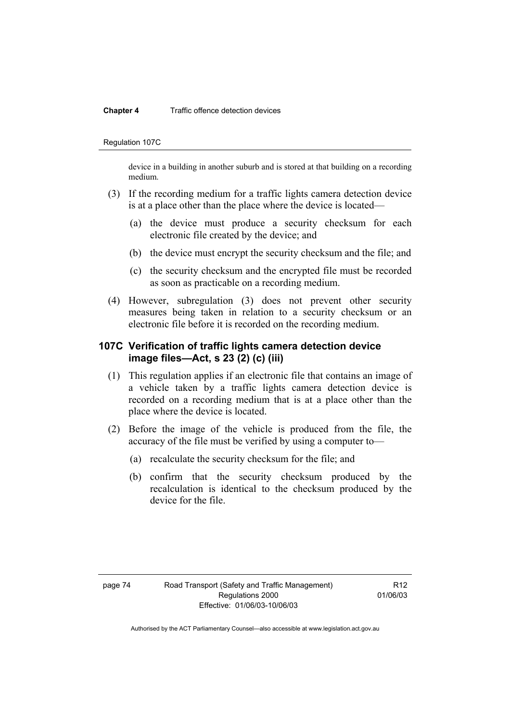#### **Chapter 4** Traffic offence detection devices

#### Regulation 107C

device in a building in another suburb and is stored at that building on a recording medium.

- (3) If the recording medium for a traffic lights camera detection device is at a place other than the place where the device is located—
	- (a) the device must produce a security checksum for each electronic file created by the device; and
	- (b) the device must encrypt the security checksum and the file; and
	- (c) the security checksum and the encrypted file must be recorded as soon as practicable on a recording medium.
- (4) However, subregulation (3) does not prevent other security measures being taken in relation to a security checksum or an electronic file before it is recorded on the recording medium.

# **107C Verification of traffic lights camera detection device image files—Act, s 23 (2) (c) (iii)**

- (1) This regulation applies if an electronic file that contains an image of a vehicle taken by a traffic lights camera detection device is recorded on a recording medium that is at a place other than the place where the device is located.
- (2) Before the image of the vehicle is produced from the file, the accuracy of the file must be verified by using a computer to—
	- (a) recalculate the security checksum for the file; and
	- (b) confirm that the security checksum produced by the recalculation is identical to the checksum produced by the device for the file.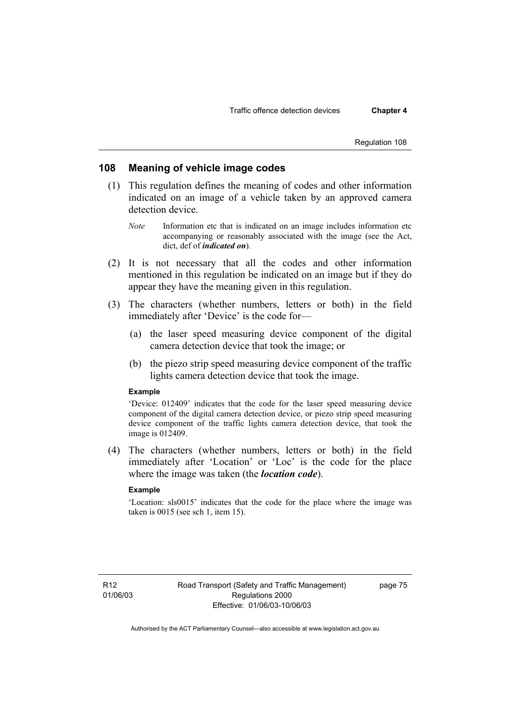# **108 Meaning of vehicle image codes**

- (1) This regulation defines the meaning of codes and other information indicated on an image of a vehicle taken by an approved camera detection device.
	- *Note* Information etc that is indicated on an image includes information etc accompanying or reasonably associated with the image (see the Act, dict, def of *indicated on*).
- (2) It is not necessary that all the codes and other information mentioned in this regulation be indicated on an image but if they do appear they have the meaning given in this regulation.
- (3) The characters (whether numbers, letters or both) in the field immediately after 'Device' is the code for—
	- (a) the laser speed measuring device component of the digital camera detection device that took the image; or
	- (b) the piezo strip speed measuring device component of the traffic lights camera detection device that took the image.

#### **Example**

'Device: 012409' indicates that the code for the laser speed measuring device component of the digital camera detection device, or piezo strip speed measuring device component of the traffic lights camera detection device, that took the image is 012409.

 (4) The characters (whether numbers, letters or both) in the field immediately after 'Location' or 'Loc' is the code for the place where the image was taken (the *location code*).

#### **Example**

'Location: sls0015' indicates that the code for the place where the image was taken is 0015 (see sch 1, item 15).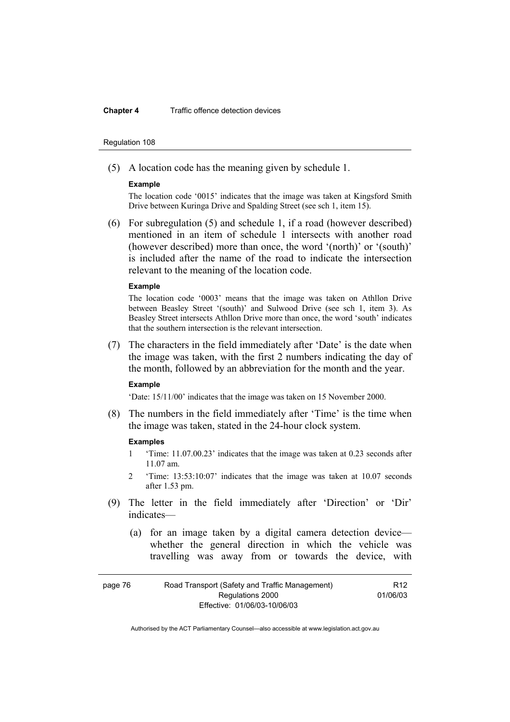#### **Chapter 4** Traffic offence detection devices

#### Regulation 108

(5) A location code has the meaning given by schedule 1.

#### **Example**

The location code '0015' indicates that the image was taken at Kingsford Smith Drive between Kuringa Drive and Spalding Street (see sch 1, item 15).

 (6) For subregulation (5) and schedule 1, if a road (however described) mentioned in an item of schedule 1 intersects with another road (however described) more than once, the word '(north)' or '(south)' is included after the name of the road to indicate the intersection relevant to the meaning of the location code.

#### **Example**

The location code '0003' means that the image was taken on Athllon Drive between Beasley Street '(south)' and Sulwood Drive (see sch 1, item 3). As Beasley Street intersects Athllon Drive more than once, the word 'south' indicates that the southern intersection is the relevant intersection.

 (7) The characters in the field immediately after 'Date' is the date when the image was taken, with the first 2 numbers indicating the day of the month, followed by an abbreviation for the month and the year.

#### **Example**

'Date: 15/11/00' indicates that the image was taken on 15 November 2000.

 (8) The numbers in the field immediately after 'Time' is the time when the image was taken, stated in the 24-hour clock system.

#### **Examples**

- 1 'Time: 11.07.00.23' indicates that the image was taken at 0.23 seconds after 11.07 am.
- 2 'Time: 13:53:10:07' indicates that the image was taken at 10.07 seconds after 1.53 pm.
- (9) The letter in the field immediately after 'Direction' or 'Dir' indicates—
	- (a) for an image taken by a digital camera detection device whether the general direction in which the vehicle was travelling was away from or towards the device, with

| page 76 | Road Transport (Safety and Traffic Management) | R <sub>12</sub> |
|---------|------------------------------------------------|-----------------|
|         | Regulations 2000                               | 01/06/03        |
|         | Effective: 01/06/03-10/06/03                   |                 |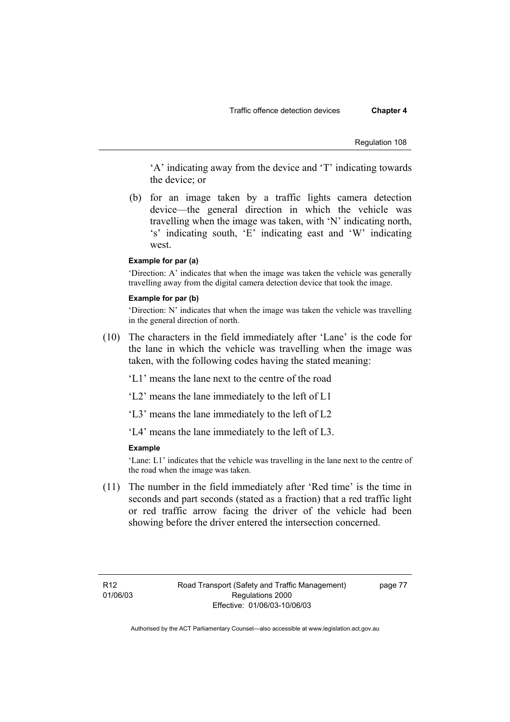'A' indicating away from the device and 'T' indicating towards the device; or

 (b) for an image taken by a traffic lights camera detection device—the general direction in which the vehicle was travelling when the image was taken, with 'N' indicating north, 's' indicating south, 'E' indicating east and 'W' indicating west.

#### **Example for par (a)**

'Direction: A' indicates that when the image was taken the vehicle was generally travelling away from the digital camera detection device that took the image.

#### **Example for par (b)**

'Direction: N' indicates that when the image was taken the vehicle was travelling in the general direction of north.

- (10) The characters in the field immediately after 'Lane' is the code for the lane in which the vehicle was travelling when the image was taken, with the following codes having the stated meaning:
	- 'L1' means the lane next to the centre of the road
	- 'L2' means the lane immediately to the left of L1
	- 'L3' means the lane immediately to the left of L2
	- 'L4' means the lane immediately to the left of L3.

#### **Example**

'Lane: L1' indicates that the vehicle was travelling in the lane next to the centre of the road when the image was taken.

 (11) The number in the field immediately after 'Red time' is the time in seconds and part seconds (stated as a fraction) that a red traffic light or red traffic arrow facing the driver of the vehicle had been showing before the driver entered the intersection concerned.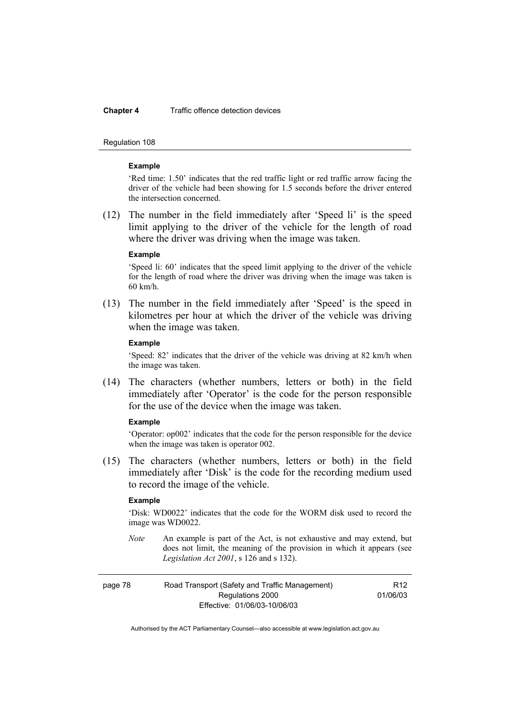#### **Chapter 4** Traffic offence detection devices

#### Regulation 108

#### **Example**

'Red time: 1.50' indicates that the red traffic light or red traffic arrow facing the driver of the vehicle had been showing for 1.5 seconds before the driver entered the intersection concerned.

 (12) The number in the field immediately after 'Speed li' is the speed limit applying to the driver of the vehicle for the length of road where the driver was driving when the image was taken.

#### **Example**

'Speed li: 60' indicates that the speed limit applying to the driver of the vehicle for the length of road where the driver was driving when the image was taken is 60 km/h.

 (13) The number in the field immediately after 'Speed' is the speed in kilometres per hour at which the driver of the vehicle was driving when the image was taken.

#### **Example**

'Speed: 82' indicates that the driver of the vehicle was driving at 82 km/h when the image was taken.

 (14) The characters (whether numbers, letters or both) in the field immediately after 'Operator' is the code for the person responsible for the use of the device when the image was taken.

#### **Example**

'Operator: op002' indicates that the code for the person responsible for the device when the image was taken is operator 002.

 (15) The characters (whether numbers, letters or both) in the field immediately after 'Disk' is the code for the recording medium used to record the image of the vehicle.

#### **Example**

'Disk: WD0022' indicates that the code for the WORM disk used to record the image was WD0022.

*Note* An example is part of the Act, is not exhaustive and may extend, but does not limit, the meaning of the provision in which it appears (see *Legislation Act 2001*, s 126 and s 132).

| page 78 | Road Transport (Safety and Traffic Management) | R <sub>12</sub> |
|---------|------------------------------------------------|-----------------|
|         | Regulations 2000                               | 01/06/03        |
|         | Effective: 01/06/03-10/06/03                   |                 |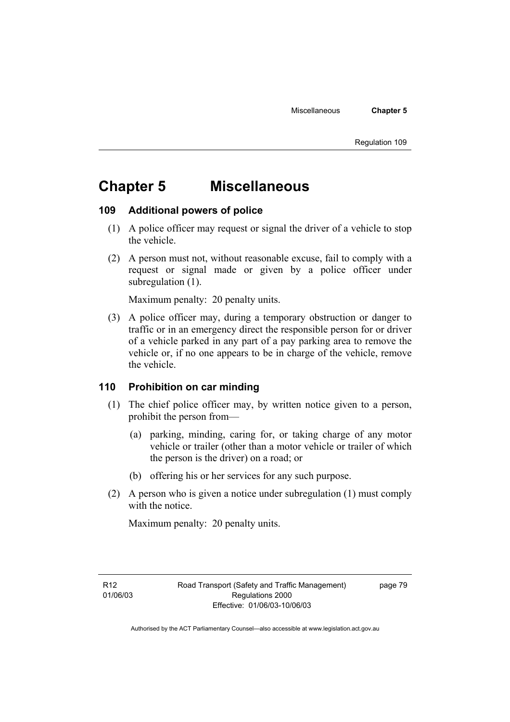# **Chapter 5 Miscellaneous**

# **109 Additional powers of police**

- (1) A police officer may request or signal the driver of a vehicle to stop the vehicle.
- (2) A person must not, without reasonable excuse, fail to comply with a request or signal made or given by a police officer under subregulation  $(1)$ .

Maximum penalty: 20 penalty units.

 (3) A police officer may, during a temporary obstruction or danger to traffic or in an emergency direct the responsible person for or driver of a vehicle parked in any part of a pay parking area to remove the vehicle or, if no one appears to be in charge of the vehicle, remove the vehicle.

# **110 Prohibition on car minding**

- (1) The chief police officer may, by written notice given to a person, prohibit the person from—
	- (a) parking, minding, caring for, or taking charge of any motor vehicle or trailer (other than a motor vehicle or trailer of which the person is the driver) on a road; or
	- (b) offering his or her services for any such purpose.
- (2) A person who is given a notice under subregulation (1) must comply with the notice.

Maximum penalty: 20 penalty units.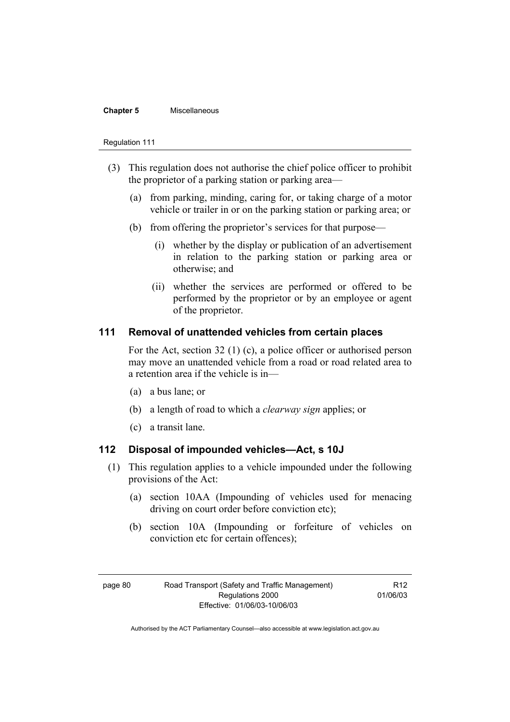#### **Chapter 5** Miscellaneous

#### Regulation 111

- (3) This regulation does not authorise the chief police officer to prohibit the proprietor of a parking station or parking area—
	- (a) from parking, minding, caring for, or taking charge of a motor vehicle or trailer in or on the parking station or parking area; or
	- (b) from offering the proprietor's services for that purpose—
		- (i) whether by the display or publication of an advertisement in relation to the parking station or parking area or otherwise; and
		- (ii) whether the services are performed or offered to be performed by the proprietor or by an employee or agent of the proprietor.

### **111 Removal of unattended vehicles from certain places**

For the Act, section 32 (1) (c), a police officer or authorised person may move an unattended vehicle from a road or road related area to a retention area if the vehicle is in—

- (a) a bus lane; or
- (b) a length of road to which a *clearway sign* applies; or
- (c) a transit lane.

# **112 Disposal of impounded vehicles—Act, s 10J**

- (1) This regulation applies to a vehicle impounded under the following provisions of the Act:
	- (a) section 10AA (Impounding of vehicles used for menacing driving on court order before conviction etc);
	- (b) section 10A (Impounding or forfeiture of vehicles on conviction etc for certain offences);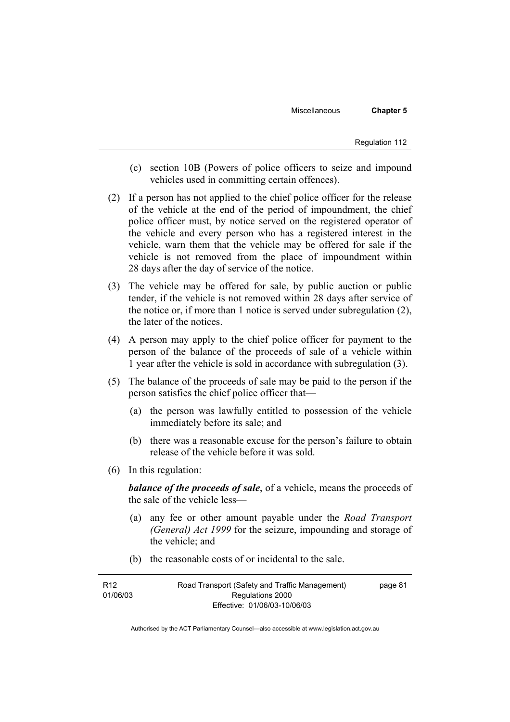Miscellaneous **Chapter 5** 

- (c) section 10B (Powers of police officers to seize and impound vehicles used in committing certain offences).
- (2) If a person has not applied to the chief police officer for the release of the vehicle at the end of the period of impoundment, the chief police officer must, by notice served on the registered operator of the vehicle and every person who has a registered interest in the vehicle, warn them that the vehicle may be offered for sale if the vehicle is not removed from the place of impoundment within 28 days after the day of service of the notice.
- (3) The vehicle may be offered for sale, by public auction or public tender, if the vehicle is not removed within 28 days after service of the notice or, if more than 1 notice is served under subregulation (2), the later of the notices.
- (4) A person may apply to the chief police officer for payment to the person of the balance of the proceeds of sale of a vehicle within 1 year after the vehicle is sold in accordance with subregulation (3).
- (5) The balance of the proceeds of sale may be paid to the person if the person satisfies the chief police officer that—
	- (a) the person was lawfully entitled to possession of the vehicle immediately before its sale; and
	- (b) there was a reasonable excuse for the person's failure to obtain release of the vehicle before it was sold.
- (6) In this regulation:

*balance of the proceeds of sale*, of a vehicle, means the proceeds of the sale of the vehicle less—

- (a) any fee or other amount payable under the *Road Transport (General) Act 1999* for the seizure, impounding and storage of the vehicle; and
- (b) the reasonable costs of or incidental to the sale.

| R12      | Road Transport (Safety and Traffic Management) | page 81 |
|----------|------------------------------------------------|---------|
| 01/06/03 | Regulations 2000                               |         |
|          | Effective: 01/06/03-10/06/03                   |         |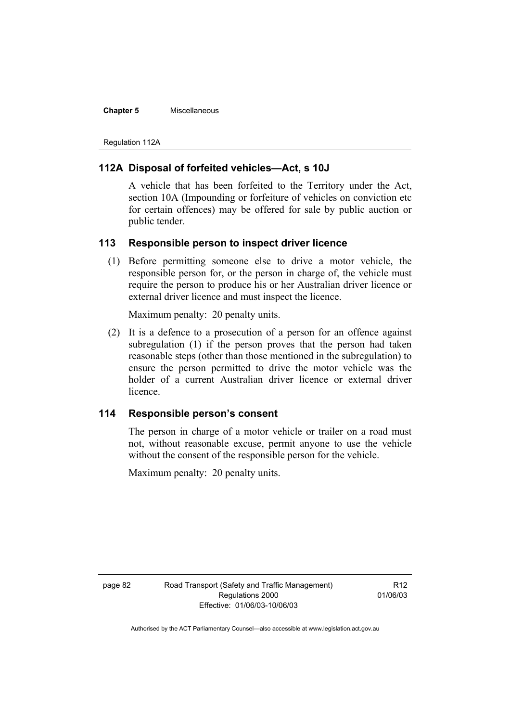#### **Chapter 5** Miscellaneous

Regulation 112A

# **112A Disposal of forfeited vehicles—Act, s 10J**

A vehicle that has been forfeited to the Territory under the Act, section 10A (Impounding or forfeiture of vehicles on conviction etc for certain offences) may be offered for sale by public auction or public tender.

### **113 Responsible person to inspect driver licence**

 (1) Before permitting someone else to drive a motor vehicle, the responsible person for, or the person in charge of, the vehicle must require the person to produce his or her Australian driver licence or external driver licence and must inspect the licence.

Maximum penalty: 20 penalty units.

 (2) It is a defence to a prosecution of a person for an offence against subregulation (1) if the person proves that the person had taken reasonable steps (other than those mentioned in the subregulation) to ensure the person permitted to drive the motor vehicle was the holder of a current Australian driver licence or external driver licence.

# **114 Responsible person's consent**

The person in charge of a motor vehicle or trailer on a road must not, without reasonable excuse, permit anyone to use the vehicle without the consent of the responsible person for the vehicle.

Maximum penalty: 20 penalty units.

R12 01/06/03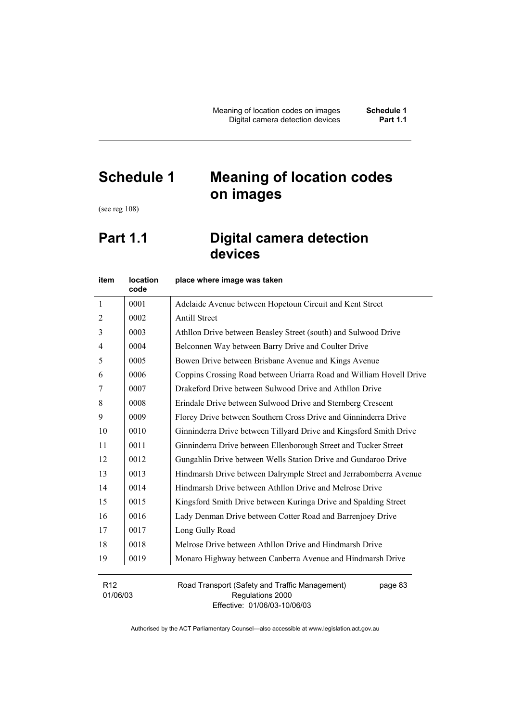# **Schedule 1 Meaning of location codes on images**

(see reg 108)

# **Part 1.1 Digital camera detection devices**

| item                        | <b>location</b><br>code | place where image was taken                                                   |
|-----------------------------|-------------------------|-------------------------------------------------------------------------------|
| $\mathbf{1}$                | 0001                    | Adelaide Avenue between Hopetoun Circuit and Kent Street                      |
| 2                           | 0002                    | <b>Antill Street</b>                                                          |
| 3                           | 0003                    | Athllon Drive between Beasley Street (south) and Sulwood Drive                |
| 4                           | 0004                    | Belconnen Way between Barry Drive and Coulter Drive                           |
| 5                           | 0005                    | Bowen Drive between Brisbane Avenue and Kings Avenue                          |
| 6                           | 0006                    | Coppins Crossing Road between Uriarra Road and William Hovell Drive           |
| 7                           | 0007                    | Drakeford Drive between Sulwood Drive and Athllon Drive                       |
| 8                           | 0008                    | Erindale Drive between Sulwood Drive and Sternberg Crescent                   |
| 9                           | 0009                    | Florey Drive between Southern Cross Drive and Ginninderra Drive               |
| 10                          | 0010                    | Ginninderra Drive between Tillyard Drive and Kingsford Smith Drive            |
| 11                          | 0011                    | Ginninderra Drive between Ellenborough Street and Tucker Street               |
| 12                          | 0012                    | Gungahlin Drive between Wells Station Drive and Gundaroo Drive                |
| 13                          | 0013                    | Hindmarsh Drive between Dalrymple Street and Jerrabomberra Avenue             |
| 14                          | 0014                    | Hindmarsh Drive between Athllon Drive and Melrose Drive                       |
| 15                          | 0015                    | Kingsford Smith Drive between Kuringa Drive and Spalding Street               |
| 16                          | 0016                    | Lady Denman Drive between Cotter Road and Barrenjoey Drive                    |
| 17                          | 0017                    | Long Gully Road                                                               |
| 18                          | 0018                    | Melrose Drive between Athllon Drive and Hindmarsh Drive                       |
| 19                          | 0019                    | Monaro Highway between Canberra Avenue and Hindmarsh Drive                    |
| R <sub>12</sub><br>01/06/03 |                         | Road Transport (Safety and Traffic Management)<br>page 83<br>Regulations 2000 |

Effective: 01/06/03-10/06/03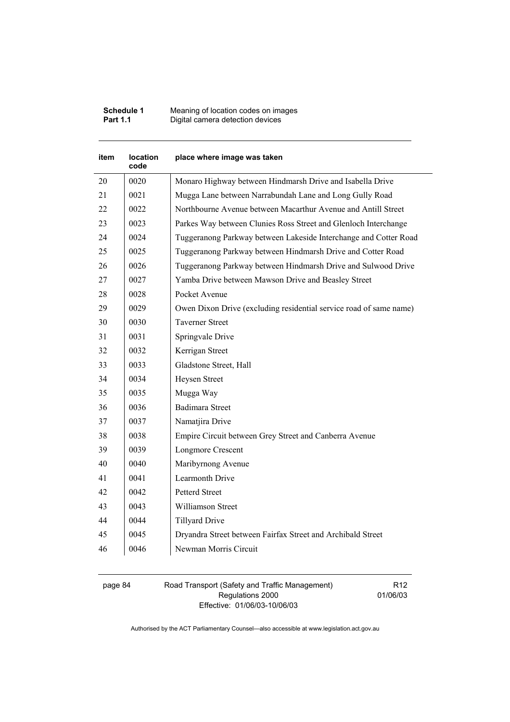| Schedule 1      | Meaning of location codes on images |
|-----------------|-------------------------------------|
| <b>Part 1.1</b> | Digital camera detection devices    |

| item | location<br>code | place where image was taken                                        |
|------|------------------|--------------------------------------------------------------------|
| 20   | 0020             | Monaro Highway between Hindmarsh Drive and Isabella Drive          |
| 21   | 0021             | Mugga Lane between Narrabundah Lane and Long Gully Road            |
| 22   | 0022             | Northbourne Avenue between Macarthur Avenue and Antill Street      |
| 23   | 0023             | Parkes Way between Clunies Ross Street and Glenloch Interchange    |
| 24   | 0024             | Tuggeranong Parkway between Lakeside Interchange and Cotter Road   |
| 25   | 0025             | Tuggeranong Parkway between Hindmarsh Drive and Cotter Road        |
| 26   | 0026             | Tuggeranong Parkway between Hindmarsh Drive and Sulwood Drive      |
| 27   | 0027             | Yamba Drive between Mawson Drive and Beasley Street                |
| 28   | 0028             | Pocket Avenue                                                      |
| 29   | 0029             | Owen Dixon Drive (excluding residential service road of same name) |
| 30   | 0030             | <b>Taverner Street</b>                                             |
| 31   | 0031             | Springvale Drive                                                   |
| 32   | 0032             | Kerrigan Street                                                    |
| 33   | 0033             | Gladstone Street, Hall                                             |
| 34   | 0034             | Heysen Street                                                      |
| 35   | 0035             | Mugga Way                                                          |
| 36   | 0036             | <b>Badimara Street</b>                                             |
| 37   | 0037             | Namatjira Drive                                                    |
| 38   | 0038             | Empire Circuit between Grey Street and Canberra Avenue             |
| 39   | 0039             | Longmore Crescent                                                  |
| 40   | 0040             | Maribyrnong Avenue                                                 |
| 41   | 0041             | <b>Learmonth Drive</b>                                             |
| 42   | 0042             | <b>Petterd Street</b>                                              |
| 43   | 0043             | Williamson Street                                                  |
| 44   | 0044             | <b>Tillyard Drive</b>                                              |
| 45   | 0045             | Dryandra Street between Fairfax Street and Archibald Street        |
| 46   | 0046             | Newman Morris Circuit                                              |

#### page 84 Road Transport (Safety and Traffic Management) Regulations 2000 Effective: 01/06/03-10/06/03

R12 01/06/03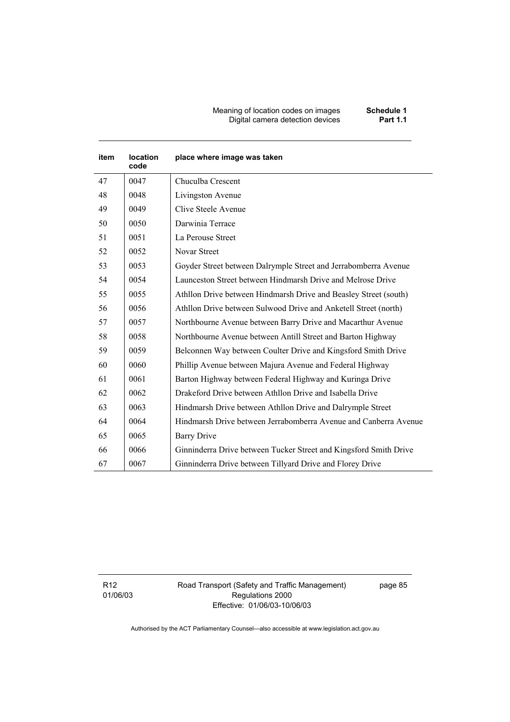#### Meaning of location codes on images **Schedule 1**  Digital camera detection devices **Part 1.1**

| item | location<br>code | place where image was taken                                       |
|------|------------------|-------------------------------------------------------------------|
| 47   | 0047             | Chuculba Crescent                                                 |
| 48   | 0048             | Livingston Avenue                                                 |
| 49   | 0049             | Clive Steele Avenue                                               |
| 50   | 0050             | Darwinia Terrace                                                  |
| 51   | 0051             | La Perouse Street                                                 |
| 52   | 0052             | Novar Street                                                      |
| 53   | 0053             | Goyder Street between Dalrymple Street and Jerrabomberra Avenue   |
| 54   | 0054             | Launceston Street between Hindmarsh Drive and Melrose Drive       |
| 55   | 0055             | Athllon Drive between Hindmarsh Drive and Beasley Street (south)  |
| 56   | 0056             | Athllon Drive between Sulwood Drive and Anketell Street (north)   |
| 57   | 0057             | Northbourne Avenue between Barry Drive and Macarthur Avenue       |
| 58   | 0058             | Northbourne Avenue between Antill Street and Barton Highway       |
| 59   | 0059             | Belconnen Way between Coulter Drive and Kingsford Smith Drive     |
| 60   | 0060             | Phillip Avenue between Majura Avenue and Federal Highway          |
| 61   | 0061             | Barton Highway between Federal Highway and Kuringa Drive          |
| 62   | 0062             | Drakeford Drive between Athllon Drive and Isabella Drive          |
| 63   | 0063             | Hindmarsh Drive between Athllon Drive and Dalrymple Street        |
| 64   | 0064             | Hindmarsh Drive between Jerrabomberra Avenue and Canberra Avenue  |
| 65   | 0065             | <b>Barry Drive</b>                                                |
| 66   | 0066             | Ginninderra Drive between Tucker Street and Kingsford Smith Drive |
| 67   | 0067             | Ginninderra Drive between Tillyard Drive and Florey Drive         |

R12 01/06/03 Road Transport (Safety and Traffic Management) Regulations 2000 Effective: 01/06/03-10/06/03

page 85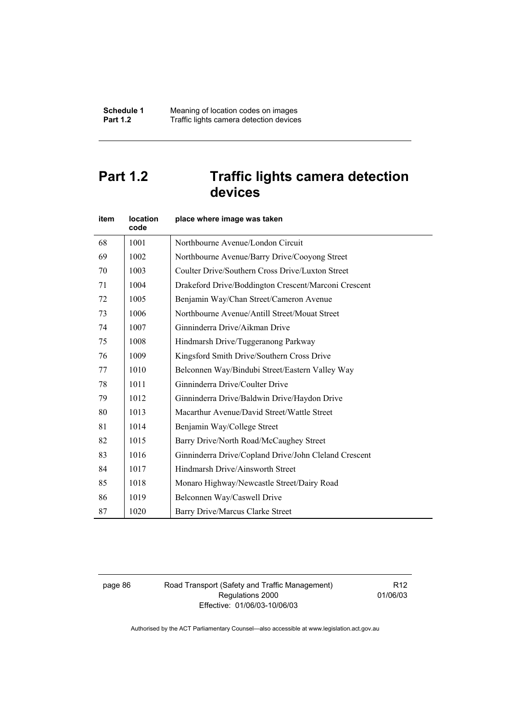# **Part 1.2 Traffic lights camera detection devices**

| item | location<br>code | place where image was taken                           |
|------|------------------|-------------------------------------------------------|
| 68   | 1001             | Northbourne Avenue/London Circuit                     |
| 69   | 1002             | Northbourne Avenue/Barry Drive/Cooyong Street         |
| 70   | 1003             | Coulter Drive/Southern Cross Drive/Luxton Street      |
| 71   | 1004             | Drakeford Drive/Boddington Crescent/Marconi Crescent  |
| 72   | 1005             | Benjamin Way/Chan Street/Cameron Avenue               |
| 73   | 1006             | Northbourne Avenue/Antill Street/Mouat Street         |
| 74   | 1007             | Ginninderra Drive/Aikman Drive                        |
| 75   | 1008             | Hindmarsh Drive/Tuggeranong Parkway                   |
| 76   | 1009             | Kingsford Smith Drive/Southern Cross Drive            |
| 77   | 1010             | Belconnen Way/Bindubi Street/Eastern Valley Way       |
| 78   | 1011             | Ginninderra Drive/Coulter Drive                       |
| 79   | 1012             | Ginninderra Drive/Baldwin Drive/Haydon Drive          |
| 80   | 1013             | Macarthur Avenue/David Street/Wattle Street           |
| 81   | 1014             | Benjamin Way/College Street                           |
| 82   | 1015             | Barry Drive/North Road/McCaughey Street               |
| 83   | 1016             | Ginninderra Drive/Copland Drive/John Cleland Crescent |
| 84   | 1017             | Hindmarsh Drive/Ainsworth Street                      |
| 85   | 1018             | Monaro Highway/Newcastle Street/Dairy Road            |
| 86   | 1019             | Belconnen Way/Caswell Drive                           |
| 87   | 1020             | Barry Drive/Marcus Clarke Street                      |

page 86 Road Transport (Safety and Traffic Management) Regulations 2000 Effective: 01/06/03-10/06/03

R12 01/06/03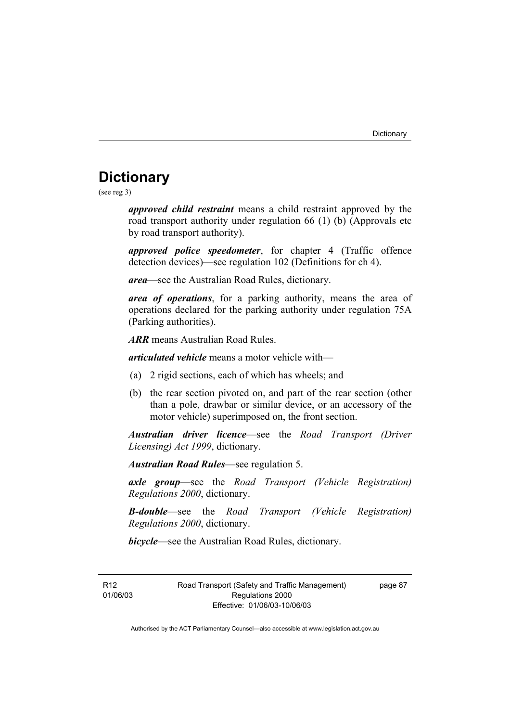# **Dictionary**

(see reg 3)

*approved child restraint* means a child restraint approved by the road transport authority under regulation 66 (1) (b) (Approvals etc by road transport authority).

*approved police speedometer*, for chapter 4 (Traffic offence detection devices)—see regulation 102 (Definitions for ch 4).

*area*—see the Australian Road Rules, dictionary.

*area of operations*, for a parking authority, means the area of operations declared for the parking authority under regulation 75A (Parking authorities).

*ARR* means Australian Road Rules.

*articulated vehicle* means a motor vehicle with—

- (a) 2 rigid sections, each of which has wheels; and
- (b) the rear section pivoted on, and part of the rear section (other than a pole, drawbar or similar device, or an accessory of the motor vehicle) superimposed on, the front section.

*Australian driver licence*—see the *Road Transport (Driver Licensing) Act 1999*, dictionary.

*Australian Road Rules*—see regulation 5.

*axle group*—see the *Road Transport (Vehicle Registration) Regulations 2000*, dictionary.

*B-double*—see the *Road Transport (Vehicle Registration) Regulations 2000*, dictionary.

*bicycle*—see the Australian Road Rules, dictionary.

R12 01/06/03 Road Transport (Safety and Traffic Management) Regulations 2000 Effective: 01/06/03-10/06/03

page 87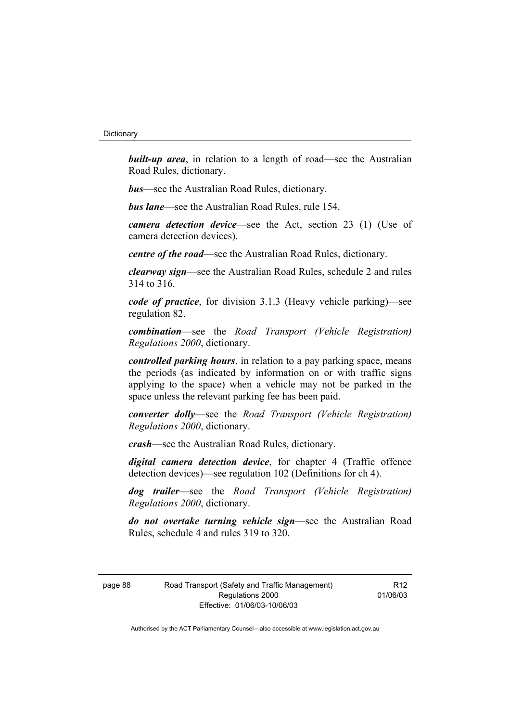**built-up area**, in relation to a length of road—see the Australian Road Rules, dictionary.

*bus*—see the Australian Road Rules, dictionary.

*bus lane*—see the Australian Road Rules, rule 154.

*camera detection device*—see the Act, section 23 (1) (Use of camera detection devices).

*centre of the road*—see the Australian Road Rules, dictionary.

*clearway sign*—see the Australian Road Rules, schedule 2 and rules 314 to 316.

*code of practice*, for division 3.1.3 (Heavy vehicle parking)—see regulation 82.

*combination*—see the *Road Transport (Vehicle Registration) Regulations 2000*, dictionary.

*controlled parking hours*, in relation to a pay parking space, means the periods (as indicated by information on or with traffic signs applying to the space) when a vehicle may not be parked in the space unless the relevant parking fee has been paid.

*converter dolly*—see the *Road Transport (Vehicle Registration) Regulations 2000*, dictionary.

*crash*—see the Australian Road Rules, dictionary.

*digital camera detection device*, for chapter 4 (Traffic offence detection devices)—see regulation 102 (Definitions for ch 4).

*dog trailer*—see the *Road Transport (Vehicle Registration) Regulations 2000*, dictionary.

*do not overtake turning vehicle sign*—see the Australian Road Rules, schedule 4 and rules 319 to 320.

page 88 Road Transport (Safety and Traffic Management) Regulations 2000 Effective: 01/06/03-10/06/03

R12 01/06/03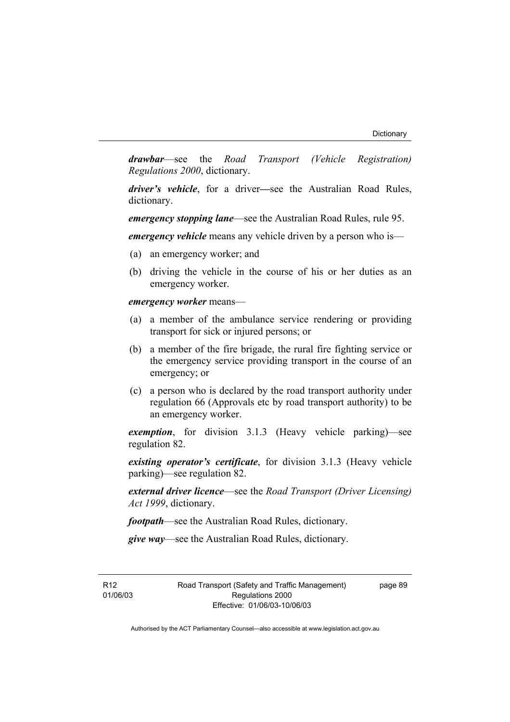*drawbar*—see the *Road Transport (Vehicle Registration) Regulations 2000*, dictionary.

*driver's vehicle*, for a driver*—*see the Australian Road Rules, dictionary.

*emergency stopping lane*—see the Australian Road Rules, rule 95.

*emergency vehicle* means any vehicle driven by a person who is—

- (a) an emergency worker; and
- (b) driving the vehicle in the course of his or her duties as an emergency worker.

*emergency worker* means—

- (a) a member of the ambulance service rendering or providing transport for sick or injured persons; or
- (b) a member of the fire brigade, the rural fire fighting service or the emergency service providing transport in the course of an emergency; or
- (c) a person who is declared by the road transport authority under regulation 66 (Approvals etc by road transport authority) to be an emergency worker.

*exemption*, for division 3.1.3 (Heavy vehicle parking)—see regulation 82.

*existing operator's certificate*, for division 3.1.3 (Heavy vehicle parking)—see regulation 82.

*external driver licence*—see the *Road Transport (Driver Licensing) Act 1999*, dictionary.

*footpath*—see the Australian Road Rules, dictionary.

*give way*—see the Australian Road Rules, dictionary.

R12 01/06/03 Road Transport (Safety and Traffic Management) Regulations 2000 Effective: 01/06/03-10/06/03

page 89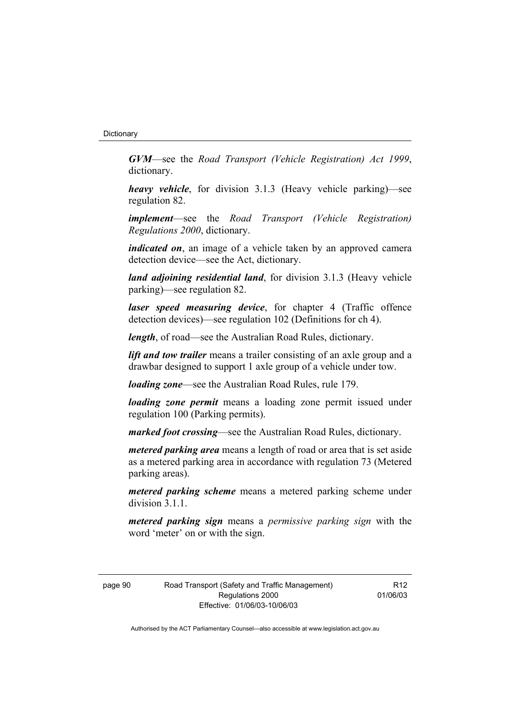*GVM*—see the *Road Transport (Vehicle Registration) Act 1999*, dictionary.

*heavy vehicle*, for division 3.1.3 (Heavy vehicle parking)—see regulation 82.

*implement*—see the *Road Transport (Vehicle Registration) Regulations 2000*, dictionary.

*indicated on*, an image of a vehicle taken by an approved camera detection device—see the Act, dictionary.

*land adjoining residential land*, for division 3.1.3 (Heavy vehicle parking)—see regulation 82.

*laser speed measuring device*, for chapter 4 (Traffic offence detection devices)—see regulation 102 (Definitions for ch 4).

*length*, of road—see the Australian Road Rules, dictionary.

*lift and tow trailer* means a trailer consisting of an axle group and a drawbar designed to support 1 axle group of a vehicle under tow.

*loading zone*—see the Australian Road Rules, rule 179.

*loading zone permit* means a loading zone permit issued under regulation 100 (Parking permits).

*marked foot crossing*—see the Australian Road Rules, dictionary.

*metered parking area* means a length of road or area that is set aside as a metered parking area in accordance with regulation 73 (Metered parking areas).

*metered parking scheme* means a metered parking scheme under division 3.1.1

*metered parking sign* means a *permissive parking sign* with the word 'meter' on or with the sign.

page 90 Road Transport (Safety and Traffic Management) Regulations 2000 Effective: 01/06/03-10/06/03

R12 01/06/03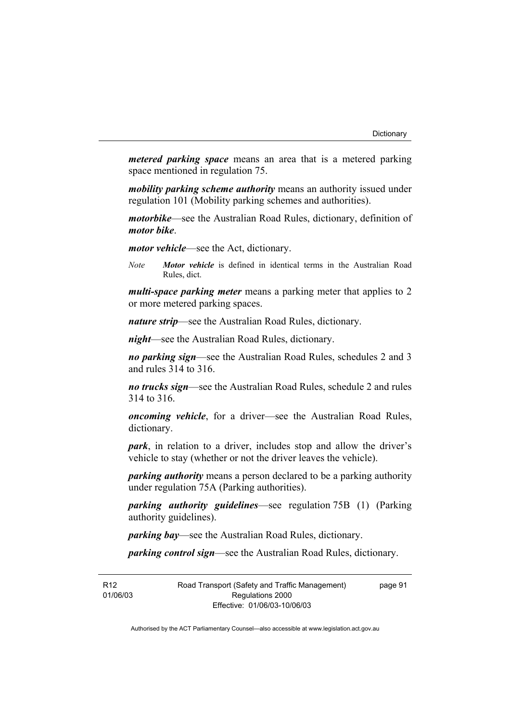*metered parking space* means an area that is a metered parking space mentioned in regulation 75.

*mobility parking scheme authority* means an authority issued under regulation 101 (Mobility parking schemes and authorities).

*motorbike*—see the Australian Road Rules, dictionary, definition of *motor bike*.

*motor vehicle*—see the Act, dictionary.

*Note Motor vehicle* is defined in identical terms in the Australian Road Rules, dict.

*multi-space parking meter* means a parking meter that applies to 2 or more metered parking spaces.

*nature strip*—see the Australian Road Rules, dictionary.

*night*—see the Australian Road Rules, dictionary.

*no parking sign*—see the Australian Road Rules, schedules 2 and 3 and rules 314 to 316.

*no trucks sign*—see the Australian Road Rules, schedule 2 and rules 314 to 316.

*oncoming vehicle*, for a driver—see the Australian Road Rules, dictionary.

*park*, in relation to a driver, includes stop and allow the driver's vehicle to stay (whether or not the driver leaves the vehicle).

*parking authority* means a person declared to be a parking authority under regulation 75A (Parking authorities).

*parking authority guidelines*—see regulation 75B (1) (Parking authority guidelines).

*parking bay*—see the Australian Road Rules, dictionary.

*parking control sign*—see the Australian Road Rules, dictionary.

R12 01/06/03 Road Transport (Safety and Traffic Management) Regulations 2000 Effective: 01/06/03-10/06/03

page 91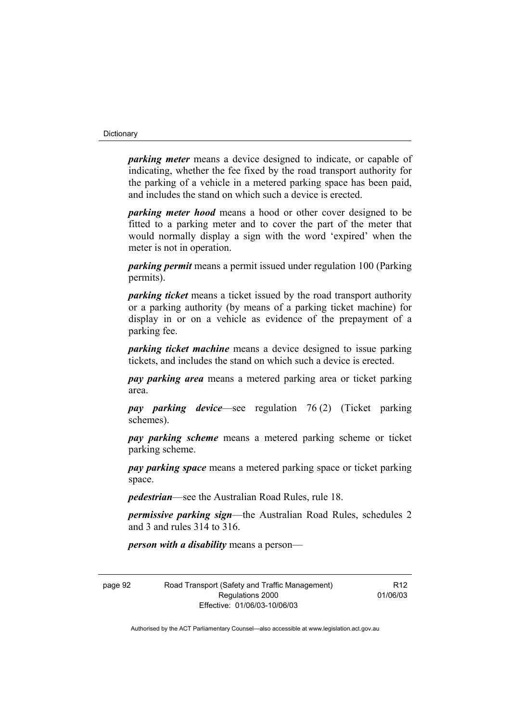#### **Dictionary**

*parking meter* means a device designed to indicate, or capable of indicating, whether the fee fixed by the road transport authority for the parking of a vehicle in a metered parking space has been paid, and includes the stand on which such a device is erected.

*parking meter hood* means a hood or other cover designed to be fitted to a parking meter and to cover the part of the meter that would normally display a sign with the word 'expired' when the meter is not in operation.

*parking permit* means a permit issued under regulation 100 (Parking permits).

*parking ticket* means a ticket issued by the road transport authority or a parking authority (by means of a parking ticket machine) for display in or on a vehicle as evidence of the prepayment of a parking fee.

*parking ticket machine* means a device designed to issue parking tickets, and includes the stand on which such a device is erected.

*pay parking area* means a metered parking area or ticket parking area.

*pay parking device*—see regulation 76 (2) (Ticket parking schemes).

*pay parking scheme* means a metered parking scheme or ticket parking scheme.

*pay parking space* means a metered parking space or ticket parking space.

*pedestrian*—see the Australian Road Rules, rule 18.

*permissive parking sign*—the Australian Road Rules, schedules 2 and 3 and rules 314 to 316.

*person with a disability* means a person—

page 92 Road Transport (Safety and Traffic Management) Regulations 2000 Effective: 01/06/03-10/06/03

R12 01/06/03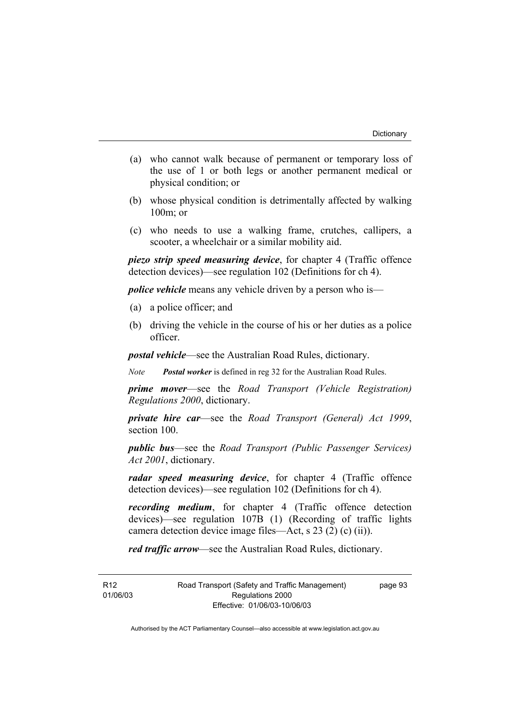- (a) who cannot walk because of permanent or temporary loss of the use of 1 or both legs or another permanent medical or physical condition; or
- (b) whose physical condition is detrimentally affected by walking 100m; or
- (c) who needs to use a walking frame, crutches, callipers, a scooter, a wheelchair or a similar mobility aid.

*piezo strip speed measuring device*, for chapter 4 (Traffic offence detection devices)—see regulation 102 (Definitions for ch 4).

*police vehicle* means any vehicle driven by a person who is—

- (a) a police officer; and
- (b) driving the vehicle in the course of his or her duties as a police officer.

*postal vehicle*—see the Australian Road Rules, dictionary.

*Note Postal worker* is defined in reg 32 for the Australian Road Rules.

*prime mover*—see the *Road Transport (Vehicle Registration) Regulations 2000*, dictionary.

*private hire car*—see the *Road Transport (General) Act 1999*, section 100.

*public bus*—see the *Road Transport (Public Passenger Services) Act 2001*, dictionary.

*radar speed measuring device*, for chapter 4 (Traffic offence detection devices)—see regulation 102 (Definitions for ch 4).

*recording medium*, for chapter 4 (Traffic offence detection devices)—see regulation 107B (1) (Recording of traffic lights camera detection device image files—Act, s 23 (2) (c) (ii)).

*red traffic arrow*—see the Australian Road Rules, dictionary.

R12 01/06/03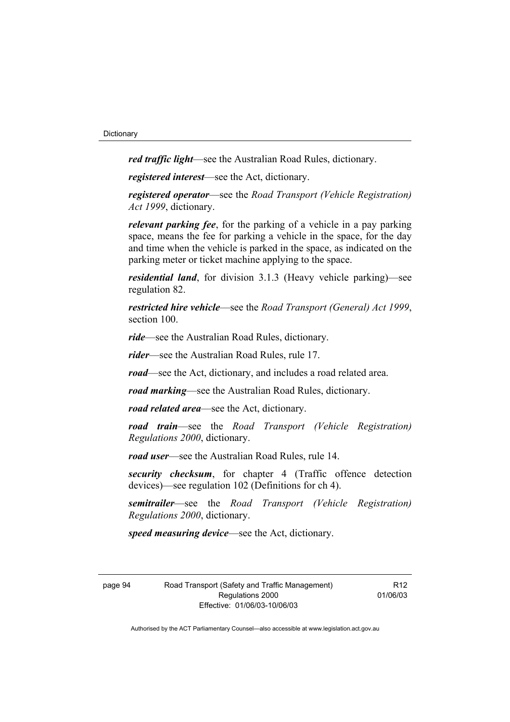*red traffic light*—see the Australian Road Rules, dictionary.

*registered interest*—see the Act, dictionary.

*registered operator*—see the *Road Transport (Vehicle Registration) Act 1999*, dictionary.

*relevant parking fee*, for the parking of a vehicle in a pay parking space, means the fee for parking a vehicle in the space, for the day and time when the vehicle is parked in the space, as indicated on the parking meter or ticket machine applying to the space.

*residential land*, for division 3.1.3 (Heavy vehicle parking)—see regulation 82.

*restricted hire vehicle*—see the *Road Transport (General) Act 1999*, section 100.

*ride*—see the Australian Road Rules, dictionary.

*rider*—see the Australian Road Rules, rule 17.

*road*—see the Act, dictionary, and includes a road related area.

*road marking*—see the Australian Road Rules, dictionary.

*road related area*—see the Act, dictionary.

*road train*—see the *Road Transport (Vehicle Registration) Regulations 2000*, dictionary.

*road user*—see the Australian Road Rules, rule 14.

*security checksum*, for chapter 4 (Traffic offence detection devices)—see regulation 102 (Definitions for ch 4).

*semitrailer*—see the *Road Transport (Vehicle Registration) Regulations 2000*, dictionary.

*speed measuring device*—see the Act, dictionary.

page 94 Road Transport (Safety and Traffic Management) Regulations 2000 Effective: 01/06/03-10/06/03

R12 01/06/03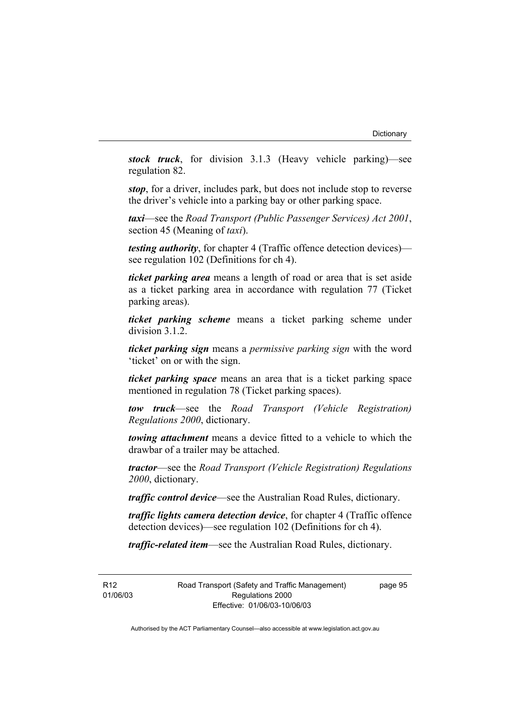*stock truck*, for division 3.1.3 (Heavy vehicle parking)—see regulation 82.

*stop*, for a driver, includes park, but does not include stop to reverse the driver's vehicle into a parking bay or other parking space.

*taxi*—see the *Road Transport (Public Passenger Services) Act 2001*, section 45 (Meaning of *taxi*).

*testing authority*, for chapter 4 (Traffic offence detection devices) see regulation 102 (Definitions for ch 4).

*ticket parking area* means a length of road or area that is set aside as a ticket parking area in accordance with regulation 77 (Ticket parking areas).

*ticket parking scheme* means a ticket parking scheme under division 3.1.2.

*ticket parking sign* means a *permissive parking sign* with the word 'ticket' on or with the sign.

*ticket parking space* means an area that is a ticket parking space mentioned in regulation 78 (Ticket parking spaces).

*tow truck*—see the *Road Transport (Vehicle Registration) Regulations 2000*, dictionary.

*towing attachment* means a device fitted to a vehicle to which the drawbar of a trailer may be attached.

*tractor*—see the *Road Transport (Vehicle Registration) Regulations 2000*, dictionary.

*traffic control device*—see the Australian Road Rules, dictionary.

*traffic lights camera detection device*, for chapter 4 (Traffic offence detection devices)—see regulation 102 (Definitions for ch 4).

*traffic-related item*—see the Australian Road Rules, dictionary.

R12 01/06/03 Road Transport (Safety and Traffic Management) Regulations 2000 Effective: 01/06/03-10/06/03

page 95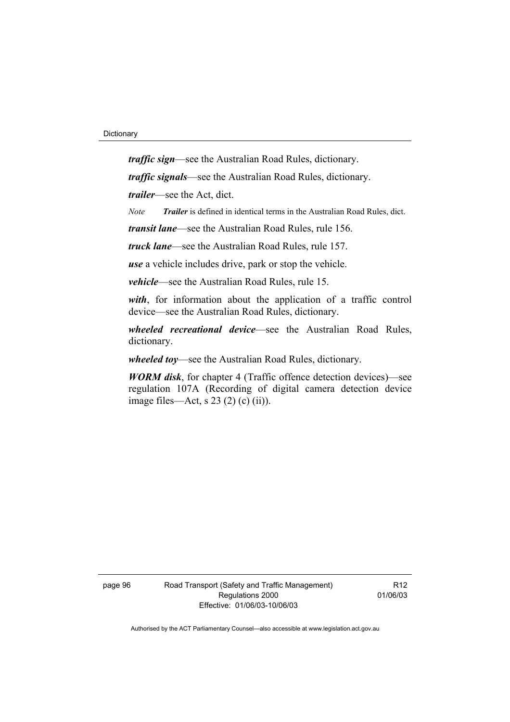*traffic sign*—see the Australian Road Rules, dictionary.

*traffic signals*—see the Australian Road Rules, dictionary.

*trailer*—see the Act, dict.

*Note Trailer* is defined in identical terms in the Australian Road Rules, dict.

*transit lane*—see the Australian Road Rules, rule 156.

*truck lane*—see the Australian Road Rules, rule 157.

*use* a vehicle includes drive, park or stop the vehicle.

*vehicle*—see the Australian Road Rules, rule 15.

*with*, for information about the application of a traffic control device—see the Australian Road Rules, dictionary.

*wheeled recreational device*—see the Australian Road Rules, dictionary.

*wheeled toy*—see the Australian Road Rules, dictionary.

*WORM disk*, for chapter 4 (Traffic offence detection devices)—see regulation 107A (Recording of digital camera detection device image files—Act, s 23 (2) (c) (ii)).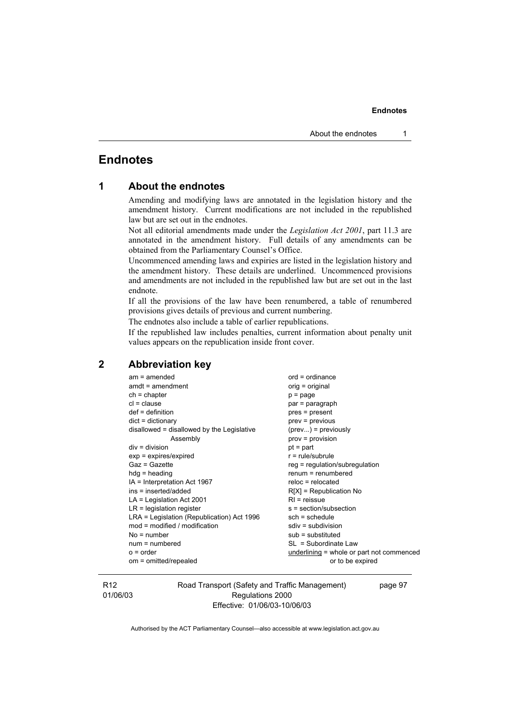#### **Endnotes**

# **Endnotes**

| 1 | <b>About the endnotes</b> |  |  |  |
|---|---------------------------|--|--|--|
|---|---------------------------|--|--|--|

Amending and modifying laws are annotated in the legislation history and the amendment history. Current modifications are not included in the republished law but are set out in the endnotes.

Not all editorial amendments made under the *Legislation Act 2001*, part 11.3 are annotated in the amendment history. Full details of any amendments can be obtained from the Parliamentary Counsel's Office.

Uncommenced amending laws and expiries are listed in the legislation history and the amendment history. These details are underlined. Uncommenced provisions and amendments are not included in the republished law but are set out in the last endnote.

If all the provisions of the law have been renumbered, a table of renumbered provisions gives details of previous and current numbering.

The endnotes also include a table of earlier republications.

If the republished law includes penalties, current information about penalty unit values appears on the republication inside front cover.

# **2 Abbreviation key**

| $ord = ordinance$                         |  |  |
|-------------------------------------------|--|--|
| orig = original                           |  |  |
| $p = page$                                |  |  |
| par = paragraph                           |  |  |
| pres = present                            |  |  |
| $prev = previous$                         |  |  |
| $(\text{prev})$ = previously              |  |  |
| $prov = provision$                        |  |  |
| $pt = part$                               |  |  |
| $r = rule/subrule$                        |  |  |
| $reg = regulation/subregulation$          |  |  |
| $renum = renumbered$                      |  |  |
| $reloc = relocated$                       |  |  |
| $R[X]$ = Republication No                 |  |  |
| $RI =$ reissue                            |  |  |
| s = section/subsection                    |  |  |
| $sch = schedule$                          |  |  |
| $sdiv = subdivision$                      |  |  |
| $sub =$ substituted                       |  |  |
| $SL = Subordinate Law$                    |  |  |
| underlining = whole or part not commenced |  |  |
| or to be expired                          |  |  |
|                                           |  |  |

R12 01/06/03 Road Transport (Safety and Traffic Management) Regulations 2000 Effective: 01/06/03-10/06/03

page 97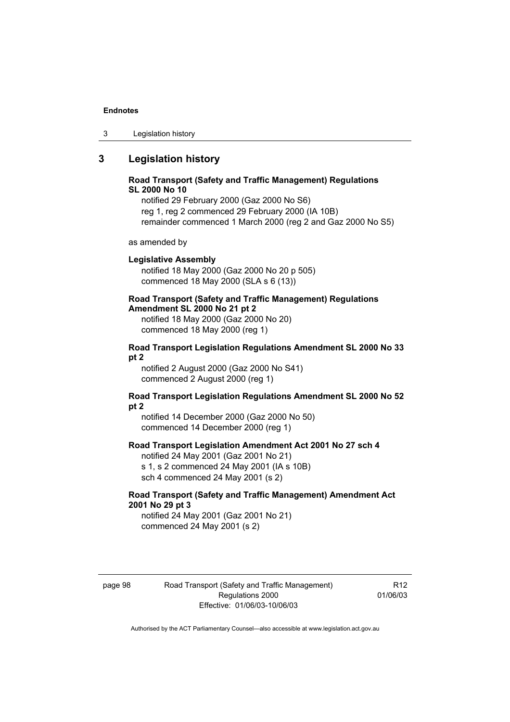#### **Endnotes**

3 Legislation history

# **3 Legislation history**

#### **Road Transport (Safety and Traffic Management) Regulations SL 2000 No 10**

notified 29 February 2000 (Gaz 2000 No S6) reg 1, reg 2 commenced 29 February 2000 (IA 10B) remainder commenced 1 March 2000 (reg 2 and Gaz 2000 No S5)

as amended by

#### **Legislative Assembly**

notified 18 May 2000 (Gaz 2000 No 20 p 505) commenced 18 May 2000 (SLA s 6 (13))

# **Road Transport (Safety and Traffic Management) Regulations**

**Amendment SL 2000 No 21 pt 2** 

notified 18 May 2000 (Gaz 2000 No 20) commenced 18 May 2000 (reg 1)

#### **Road Transport Legislation Regulations Amendment SL 2000 No 33 pt 2**

notified 2 August 2000 (Gaz 2000 No S41) commenced 2 August 2000 (reg 1)

#### **Road Transport Legislation Regulations Amendment SL 2000 No 52 pt 2**

notified 14 December 2000 (Gaz 2000 No 50) commenced 14 December 2000 (reg 1)

#### **Road Transport Legislation Amendment Act 2001 No 27 sch 4**

notified 24 May 2001 (Gaz 2001 No 21) s 1, s 2 commenced 24 May 2001 (IA s 10B) sch 4 commenced 24 May 2001 (s 2)

#### **Road Transport (Safety and Traffic Management) Amendment Act 2001 No 29 pt 3**

notified 24 May 2001 (Gaz 2001 No 21) commenced 24 May 2001 (s 2)

page 98 Road Transport (Safety and Traffic Management) Regulations 2000 Effective: 01/06/03-10/06/03

R12 01/06/03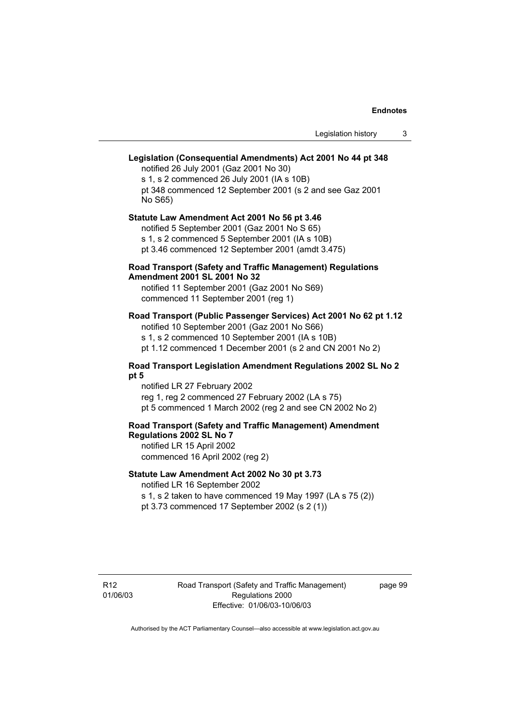# **Legislation (Consequential Amendments) Act 2001 No 44 pt 348**

notified 26 July 2001 (Gaz 2001 No 30) s 1, s 2 commenced 26 July 2001 (IA s 10B) pt 348 commenced 12 September 2001 (s 2 and see Gaz 2001 No S65)

# **Statute Law Amendment Act 2001 No 56 pt 3.46**  notified 5 September 2001 (Gaz 2001 No S 65)

s 1, s 2 commenced 5 September 2001 (IA s 10B)

pt 3.46 commenced 12 September 2001 (amdt 3.475)

### **Road Transport (Safety and Traffic Management) Regulations Amendment 2001 SL 2001 No 32**

notified 11 September 2001 (Gaz 2001 No S69) commenced 11 September 2001 (reg 1)

### **Road Transport (Public Passenger Services) Act 2001 No 62 pt 1.12**

notified 10 September 2001 (Gaz 2001 No S66) s 1, s 2 commenced 10 September 2001 (IA s 10B)

pt 1.12 commenced 1 December 2001 (s 2 and CN 2001 No 2)

# **Road Transport Legislation Amendment Regulations 2002 SL No 2**

### **pt 5**

notified LR 27 February 2002 reg 1, reg 2 commenced 27 February 2002 (LA s 75) pt 5 commenced 1 March 2002 (reg 2 and see CN 2002 No 2)

### **Road Transport (Safety and Traffic Management) Amendment Regulations 2002 SL No 7**

notified LR 15 April 2002 commenced 16 April 2002 (reg 2)

## **Statute Law Amendment Act 2002 No 30 pt 3.73**

notified LR 16 September 2002

s 1, s 2 taken to have commenced 19 May 1997 (LA s 75 (2)) pt 3.73 commenced 17 September 2002 (s 2 (1))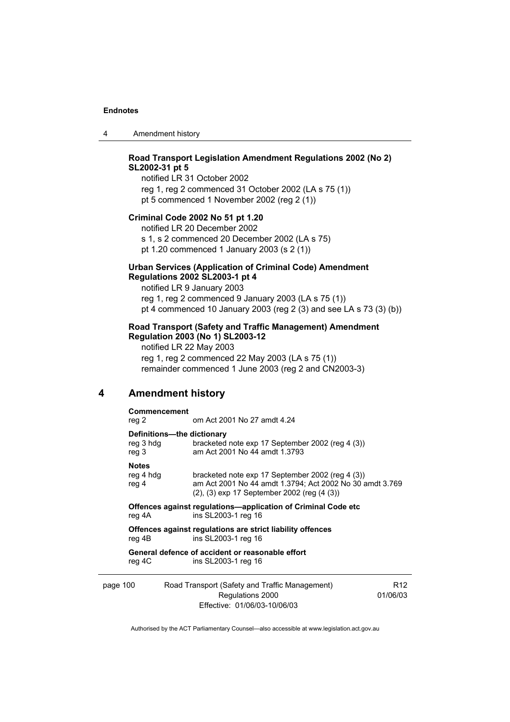4 Amendment history

# **Road Transport Legislation Amendment Regulations 2002 (No 2) SL2002-31 pt 5**

notified LR 31 October 2002 reg 1, reg 2 commenced 31 October 2002 (LA s 75 (1)) pt 5 commenced 1 November 2002 (reg 2 (1))

### **Criminal Code 2002 No 51 pt 1.20**

notified LR 20 December 2002 s 1, s 2 commenced 20 December 2002 (LA s 75) pt 1.20 commenced 1 January 2003 (s 2 (1))

### **Urban Services (Application of Criminal Code) Amendment Regulations 2002 SL2003-1 pt 4**

notified LR 9 January 2003 reg 1, reg 2 commenced 9 January 2003 (LA s 75 (1)) pt 4 commenced 10 January 2003 (reg 2 (3) and see LA s 73 (3) (b))

### **Road Transport (Safety and Traffic Management) Amendment Regulation 2003 (No 1) SL2003-12**

notified LR 22 May 2003 reg 1, reg 2 commenced 22 May 2003 (LA s 75 (1)) remainder commenced 1 June 2003 (reg 2 and CN2003-3)

# **4 Amendment history**

### **Commencement**

reg 2 om Act 2001 No 27 amdt 4.24

### **Definitions—the dictionary**

|          | reg 3 hdg<br>reg 3                 | bracketed note exp 17 September 2002 (reg 4 (3))<br>am Act 2001 No 44 amdt 1.3793                                                                                      |      |
|----------|------------------------------------|------------------------------------------------------------------------------------------------------------------------------------------------------------------------|------|
|          | <b>Notes</b><br>reg 4 hdg<br>reg 4 | bracketed note exp 17 September 2002 (reg 4 (3))<br>am Act 2001 No 44 amdt 1.3794; Act 2002 No 30 amdt 3.769<br>$(2)$ , $(3)$ exp 17 September 2002 (reg $(4 \ (3))$ ) |      |
|          | reg 4A                             | <b>Offences against regulations—application of Criminal Code etc</b><br>ins SL2003-1 reg 16                                                                            |      |
|          | reg 4B                             | Offences against regulations are strict liability offences<br>ins SL2003-1 reg 16                                                                                      |      |
|          | reg 4C                             | General defence of accident or reasonable effort<br>ins SL2003-1 reg 16                                                                                                |      |
| page 100 |                                    | Road Transport (Safety and Traffic Management)                                                                                                                         | R12. |

Regulations 2000 Effective: 01/06/03-10/06/03 01/06/03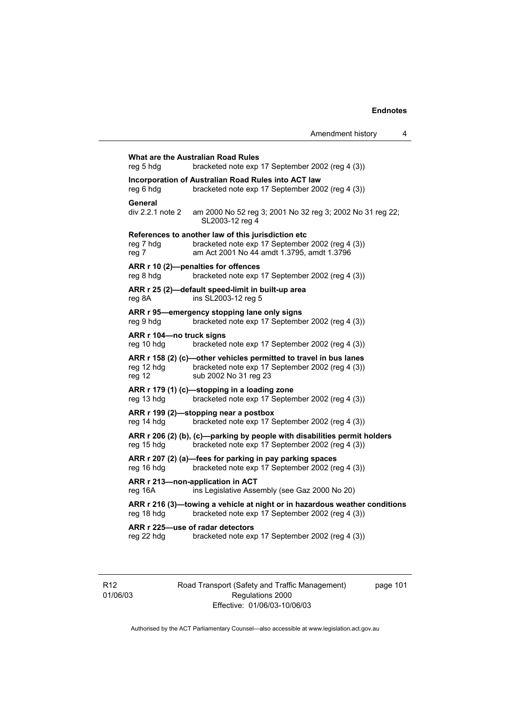**What are the Australian Road Rules**  reg 5 hdg bracketed note exp 17 September 2002 (reg 4 (3)) **Incorporation of Australian Road Rules into ACT law**  reg 6 hdg bracketed note exp 17 September 2002 (reg 4 (3)) **General**  div 2.2.1 note 2 am 2000 No 52 reg 3; 2001 No 32 reg 3; 2002 No 31 reg 22; SL2003-12 reg 4 **References to another law of this jurisdiction etc**  reg 7 hdg bracketed note exp 17 September 2002 (reg 4 (3)) reg 7 am Act 2001 No 44 amdt 1.3795, amdt 1.3796 **ARR r 10 (2)—penalties for offences**  reg 8 hdg bracketed note exp 17 September 2002 (reg 4 (3)) **ARR r 25 (2)—default speed-limit in built-up area**  reg 8A ins SL2003-12 reg 5 **ARR r 95—emergency stopping lane only signs**  reg 9 hdg bracketed note exp 17 September 2002 (reg 4 (3)) **ARR r 104—no truck signs**  reg 10 hdg bracketed note exp 17 September 2002 (reg 4 (3)) **ARR r 158 (2) (c)—other vehicles permitted to travel in bus lanes**  reg 12 hdg bracketed note exp 17 September 2002 (reg 4 (3)) reg 12 sub 2002 No 31 reg 23 **ARR r 179 (1) (c)—stopping in a loading zone**  reg 13 hdg bracketed note exp 17 September 2002 (reg 4 (3)) **ARR r 199 (2)—stopping near a postbox**  reg 14 hdg bracketed note exp 17 September 2002 (reg 4 (3)) **ARR r 206 (2) (b), (c)—parking by people with disabilities permit holders**  reg 15 hdg bracketed note exp 17 September 2002 (reg 4 (3)) **ARR r 207 (2) (a)—fees for parking in pay parking spaces**  reg 16 hdg bracketed note exp 17 September 2002 (reg 4 (3)) **ARR r 213—non-application in ACT**  reg 16A ins Legislative Assembly (see Gaz 2000 No 20) **ARR r 216 (3)—towing a vehicle at night or in hazardous weather conditions**  reg 18 hdg bracketed note exp 17 September 2002 (reg 4 (3)) **ARR r 225—use of radar detectors**  reg 22 hdg bracketed note exp 17 September 2002 (reg 4 (3))

R12 01/06/03 Road Transport (Safety and Traffic Management) Regulations 2000 Effective: 01/06/03-10/06/03

page 101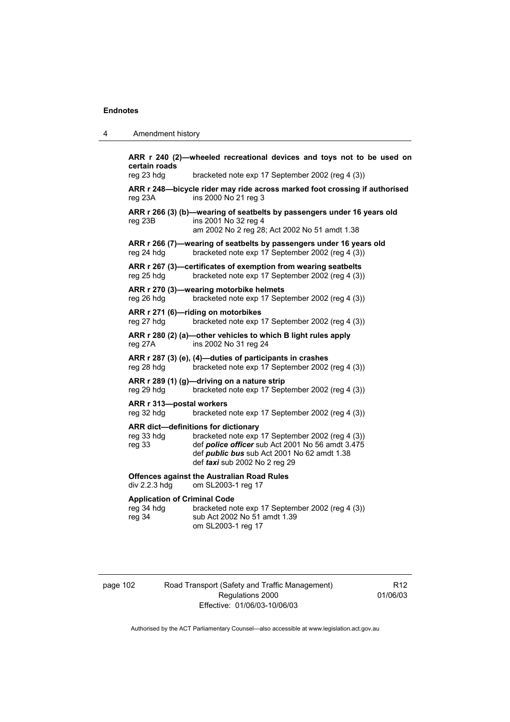| 4 | Amendment history |
|---|-------------------|
|---|-------------------|

**ARR r 240 (2)—wheeled recreational devices and toys not to be used on certain roads**  reg 23 hdg bracketed note exp 17 September 2002 (reg 4 (3)) **ARR r 248—bicycle rider may ride across marked foot crossing if authorised**  reg 23A ins 2000 No 21 reg 3 **ARR r 266 (3) (b)—wearing of seatbelts by passengers under 16 years old**  reg 23B ins 2001 No 32 reg 4 am 2002 No 2 reg 28; Act 2002 No 51 amdt 1.38 **ARR r 266 (7)—wearing of seatbelts by passengers under 16 years old**  reg 24 hdg bracketed note exp 17 September 2002 (reg 4 (3)) **ARR r 267 (3)—certificates of exemption from wearing seatbelts**  reg 25 hdg bracketed note exp 17 September 2002 (reg 4 (3)) **ARR r 270 (3)—wearing motorbike helmets**  reg 26 hdg bracketed note exp 17 September 2002 (reg 4 (3)) **ARR r 271 (6)—riding on motorbikes**  reg 27 hdg bracketed note exp 17 September 2002 (reg 4 (3)) **ARR r 280 (2) (a)—other vehicles to which B light rules apply**  reg 27A ins 2002 No 31 reg 24 **ARR r 287 (3) (e), (4)—duties of participants in crashes**  reg 28 hdg bracketed note exp 17 September 2002 (reg 4 (3)) **ARR r 289 (1) (g)—driving on a nature strip**  reg 29 hdg bracketed note exp 17 September 2002 (reg 4 (3)) **ARR r 313—postal workers**  reg 32 hdg bracketed note exp 17 September 2002 (reg 4 (3)) **ARR dict—definitions for dictionary**  reg 33 hdg bracketed note exp 17 September 2002 (reg 4 (3)) reg 33 def *police officer* sub Act 2001 No 56 amdt 3.475 def *public bus* sub Act 2001 No 62 amdt 1.38 def *taxi* sub 2002 No 2 reg 29 **Offences against the Australian Road Rules**  div 2.2.3 hdg om SL2003-1 reg 17 **Application of Criminal Code**  reg 34 hdg bracketed note exp 17 September 2002 (reg 4 (3)) reg 34 sub Act 2002 No 51 amdt 1.39 om SL2003-1 reg 17

page 102 Road Transport (Safety and Traffic Management) Regulations 2000 Effective: 01/06/03-10/06/03

R12 01/06/03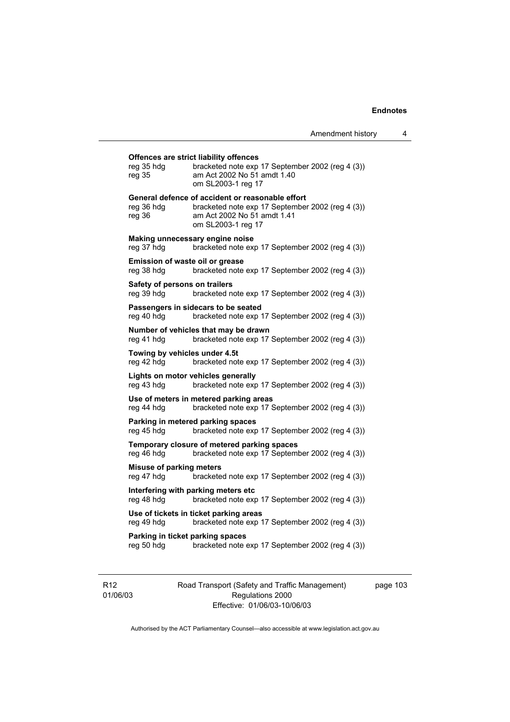# **Offences are strict liability offences**

| reg 35 hdg<br>reg 35                           | bracketed note exp 17 September 2002 (reg 4 (3))<br>am Act 2002 No 51 amdt 1.40<br>om SL2003-1 reg 17                                                     |
|------------------------------------------------|-----------------------------------------------------------------------------------------------------------------------------------------------------------|
| reg 36 hdg<br>reg 36                           | General defence of accident or reasonable effort<br>bracketed note exp 17 September 2002 (reg 4 (3))<br>am Act 2002 No 51 amdt 1.41<br>om SL2003-1 reg 17 |
| reg 37 hdg                                     | Making unnecessary engine noise<br>bracketed note exp 17 September 2002 (reg 4 (3))                                                                       |
| Emission of waste oil or grease<br>reg 38 hdg  | bracketed note exp 17 September 2002 (reg 4 (3))                                                                                                          |
| Safety of persons on trailers<br>reg 39 hdg    | bracketed note exp 17 September 2002 (reg 4 (3))                                                                                                          |
| reg 40 hdg                                     | Passengers in sidecars to be seated<br>bracketed note exp 17 September 2002 (reg 4 (3))                                                                   |
| reg 41 hdg                                     | Number of vehicles that may be drawn<br>bracketed note exp 17 September 2002 (reg 4 (3))                                                                  |
| Towing by vehicles under 4.5t<br>reg 42 hdg    | bracketed note exp 17 September 2002 (reg 4 (3))                                                                                                          |
| reg 43 hdg                                     | Lights on motor vehicles generally<br>bracketed note exp 17 September 2002 (reg 4 (3))                                                                    |
| reg 44 hdg                                     | Use of meters in metered parking areas<br>bracketed note exp 17 September 2002 (reg 4 (3))                                                                |
| reg 45 hdg                                     | Parking in metered parking spaces<br>bracketed note exp 17 September 2002 (reg 4 (3))                                                                     |
| reg 46 hdg                                     | Temporary closure of metered parking spaces<br>bracketed note exp 17 September 2002 (reg 4 (3))                                                           |
| <b>Misuse of parking meters</b><br>reg 47 hdg  | bracketed note exp 17 September 2002 (reg 4 (3))                                                                                                          |
| reg 48 hdg                                     | Interfering with parking meters etc<br>bracketed note exp 17 September 2002 (reg 4 (3))                                                                   |
| reg 49 hdg                                     | Use of tickets in ticket parking areas<br>bracketed note exp 17 September 2002 (reg 4 (3))                                                                |
| Parking in ticket parking spaces<br>reg 50 hdg | bracketed note exp 17 September 2002 (reg 4 (3))                                                                                                          |
|                                                |                                                                                                                                                           |

R12 01/06/03 Road Transport (Safety and Traffic Management) Regulations 2000 Effective: 01/06/03-10/06/03

page 103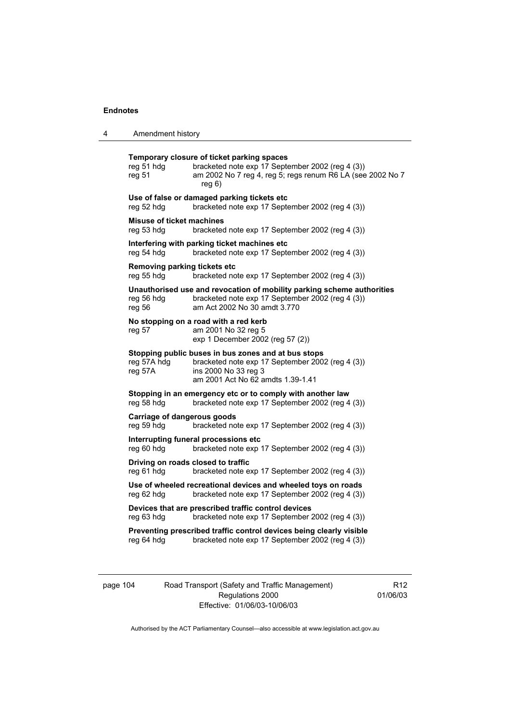4 Amendment history

| reg 51 hdg<br>reg 51                             | Temporary closure of ticket parking spaces<br>bracketed note exp 17 September 2002 (reg 4 (3))<br>am 2002 No 7 reg 4, reg 5; regs renum R6 LA (see 2002 No 7<br>reg 6) |
|--------------------------------------------------|------------------------------------------------------------------------------------------------------------------------------------------------------------------------|
| reg 52 hdg                                       | Use of false or damaged parking tickets etc<br>bracketed note exp 17 September 2002 (reg 4 (3))                                                                        |
| <b>Misuse of ticket machines</b><br>reg 53 hdg   | bracketed note exp 17 September 2002 (reg 4 (3))                                                                                                                       |
| reg 54 hdg                                       | Interfering with parking ticket machines etc<br>bracketed note exp 17 September 2002 (reg 4 (3))                                                                       |
| Removing parking tickets etc<br>reg 55 hdg       | bracketed note exp 17 September 2002 (reg 4 (3))                                                                                                                       |
| reg 56 hdg<br>reg 56                             | Unauthorised use and revocation of mobility parking scheme authorities<br>bracketed note exp 17 September 2002 (reg 4 (3))<br>am Act 2002 No 30 amdt 3.770             |
| reg 57                                           | No stopping on a road with a red kerb<br>am 2001 No 32 reg 5<br>exp 1 December 2002 (reg 57 (2))                                                                       |
| reg 57A hdg<br>reg 57A                           | Stopping public buses in bus zones and at bus stops<br>bracketed note exp 17 September 2002 (reg 4 (3))<br>ins 2000 No 33 reg 3<br>am 2001 Act No 62 amdts 1.39-1.41   |
| reg 58 hdg                                       | Stopping in an emergency etc or to comply with another law<br>bracketed note exp 17 September 2002 (reg 4 (3))                                                         |
| <b>Carriage of dangerous goods</b><br>reg 59 hdg | bracketed note exp 17 September 2002 (reg 4 (3))                                                                                                                       |
| reg 60 hdg                                       | Interrupting funeral processions etc<br>bracketed note exp 17 September 2002 (reg 4 (3))                                                                               |
| Driving on roads closed to traffic<br>reg 61 hdg | bracketed note exp 17 September 2002 (reg 4 (3))                                                                                                                       |
| reg 62 hdg                                       | Use of wheeled recreational devices and wheeled toys on roads<br>bracketed note exp 17 September 2002 (reg 4 (3))                                                      |
| reg 63 hdg                                       | Devices that are prescribed traffic control devices<br>bracketed note exp 17 September 2002 (reg 4 (3))                                                                |
|                                                  | Preventing prescribed traffic control devices being clearly visible                                                                                                    |

page 104 Road Transport (Safety and Traffic Management) Regulations 2000 Effective: 01/06/03-10/06/03

R12 01/06/03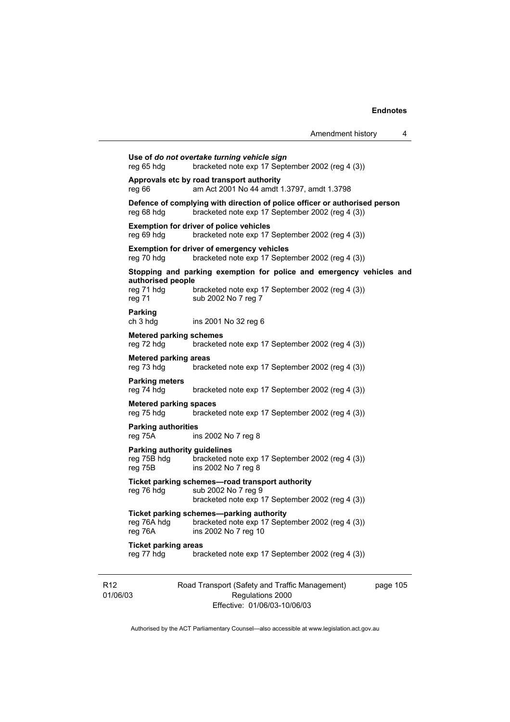|                                                        |                                                                                                                                | Amendment history | 4 |
|--------------------------------------------------------|--------------------------------------------------------------------------------------------------------------------------------|-------------------|---|
| reg 65 hdg                                             | Use of do not overtake turning vehicle sign<br>bracketed note exp 17 September 2002 (reg 4 (3))                                |                   |   |
| reg 66                                                 | Approvals etc by road transport authority<br>am Act 2001 No 44 amdt 1.3797, amdt 1.3798                                        |                   |   |
| reg 68 hdg                                             | Defence of complying with direction of police officer or authorised person<br>bracketed note exp 17 September 2002 (reg 4 (3)) |                   |   |
| reg 69 hdg                                             | <b>Exemption for driver of police vehicles</b><br>bracketed note exp 17 September 2002 (reg 4 (3))                             |                   |   |
| reg 70 hdg                                             | <b>Exemption for driver of emergency vehicles</b><br>bracketed note exp 17 September 2002 (reg 4 (3))                          |                   |   |
|                                                        | Stopping and parking exemption for police and emergency vehicles and                                                           |                   |   |
| reg 71 hdg<br>reg 71                                   | bracketed note exp 17 September 2002 (reg 4 (3))<br>sub 2002 No 7 reg 7                                                        |                   |   |
| <b>Parking</b><br>ch 3 hdg                             | ins 2001 No 32 reg 6                                                                                                           |                   |   |
| <b>Metered parking schemes</b><br>reg 72 hdg           | bracketed note exp 17 September 2002 (reg 4 (3))                                                                               |                   |   |
| <b>Metered parking areas</b><br>reg 73 hdg             | bracketed note exp 17 September 2002 (reg 4 (3))                                                                               |                   |   |
| <b>Parking meters</b><br>reg 74 hdg                    | bracketed note exp 17 September 2002 (reg 4 (3))                                                                               |                   |   |
| <b>Metered parking spaces</b><br>reg 75 hdg            | bracketed note exp 17 September 2002 (reg 4 (3))                                                                               |                   |   |
| <b>Parking authorities</b><br>reg 75A                  | ins 2002 No 7 reg 8                                                                                                            |                   |   |
| Parking authority guidelines<br>reg 75B hdg<br>reg 75B | bracketed note exp 17 September 2002 (reg 4 (3))<br>ins 2002 No 7 reg 8                                                        |                   |   |
| reg 76 hdg                                             | Ticket parking schemes-road transport authority<br>sub 2002 No 7 reg 9<br>bracketed note exp 17 September 2002 (reg 4 (3))     |                   |   |
| reg 76A hdg<br>reg 76A                                 | Ticket parking schemes-parking authority<br>bracketed note exp 17 September 2002 (reg 4 (3))<br>ins 2002 No 7 reg 10           |                   |   |
| <b>Ticket parking areas</b><br>reg 77 hdg              | bracketed note exp 17 September 2002 (reg 4 (3))                                                                               |                   |   |
| authorised people                                      |                                                                                                                                |                   |   |

R12 01/06/03 Road Transport (Safety and Traffic Management) Regulations 2000 Effective: 01/06/03-10/06/03

page 105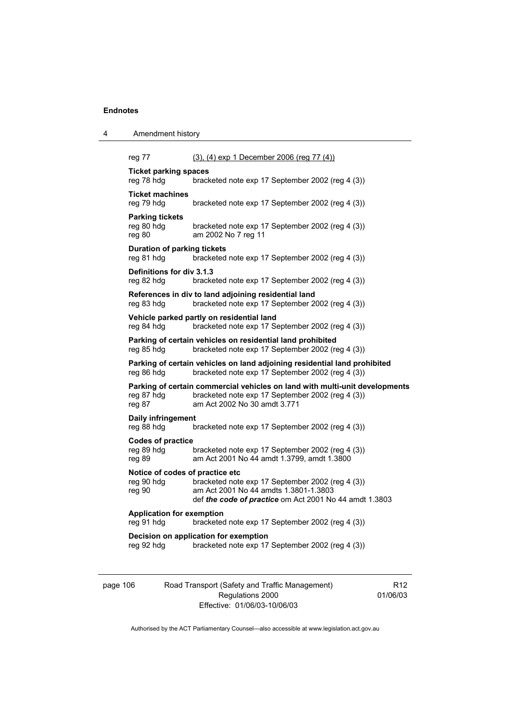| 4 | Amendment history                                       |                                                                                                                                                                 |
|---|---------------------------------------------------------|-----------------------------------------------------------------------------------------------------------------------------------------------------------------|
|   | reg 77                                                  | (3), (4) exp 1 December 2006 (reg 77 (4))                                                                                                                       |
|   | <b>Ticket parking spaces</b><br>reg 78 hdg              | bracketed note exp 17 September 2002 (reg 4 (3))                                                                                                                |
|   | <b>Ticket machines</b><br>reg 79 hdg                    | bracketed note exp 17 September 2002 (reg 4 (3))                                                                                                                |
|   | <b>Parking tickets</b><br>reg 80 hdg<br>reg 80          | bracketed note exp 17 September 2002 (reg 4 (3))<br>am 2002 No 7 reg 11                                                                                         |
|   | <b>Duration of parking tickets</b><br>reg 81 hdg        | bracketed note exp 17 September 2002 (reg 4 (3))                                                                                                                |
|   | Definitions for div 3.1.3<br>reg 82 hdg                 | bracketed note exp 17 September 2002 (reg 4 (3))                                                                                                                |
|   | reg 83 hdg                                              | References in div to land adjoining residential land<br>bracketed note exp 17 September 2002 (reg 4 (3))                                                        |
|   | reg 84 hdg                                              | Vehicle parked partly on residential land<br>bracketed note exp 17 September 2002 (reg 4 (3))                                                                   |
|   | reg 85 hdg                                              | Parking of certain vehicles on residential land prohibited<br>bracketed note exp 17 September 2002 (reg 4 (3))                                                  |
|   | reg 86 hdg                                              | Parking of certain vehicles on land adjoining residential land prohibited<br>bracketed note exp 17 September 2002 (reg 4 (3))                                   |
|   | reg 87 hdg<br>reg 87                                    | Parking of certain commercial vehicles on land with multi-unit developments<br>bracketed note exp 17 September 2002 (reg 4 (3))<br>am Act 2002 No 30 amdt 3.771 |
|   | Daily infringement<br>reg 88 hdg                        | bracketed note exp 17 September 2002 (reg 4 (3))                                                                                                                |
|   | <b>Codes of practice</b><br>reg 89 hdg<br>reg 89        | bracketed note exp 17 September 2002 (reg 4 (3))<br>am Act 2001 No 44 amdt 1.3799, amdt 1.3800                                                                  |
|   | Notice of codes of practice etc<br>reg 90 hdg<br>reg 90 | bracketed note exp 17 September 2002 (reg 4 (3))<br>am Act 2001 No 44 amdts 1.3801-1.3803<br>def the code of practice om Act 2001 No 44 amdt 1.3803             |
|   | <b>Application for exemption</b><br>reg 91 hdg          | bracketed note exp 17 September 2002 (reg 4 (3))                                                                                                                |
|   | reg 92 hdg                                              | Decision on application for exemption<br>bracketed note exp 17 September 2002 (reg 4 (3))                                                                       |
|   |                                                         |                                                                                                                                                                 |

| page 106 | Road Transport (Safety and Traffic Management) |
|----------|------------------------------------------------|
|          | Regulations 2000                               |
|          | Effective: 01/06/03-10/06/03                   |

R12 01/06/03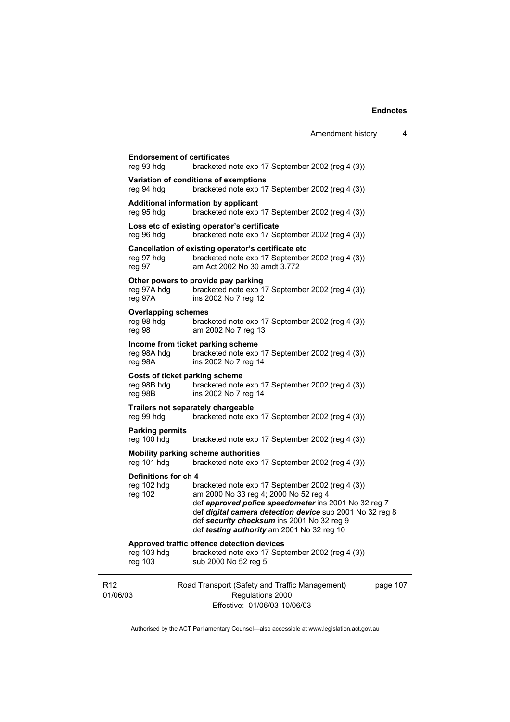|                             |                                                          |                                                                                                                                                                                                                                                                                                           | Amendment history | 4        |
|-----------------------------|----------------------------------------------------------|-----------------------------------------------------------------------------------------------------------------------------------------------------------------------------------------------------------------------------------------------------------------------------------------------------------|-------------------|----------|
|                             | <b>Endorsement of certificates</b><br>reg 93 hdg         | bracketed note exp 17 September 2002 (reg 4 (3))                                                                                                                                                                                                                                                          |                   |          |
|                             | reg 94 hdg                                               | Variation of conditions of exemptions<br>bracketed note exp 17 September 2002 (reg 4 (3))                                                                                                                                                                                                                 |                   |          |
|                             | reg 95 hdg                                               | Additional information by applicant<br>bracketed note exp 17 September 2002 (reg 4 (3))                                                                                                                                                                                                                   |                   |          |
|                             | reg 96 hdg                                               | Loss etc of existing operator's certificate<br>bracketed note exp 17 September 2002 (reg 4 (3))                                                                                                                                                                                                           |                   |          |
|                             | reg 97 hdg<br>reg 97                                     | Cancellation of existing operator's certificate etc<br>bracketed note exp 17 September 2002 (reg 4 (3))<br>am Act 2002 No 30 amdt 3.772                                                                                                                                                                   |                   |          |
|                             | reg 97A hdg<br>reg 97A                                   | Other powers to provide pay parking<br>bracketed note exp 17 September 2002 (reg 4 (3))<br>ins 2002 No 7 reg 12                                                                                                                                                                                           |                   |          |
|                             | <b>Overlapping schemes</b><br>reg 98 hdg<br>reg 98       | bracketed note exp 17 September 2002 (reg 4 (3))<br>am 2002 No 7 reg 13                                                                                                                                                                                                                                   |                   |          |
|                             | reg 98A hdg<br>reg 98A                                   | Income from ticket parking scheme<br>bracketed note exp 17 September 2002 (reg 4 (3))<br>ins 2002 No 7 reg 14                                                                                                                                                                                             |                   |          |
|                             | Costs of ticket parking scheme<br>reg 98B hdg<br>reg 98B | bracketed note exp 17 September 2002 (reg 4 (3))<br>ins 2002 No 7 reg 14                                                                                                                                                                                                                                  |                   |          |
|                             | Trailers not separately chargeable<br>reg 99 hdg         | bracketed note exp 17 September 2002 (reg 4 (3))                                                                                                                                                                                                                                                          |                   |          |
|                             | <b>Parking permits</b><br>reg 100 hdg                    | bracketed note exp 17 September 2002 (reg 4 (3))                                                                                                                                                                                                                                                          |                   |          |
|                             | reg 101 hdg                                              | Mobility parking scheme authorities<br>bracketed note exp 17 September 2002 (reg 4 (3))                                                                                                                                                                                                                   |                   |          |
|                             | Definitions for ch 4<br>reg 102 hdg<br>reg 102           | bracketed note exp 17 September 2002 (reg 4 (3))<br>am 2000 No 33 reg 4; 2000 No 52 reg 4<br>def approved police speedometer ins 2001 No 32 reg 7<br>def digital camera detection device sub 2001 No 32 reg 8<br>def security checksum ins 2001 No 32 reg 9<br>def testing authority am 2001 No 32 reg 10 |                   |          |
|                             | reg 103 hdg<br>reg 103                                   | Approved traffic offence detection devices<br>bracketed note exp 17 September 2002 (reg 4 (3))<br>sub 2000 No 52 reg 5                                                                                                                                                                                    |                   |          |
| R <sub>12</sub><br>01/06/03 |                                                          | Road Transport (Safety and Traffic Management)<br>Regulations 2000<br>Effective: 01/06/03-10/06/03                                                                                                                                                                                                        |                   | page 107 |

Authorised by the ACT Parliamentary Counsel—also accessible at www.legislation.act.gov.au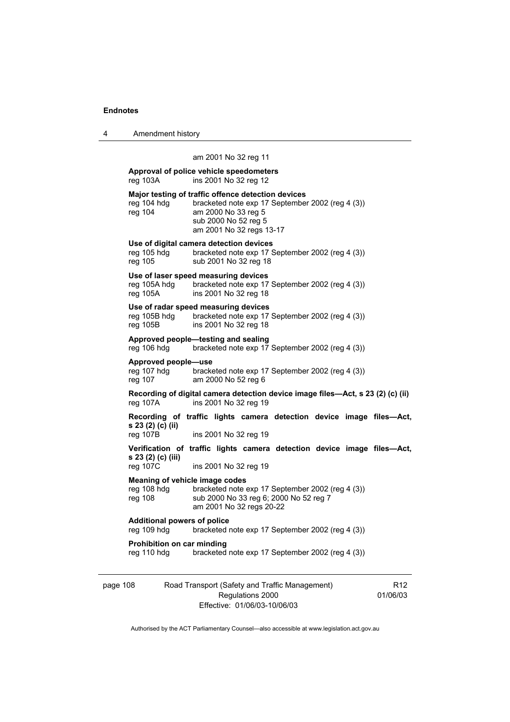| 4 | Amendment history |
|---|-------------------|
|---|-------------------|

# am 2001 No 32 reg 11

| Approval of police vehicle speedometers<br>ins 2001 No 32 reg 12<br>reg 103A |                                                                                                                                                                                   |  |
|------------------------------------------------------------------------------|-----------------------------------------------------------------------------------------------------------------------------------------------------------------------------------|--|
| reg 104 hdg<br>reg 104                                                       | Major testing of traffic offence detection devices<br>bracketed note exp 17 September 2002 (reg 4 (3))<br>am 2000 No 33 reg 5<br>sub 2000 No 52 reg 5<br>am 2001 No 32 regs 13-17 |  |
| reg 105 hdg<br>reg 105                                                       | Use of digital camera detection devices<br>bracketed note exp 17 September 2002 (reg 4 (3))<br>sub 2001 No 32 reg 18                                                              |  |
| reg 105A hdg<br>reg 105A                                                     | Use of laser speed measuring devices<br>bracketed note exp 17 September 2002 (reg 4 (3))<br>ins 2001 No 32 reg 18                                                                 |  |
| reg 105B hdg<br>reg 105B                                                     | Use of radar speed measuring devices<br>bracketed note exp 17 September 2002 (reg 4 (3))<br>ins 2001 No 32 reg 18                                                                 |  |
| reg 106 hdg                                                                  | Approved people-testing and sealing<br>bracketed note exp 17 September 2002 (reg 4 (3))                                                                                           |  |
| Approved people-use<br>reg 107 hdg<br>reg 107                                | bracketed note exp 17 September 2002 (reg 4 (3))<br>am 2000 No 52 reg 6                                                                                                           |  |
| reg 107A                                                                     | Recording of digital camera detection device image files-Act, s 23 (2) (c) (ii)<br>ins 2001 No 32 reg 19                                                                          |  |
| s 23 (2) (c) (ii)<br>reg 107B                                                | Recording of traffic lights camera detection device image files-Act,<br>ins 2001 No 32 reg 19                                                                                     |  |
| s 23 (2) (c) (iii)<br>reg 107C                                               | Verification of traffic lights camera detection device image files-Act,<br>ins 2001 No 32 reg 19                                                                                  |  |
| Meaning of vehicle image codes<br>reg 108 hdg<br>reg 108                     | bracketed note exp 17 September 2002 (reg 4 (3))<br>sub 2000 No 33 reg 6; 2000 No 52 reg 7<br>am 2001 No 32 regs 20-22                                                            |  |
| <b>Additional powers of police</b><br>reg 109 hdg                            | bracketed note exp 17 September 2002 (reg 4 (3))                                                                                                                                  |  |
| Prohibition on car minding<br>reg 110 hdg                                    | bracketed note exp 17 September 2002 (reg 4 (3))                                                                                                                                  |  |
|                                                                              |                                                                                                                                                                                   |  |

page 108 Road Transport (Safety and Traffic Management) Regulations 2000 Effective: 01/06/03-10/06/03 R12 01/06/03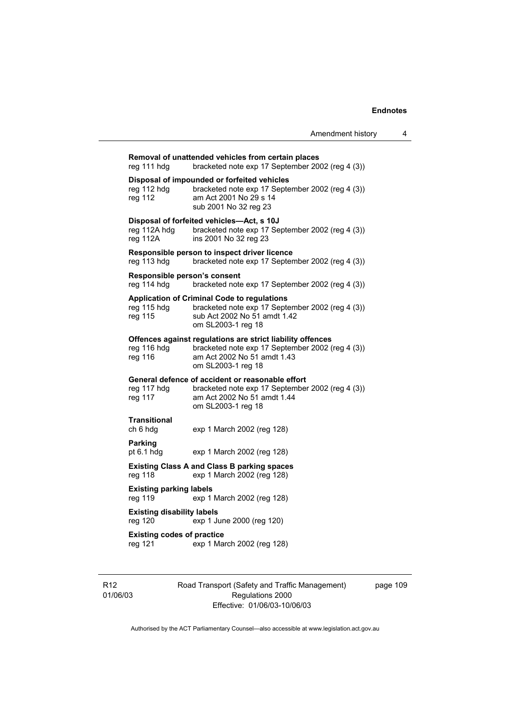**Removal of unattended vehicles from certain places**  reg 111 hdg bracketed note exp 17 September 2002 (reg 4 (3)) **Disposal of impounded or forfeited vehicles**  reg 112 hdg bracketed note exp 17 September 2002 (reg 4 (3)) reg 112 am Act 2001 No 29 s 14 sub 2001 No 32 reg 23 **Disposal of forfeited vehicles—Act, s 10J**  reg 112A hdg bracketed note exp 17 September 2002 (reg 4 (3)) reg 112A ins 2001 No 32 reg 23 **Responsible person to inspect driver licence**  reg 113 hdg bracketed note exp 17 September 2002 (reg 4 (3)) **Responsible person's consent**  reg 114 hdg bracketed note exp 17 September 2002 (reg 4 (3)) **Application of Criminal Code to regulations**  reg 115 hdg bracketed note exp 17 September 2002 (reg 4 (3))<br>reg 115 sub Act 2002 No 51 amdt 1.42 sub Act 2002 No 51 amdt 1.42 om SL2003-1 reg 18 **Offences against regulations are strict liability offences**  reg 116 hdg bracketed note exp 17 September 2002 (reg 4 (3)) reg 116 am Act 2002 No 51 amdt 1.43 om SL2003-1 reg 18 **General defence of accident or reasonable effort**  reg 117 hdg bracketed note exp 17 September 2002 (reg 4 (3)) reg 117 am Act 2002 No 51 amdt 1.44 om SL2003-1 reg 18 **Transitional**  exp 1 March 2002 (reg 128) **Parking**  pt 6.1 hdg exp 1 March 2002 (reg 128) **Existing Class A and Class B parking spaces**  reg 118 exp 1 March 2002 (reg 128) **Existing parking labels**  reg 119 exp 1 March 2002 (reg 128) **Existing disability labels**  reg 120 exp 1 June 2000 (reg 120) **Existing codes of practice**  reg 121 exp 1 March 2002 (reg 128)

R12 01/06/03 Road Transport (Safety and Traffic Management) Regulations 2000 Effective: 01/06/03-10/06/03

page 109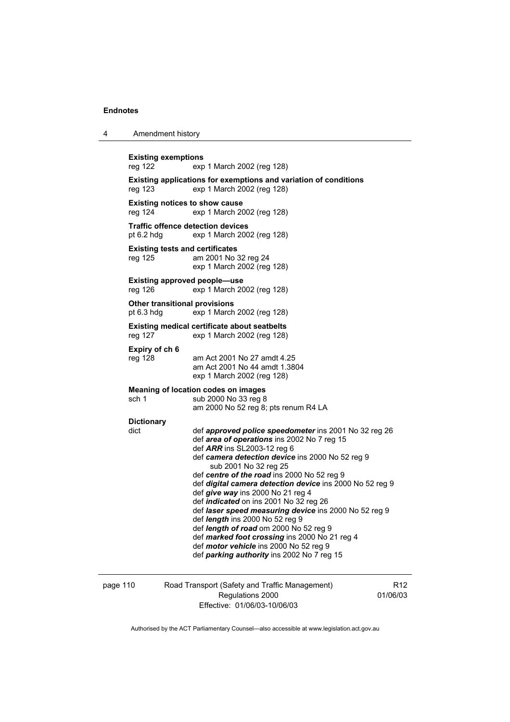4 Amendment history

| <b>Existing exemptions</b><br>exp 1 March 2002 (reg 128)                                                                                                                                                                                                                                                                                                                                                                                                                                                                                                                                                                                                                                  |
|-------------------------------------------------------------------------------------------------------------------------------------------------------------------------------------------------------------------------------------------------------------------------------------------------------------------------------------------------------------------------------------------------------------------------------------------------------------------------------------------------------------------------------------------------------------------------------------------------------------------------------------------------------------------------------------------|
| Existing applications for exemptions and variation of conditions<br>exp 1 March 2002 (reg 128)                                                                                                                                                                                                                                                                                                                                                                                                                                                                                                                                                                                            |
| <b>Existing notices to show cause</b><br>exp 1 March 2002 (reg 128)                                                                                                                                                                                                                                                                                                                                                                                                                                                                                                                                                                                                                       |
| <b>Traffic offence detection devices</b><br>exp 1 March 2002 (reg 128)                                                                                                                                                                                                                                                                                                                                                                                                                                                                                                                                                                                                                    |
| <b>Existing tests and certificates</b><br>am 2001 No 32 reg 24<br>exp 1 March 2002 (reg 128)                                                                                                                                                                                                                                                                                                                                                                                                                                                                                                                                                                                              |
| <b>Existing approved people-use</b><br>exp 1 March 2002 (reg 128)                                                                                                                                                                                                                                                                                                                                                                                                                                                                                                                                                                                                                         |
| <b>Other transitional provisions</b><br>exp 1 March 2002 (reg 128)                                                                                                                                                                                                                                                                                                                                                                                                                                                                                                                                                                                                                        |
| <b>Existing medical certificate about seatbelts</b><br>exp 1 March 2002 (reg 128)                                                                                                                                                                                                                                                                                                                                                                                                                                                                                                                                                                                                         |
| am Act 2001 No 27 amdt 4.25<br>am Act 2001 No 44 amdt 1.3804<br>exp 1 March 2002 (reg 128)                                                                                                                                                                                                                                                                                                                                                                                                                                                                                                                                                                                                |
| Meaning of location codes on images<br>sub 2000 No 33 reg 8<br>am 2000 No 52 reg 8; pts renum R4 LA                                                                                                                                                                                                                                                                                                                                                                                                                                                                                                                                                                                       |
| def approved police speedometer ins 2001 No 32 reg 26<br>def area of operations ins 2002 No 7 reg 15<br>def ARR ins SL2003-12 reg 6<br>def camera detection device ins 2000 No 52 reg 9<br>sub 2001 No 32 reg 25<br>def centre of the road ins 2000 No 52 reg 9<br>def digital camera detection device ins 2000 No 52 reg 9<br>def give way ins 2000 No 21 reg 4<br>def indicated on ins 2001 No 32 reg 26<br>def laser speed measuring device ins 2000 No 52 reg 9<br>def length ins 2000 No 52 reg 9<br>def length of road om 2000 No 52 reg 9<br>def marked foot crossing ins 2000 No 21 reg 4<br>def motor vehicle ins 2000 No 52 reg 9<br>def parking authority ins 2002 No 7 reg 15 |
|                                                                                                                                                                                                                                                                                                                                                                                                                                                                                                                                                                                                                                                                                           |

| page 110 | Road Transport (Safety and Traffic Management) |
|----------|------------------------------------------------|
|          | Regulations 2000                               |

Regulations 2000 Effective: 01/06/03-10/06/03

R12 01/06/03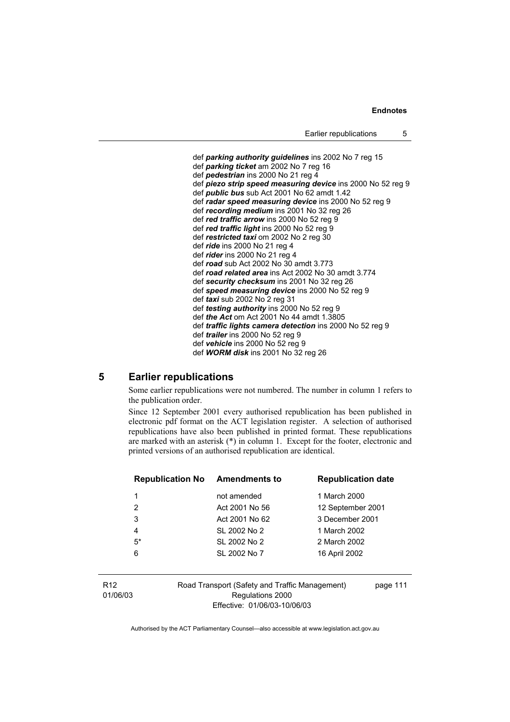def *parking authority guidelines* ins 2002 No 7 reg 15 def *parking ticket* am 2002 No 7 reg 16 def *pedestrian* ins 2000 No 21 reg 4 def *piezo strip speed measuring device* ins 2000 No 52 reg 9 def *public bus* sub Act 2001 No 62 amdt 1.42 def *radar speed measuring device* ins 2000 No 52 reg 9 def *recording medium* ins 2001 No 32 reg 26 def *red traffic arrow* ins 2000 No 52 reg 9 def *red traffic light* ins 2000 No 52 reg 9 def *restricted taxi* om 2002 No 2 reg 30 def *ride* ins 2000 No 21 reg 4 def *rider* ins 2000 No 21 reg 4 def *road* sub Act 2002 No 30 amdt 3.773 def *road related area* ins Act 2002 No 30 amdt 3.774 def *security checksum* ins 2001 No 32 reg 26 def *speed measuring device* ins 2000 No 52 reg 9 def *taxi* sub 2002 No 2 reg 31 def *testing authority* ins 2000 No 52 reg 9 def *the Act* om Act 2001 No 44 amdt 1.3805 def *traffic lights camera detection* ins 2000 No 52 reg 9 def *trailer* ins 2000 No 52 reg 9 def *vehicle* ins 2000 No 52 reg 9 def *WORM disk* ins 2001 No 32 reg 26

# **5 Earlier republications**

Some earlier republications were not numbered. The number in column 1 refers to the publication order.

Since 12 September 2001 every authorised republication has been published in electronic pdf format on the ACT legislation register. A selection of authorised republications have also been published in printed format. These republications are marked with an asterisk (\*) in column 1. Except for the footer, electronic and printed versions of an authorised republication are identical.

| <b>Republication No</b> | <b>Amendments to</b> | <b>Republication date</b> |
|-------------------------|----------------------|---------------------------|
| 1                       | not amended          | 1 March 2000              |
| 2                       | Act 2001 No 56       | 12 September 2001         |
| 3                       | Act 2001 No 62       | 3 December 2001           |
| 4                       | SL 2002 No 2         | 1 March 2002              |
| $5*$                    | SL 2002 No 2         | 2 March 2002              |
| 6                       | SL 2002 No 7         | 16 April 2002             |
|                         |                      |                           |

R12 01/06/03 Road Transport (Safety and Traffic Management) Regulations 2000 Effective: 01/06/03-10/06/03

page 111